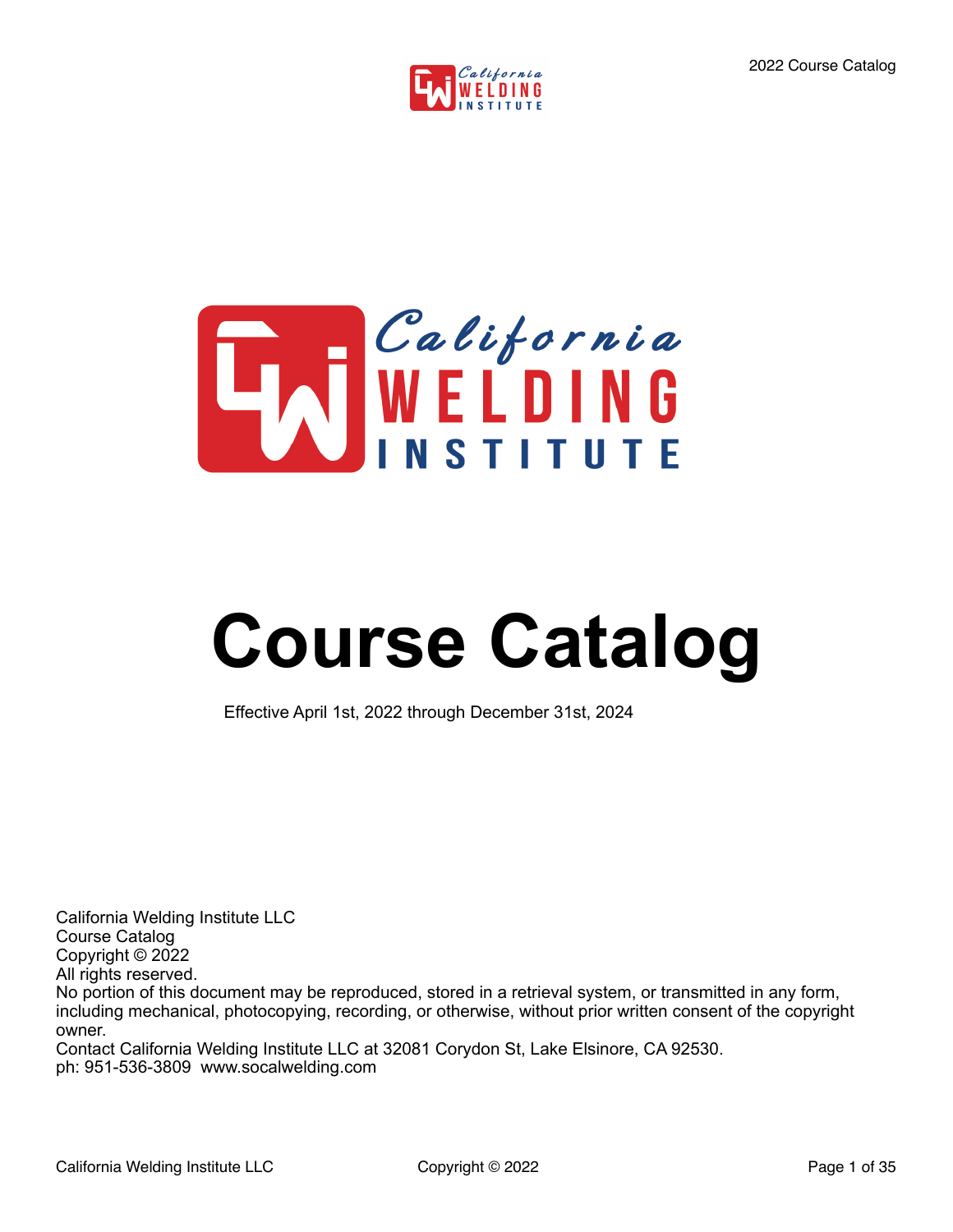



# **Course Catalog**

Effective April 1st, 2022 through December 31st, 2024

California Welding Institute LLC Course Catalog Copyright © 2022 All rights reserved. No portion of this document may be reproduced, stored in a retrieval system, or transmitted in any form, including mechanical, photocopying, recording, or otherwise, without prior written consent of the copyright owner.

Contact California Welding Institute LLC at 32081 Corydon St, Lake Elsinore, CA 92530. ph: 951-536-3809 www.socalwelding.com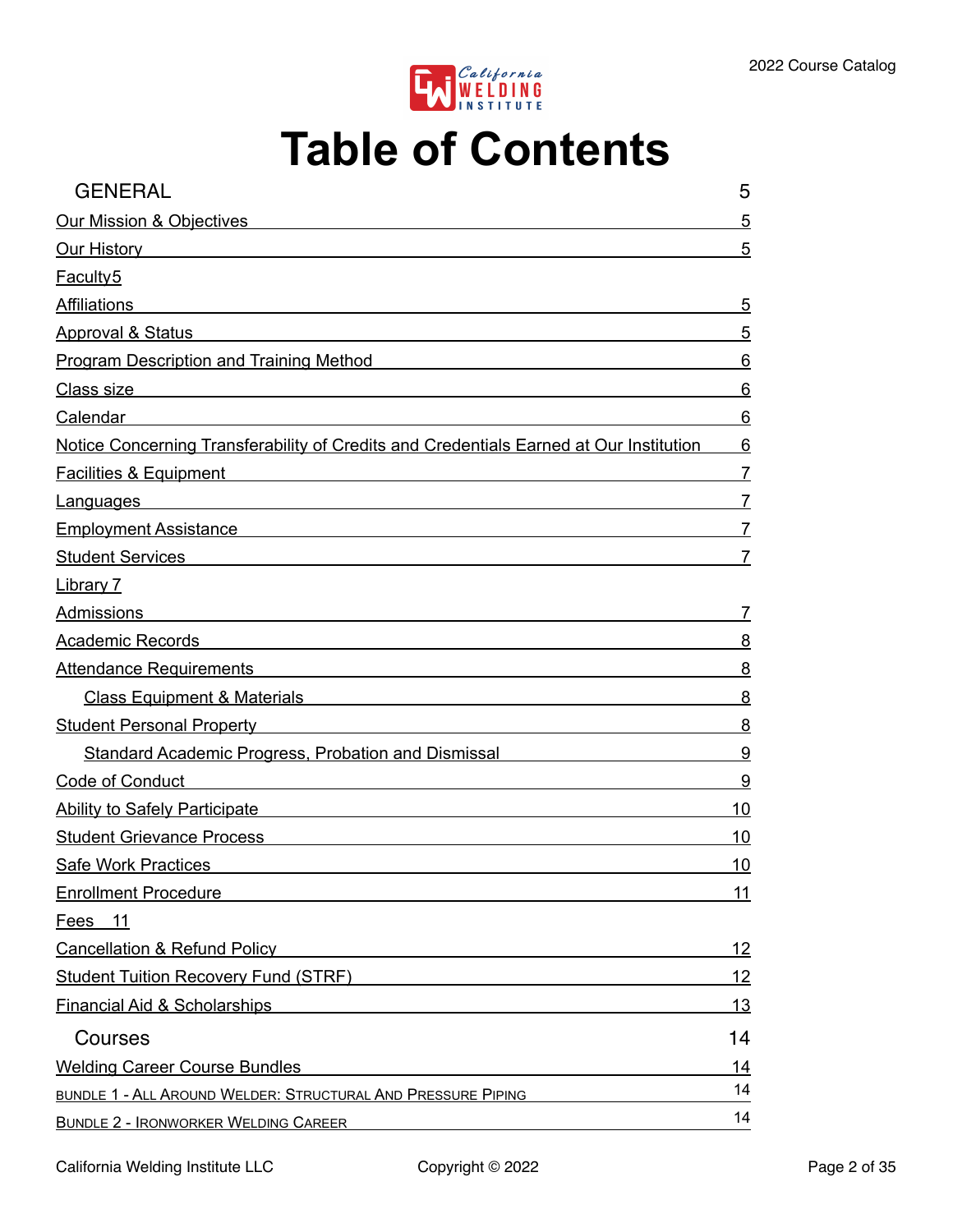

## **Table of Contents**

| <b>GENERAL</b>                                                                                                                                                                                                                       | 5              |
|--------------------------------------------------------------------------------------------------------------------------------------------------------------------------------------------------------------------------------------|----------------|
| <b>Our Mission &amp; Objectives</b>                                                                                                                                                                                                  | 5              |
| <u>Our History and the contract of the contract of the contract of the contract of the contract of the contract of the contract of the contract of the contract of the contract of the contract of the contract of the contract </u> | 5              |
| <b>Faculty5</b>                                                                                                                                                                                                                      |                |
| <b>Affiliations</b>                                                                                                                                                                                                                  | 5              |
| <b>Approval &amp; Status</b>                                                                                                                                                                                                         | 5              |
| <b>Program Description and Training Method</b>                                                                                                                                                                                       | 6              |
| <u> 1989 - Johann Stoff, deutscher Stoff, der Stoff, der Stoff, der Stoff, der Stoff, der Stoff, der Stoff, der S</u><br>Class size                                                                                                  | 6              |
| Calendar                                                                                                                                                                                                                             | 6              |
| Notice Concerning Transferability of Credits and Credentials Earned at Our Institution                                                                                                                                               | 6              |
| <b>Facilities &amp; Equipment</b><br><u> 1989 - Andrea Andrew Maria (h. 1989).</u>                                                                                                                                                   | $\overline{7}$ |
| <b>Languages</b>                                                                                                                                                                                                                     | $\overline{7}$ |
| Employment Assistance Management Control of the Assistance Management Control of the Assistance Control of the                                                                                                                       | $\overline{7}$ |
| Student Services <b>Student Services</b>                                                                                                                                                                                             | 7              |
| <b>Library 7</b>                                                                                                                                                                                                                     |                |
| Admissions<br><u> 1989 - Johann Stoff, deutscher Stoff, der Stoff, der Stoff, der Stoff, der Stoff, der Stoff, der Stoff, der S</u>                                                                                                  | $\overline{7}$ |
| <b>Academic Records</b>                                                                                                                                                                                                              | 8              |
| <b>Attendance Requirements</b>                                                                                                                                                                                                       | 8              |
| Class Equipment & Materials <b>Class Community</b> Class Community Class Community Class Community Class Community C                                                                                                                 | 8              |
| Student Personal Property Manual Accords and Accords and Accords and Accords and Accords and Accords and Accord                                                                                                                      | 8              |
| Standard Academic Progress, Probation and Dismissal                                                                                                                                                                                  | 9              |
| Code of Conduct<br><u> 1980 - Jan Samuel Barbara, margaret eta idazlea (h. 1980).</u>                                                                                                                                                | 9              |
| <b>Ability to Safely Participate</b><br><u> 1989 - John Stein, mars and de Britain Born Stein Born Stein Born Stein Born Stein Born Stein Born Stein Born</u>                                                                        | 10             |
| <b>Student Grievance Process</b>                                                                                                                                                                                                     | 10             |
| <b>Safe Work Practices</b>                                                                                                                                                                                                           | 10             |
| <b>Enrollment Procedure</b>                                                                                                                                                                                                          | 11             |
| Fees 11                                                                                                                                                                                                                              |                |
| <b>Cancellation &amp; Refund Policy</b>                                                                                                                                                                                              | 12             |
| Student Tuition Recovery Fund (STRF) Network and Contact the Control of Student Tuition Recovery Fund (STRF)                                                                                                                         | 12             |
| <b>Financial Aid &amp; Scholarships</b>                                                                                                                                                                                              | 13             |
| Courses                                                                                                                                                                                                                              | 14             |
| <b>Welding Career Course Bundles</b>                                                                                                                                                                                                 | 14             |
| BUNDLE 1 - ALL AROUND WELDER: STRUCTURAL AND PRESSURE PIPING                                                                                                                                                                         | 14             |
| <b>BUNDLE 2 - IRONWORKER WELDING CAREER</b>                                                                                                                                                                                          | 14             |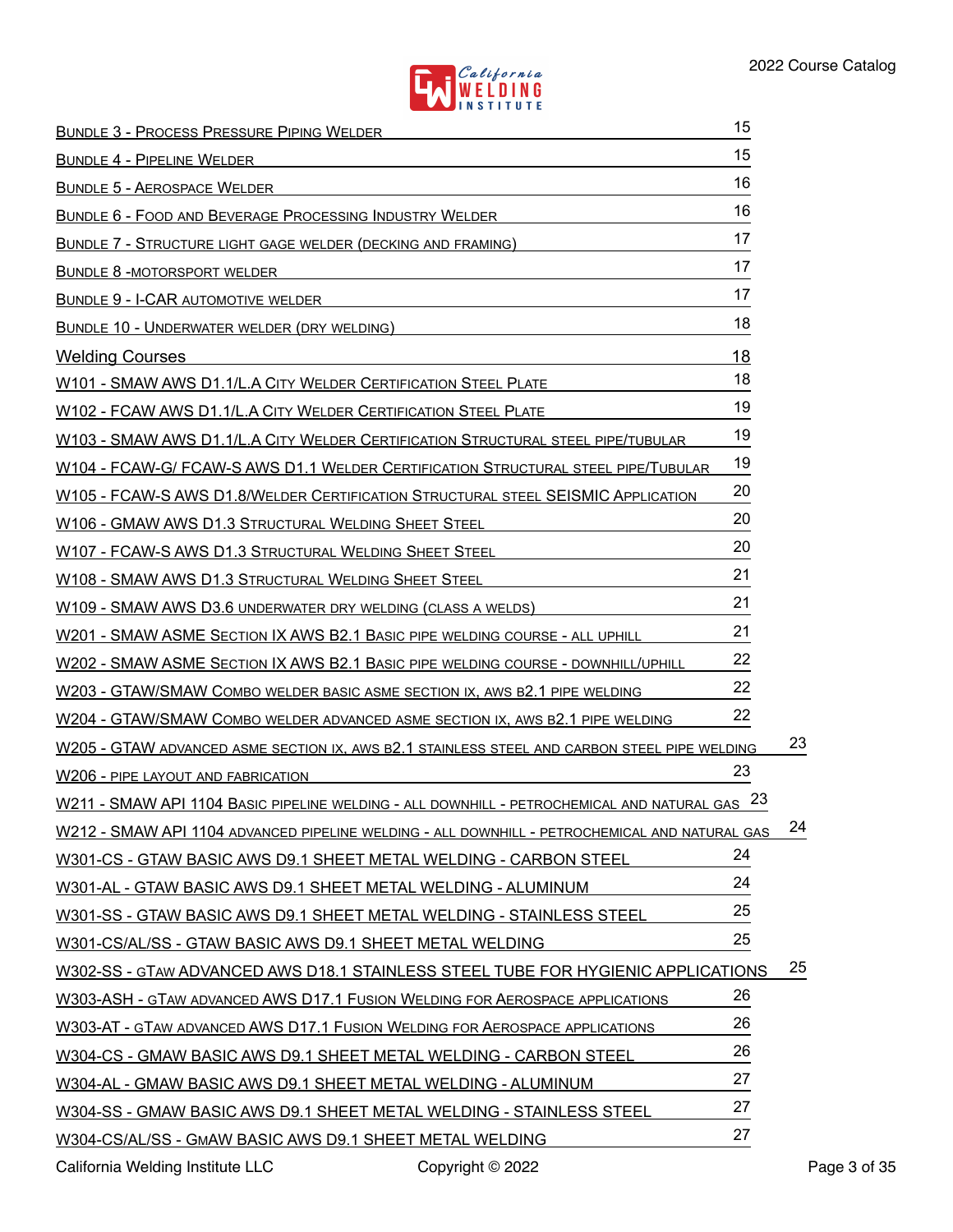

| <b>BUNDLE 3 - PROCESS PRESSURE PIPING WELDER</b>                                                                                                                                                                                     | 15 |    |
|--------------------------------------------------------------------------------------------------------------------------------------------------------------------------------------------------------------------------------------|----|----|
| BUNDLE 4 - PIPELINE WELDER                                                                                                                                                                                                           | 15 |    |
| <b>BUNDLE 5 - AEROSPACE WELDER</b>                                                                                                                                                                                                   | 16 |    |
| <u>BUNDLE 6 - FOOD AND BEVERAGE PROCESSING INDUSTRY WELDER</u>                                                                                                                                                                       | 16 |    |
| <b>BUNDLE 7 - STRUCTURE LIGHT GAGE WELDER (DECKING AND FRAMING)</b>                                                                                                                                                                  | 17 |    |
| <u> 1989 - Johann Barbara, martxa alemaniar a</u><br><b>BUNDLE 8 -MOTORSPORT WELDER</b>                                                                                                                                              | 17 |    |
| <b>BUNDLE 9 - I-CAR AUTOMOTIVE WELDER</b>                                                                                                                                                                                            | 17 |    |
| BUNDLE 10 - UNDERWATER WELDER (DRY WELDING)                                                                                                                                                                                          | 18 |    |
| <b>Welding Courses</b>                                                                                                                                                                                                               | 18 |    |
| <u>W101 - SMAW AWS D1.1/L.A CITY WELDER CERTIFICATION STEEL PLATE</u>                                                                                                                                                                | 18 |    |
| W102 - FCAW AWS D1.1/L.A CITY WELDER CERTIFICATION STEEL PLATE                                                                                                                                                                       | 19 |    |
| W103 - SMAW AWS D1.1/L.A CITY WELDER CERTIFICATION STRUCTURAL STEEL PIPE/TUBULAR                                                                                                                                                     | 19 |    |
| W104 - FCAW-G/ FCAW-S AWS D1.1 WELDER CERTIFICATION STRUCTURAL STEEL PIPE/TUBULAR                                                                                                                                                    | 19 |    |
| W105 - FCAW-S AWS D1.8/WELDER CERTIFICATION STRUCTURAL STEEL SEISMIC APPLICATION                                                                                                                                                     | 20 |    |
| W106 - GMAW AWS D1.3 STRUCTURAL WELDING SHEET STEEL                                                                                                                                                                                  | 20 |    |
| W107 - FCAW-S AWS D1.3 STRUCTURAL WELDING SHEET STEEL                                                                                                                                                                                | 20 |    |
| W108 - SMAW AWS D1.3 STRUCTURAL WELDING SHEET STEEL                                                                                                                                                                                  | 21 |    |
| W109 - SMAW AWS D3.6 UNDERWATER DRY WELDING (CLASS A WELDS)                                                                                                                                                                          | 21 |    |
| W201 - SMAW ASME SECTION IX AWS B2.1 BASIC PIPE WELDING COURSE - ALL UPHILL                                                                                                                                                          | 21 |    |
| W202 - SMAW ASME SECTION IX AWS B2.1 BASIC PIPE WELDING COURSE - DOWNHILL/UPHILL                                                                                                                                                     | 22 |    |
| W203 - GTAW/SMAW COMBO WELDER BASIC ASME SECTION IX, AWS B2.1 PIPE WELDING                                                                                                                                                           | 22 |    |
| W204 - GTAW/SMAW COMBO WELDER ADVANCED ASME SECTION IX, AWS B2.1 PIPE WELDING                                                                                                                                                        | 22 |    |
| W205 - GTAW ADVANCED ASME SECTION IX, AWS B2.1 STAINLESS STEEL AND CARBON STEEL PIPE WELDING                                                                                                                                         |    | 23 |
| <u>W206 - PIPE LAYOUT AND FABRICATION AND THE RESIDENCE OF A BASIC STATE OF A BASIC STATE OF A BASIC STATE OF A BASIC STATE OF A BASIC STATE OF A BASIC STATE OF A BASIC STATE OF A BASIC STATE OF A BASIC STATE OF A BASIC STAT</u> | 23 |    |
| W211 - SMAW API 1104 BASIC PIPELINE WELDING - ALL DOWNHILL - PETROCHEMICAL AND NATURAL GAS 23                                                                                                                                        |    |    |
| W212 - SMAW API 1104 ADVANCED PIPELINE WELDING - ALL DOWNHILL - PETROCHEMICAL AND NATURAL GAS                                                                                                                                        |    | 24 |
| W301-CS - GTAW BASIC AWS D9.1 SHEET METAL WELDING - CARBON STEEL                                                                                                                                                                     | 24 |    |
| W301-AL - GTAW BASIC AWS D9.1 SHEET METAL WELDING - ALUMINUM                                                                                                                                                                         | 24 |    |
| W301-SS - GTAW BASIC AWS D9.1 SHEET METAL WELDING - STAINLESS STEEL                                                                                                                                                                  | 25 |    |
| W301-CS/AL/SS - GTAW BASIC AWS D9.1 SHEET METAL WELDING                                                                                                                                                                              | 25 |    |
| W302-SS - GTAW ADVANCED AWS D18.1 STAINLESS STEEL TUBE FOR HYGIENIC APPLICATIONS                                                                                                                                                     |    | 25 |
| W303-ASH - GTAW ADVANCED AWS D17.1 FUSION WELDING FOR AEROSPACE APPLICATIONS                                                                                                                                                         | 26 |    |
| W303-AT - GTAW ADVANCED AWS D17.1 FUSION WELDING FOR AEROSPACE APPLICATIONS                                                                                                                                                          | 26 |    |
| W304-CS - GMAW BASIC AWS D9.1 SHEET METAL WELDING - CARBON STEEL                                                                                                                                                                     | 26 |    |
| W304-AL - GMAW BASIC AWS D9.1 SHEET METAL WELDING - ALUMINUM                                                                                                                                                                         | 27 |    |
| W304-SS - GMAW BASIC AWS D9.1 SHEET METAL WELDING - STAINLESS STEEL                                                                                                                                                                  | 27 |    |
| W304-CS/AL/SS - GMAW BASIC AWS D9.1 SHEET METAL WELDING                                                                                                                                                                              | 27 |    |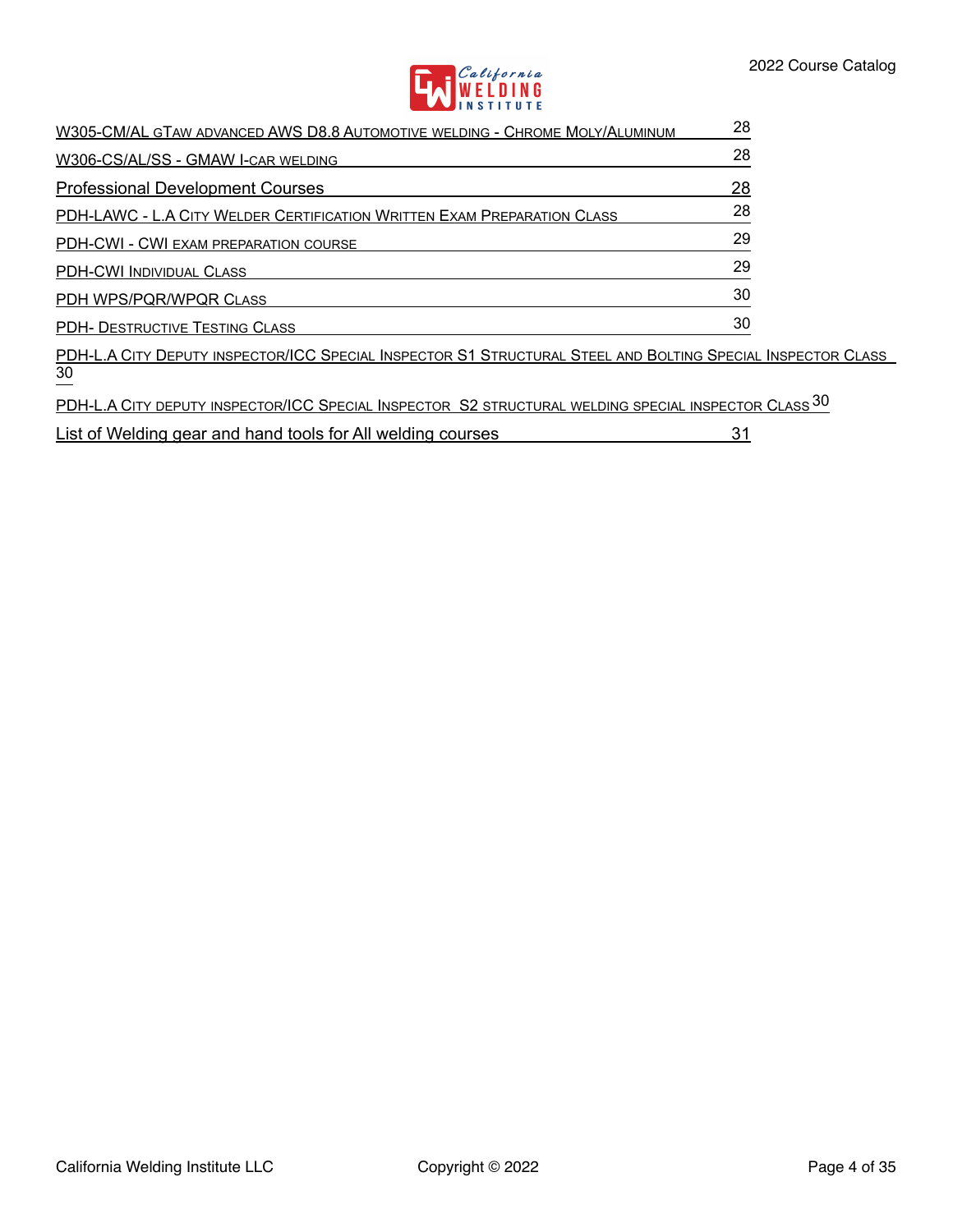

| W305-CM/AL GTAW ADVANCED AWS D8.8 AUTOMOTIVE WELDING - CHROME MOLY/ALUMINUM | 28 |
|-----------------------------------------------------------------------------|----|
| W306-CS/AL/SS - GMAW I-CAR WELDING                                          | 28 |
| <b>Professional Development Courses</b>                                     | 28 |
| PDH-LAWC - L.A CITY WELDER CERTIFICATION WRITTEN EXAM PREPARATION CLASS     | 28 |
| PDH-CWI - CWI EXAM PREPARATION COURSE                                       | 29 |
| <b>PDH-CWI INDIVIDUAL CLASS</b>                                             | 29 |
| PDH WPS/PQR/WPQR CLASS                                                      | 30 |
| <b>PDH- DESTRUCTIVE TESTING CLASS</b>                                       | 30 |

PDH-L.A CITY DEPUTY [INSPECTOR/ICC SPECIAL INSPECTOR S1 STRUCTURAL STEEL](#page-29-2) AND BOLTING SPECIAL INSPECTOR CLASS 30

PDH-L.A CITY DEPUTY [INSPECTOR/ICC SPECIAL INSPECTOR S2 STRUCTURAL](#page-29-3) WELDING SPECIAL INSPECTOR CLASS 30

[List of Welding gear and hand tools for All welding courses](#page-30-0) 31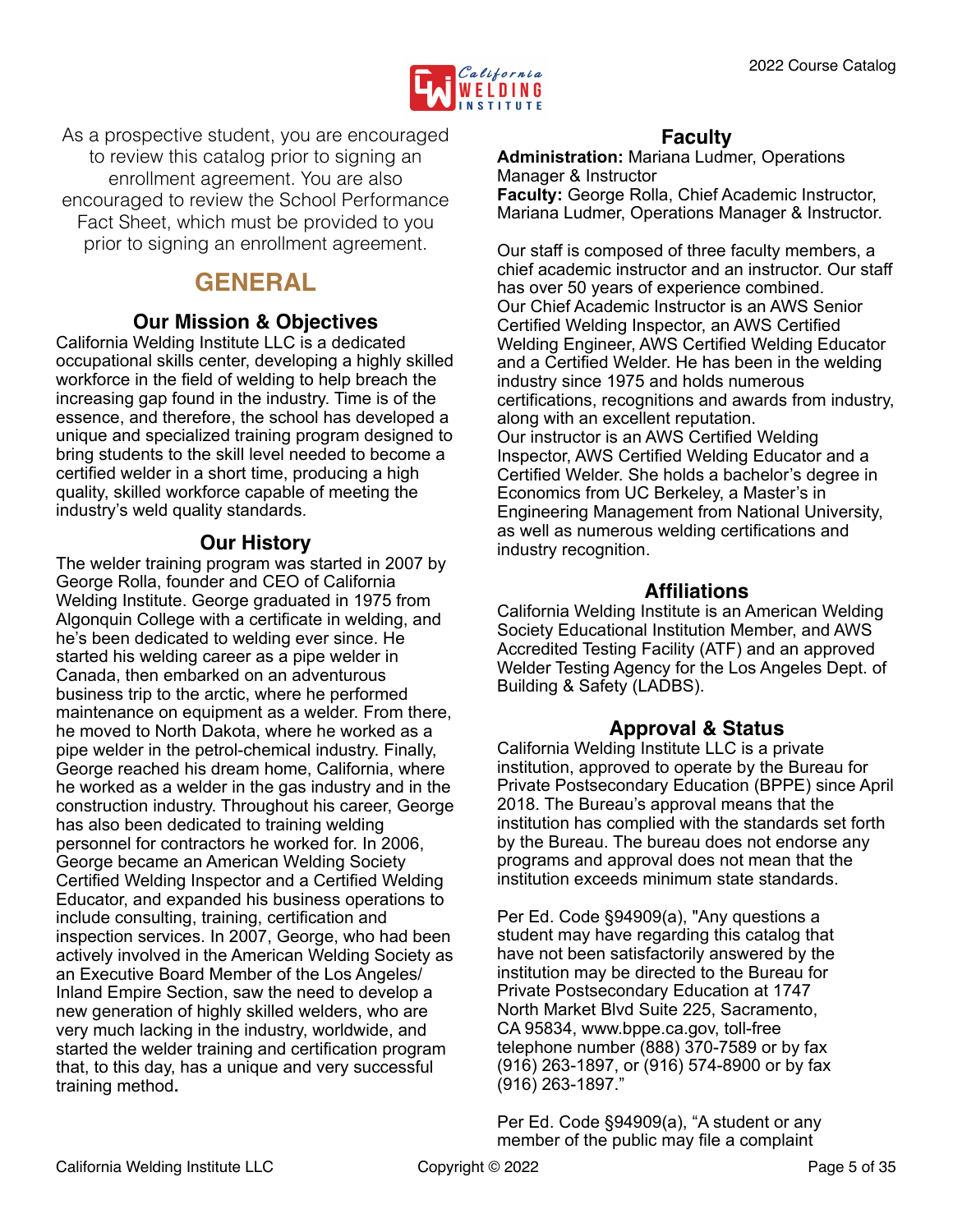

As a prospective student, you are encouraged to review this catalog prior to signing an enrollment agreement. You are also encouraged to review the School Performance Fact Sheet, which must be provided to you prior to signing an enrollment agreement.

## <span id="page-4-0"></span>**GENERAL**

## <span id="page-4-1"></span>**Our Mission & Objectives**

California Welding Institute LLC is a dedicated occupational skills center, developing a highly skilled workforce in the field of welding to help breach the increasing gap found in the industry. Time is of the essence, and therefore, the school has developed a unique and specialized training program designed to bring students to the skill level needed to become a certified welder in a short time, producing a high quality, skilled workforce capable of meeting the industry's weld quality standards.

## <span id="page-4-2"></span>**Our History**

The welder training program was started in 2007 by George Rolla, founder and CEO of California Welding Institute. George graduated in 1975 from Algonquin College with a certificate in welding, and he's been dedicated to welding ever since. He started his welding career as a pipe welder in Canada, then embarked on an adventurous business trip to the arctic, where he performed maintenance on equipment as a welder. From there, he moved to North Dakota, where he worked as a pipe welder in the petrol-chemical industry. Finally, George reached his dream home, California, where he worked as a welder in the gas industry and in the construction industry. Throughout his career, George has also been dedicated to training welding personnel for contractors he worked for. In 2006, George became an American Welding Society Certified Welding Inspector and a Certified Welding Educator, and expanded his business operations to include consulting, training, certification and inspection services. In 2007, George, who had been actively involved in the American Welding Society as an Executive Board Member of the Los Angeles/ Inland Empire Section, saw the need to develop a new generation of highly skilled welders, who are very much lacking in the industry, worldwide, and started the welder training and certification program that, to this day, has a unique and very successful training method**.** 

## <span id="page-4-3"></span>**Faculty**

**Administration:** Mariana Ludmer, Operations Manager & Instructor **Faculty:** George Rolla, Chief Academic Instructor, Mariana Ludmer, Operations Manager & Instructor.

Our staff is composed of three faculty members, a chief academic instructor and an instructor. Our staff has over 50 years of experience combined. Our Chief Academic Instructor is an AWS Senior Certified Welding Inspector, an AWS Certified Welding Engineer, AWS Certified Welding Educator and a Certified Welder. He has been in the welding industry since 1975 and holds numerous certifications, recognitions and awards from industry, along with an excellent reputation. Our instructor is an AWS Certified Welding Inspector, AWS Certified Welding Educator and a Certified Welder. She holds a bachelor's degree in Economics from UC Berkeley, a Master's in Engineering Management from National University, as well as numerous welding certifications and industry recognition.

## <span id="page-4-4"></span>**Affiliations**

California Welding Institute is an American Welding Society Educational Institution Member, and AWS Accredited Testing Facility (ATF) and an approved Welder Testing Agency for the Los Angeles Dept. of Building & Safety (LADBS).

## <span id="page-4-5"></span>**Approval & Status**

California Welding Institute LLC is a private institution, approved to operate by the Bureau for Private Postsecondary Education (BPPE) since April 2018. The Bureau's approval means that the institution has complied with the standards set forth by the Bureau. The bureau does not endorse any programs and approval does not mean that the institution exceeds minimum state standards.

Per Ed. Code §94909(a), "Any questions a student may have regarding this catalog that have not been satisfactorily answered by the institution may be directed to the Bureau for Private Postsecondary Education at 1747 North Market Blvd Suite 225, Sacramento, CA 95834, www.bppe.ca.gov, toll-free telephone number (888) 370-7589 or by fax (916) 263-1897, or (916) 574-8900 or by fax (916) 263-1897."

Per Ed. Code §94909(a), "A student or any member of the public may file a complaint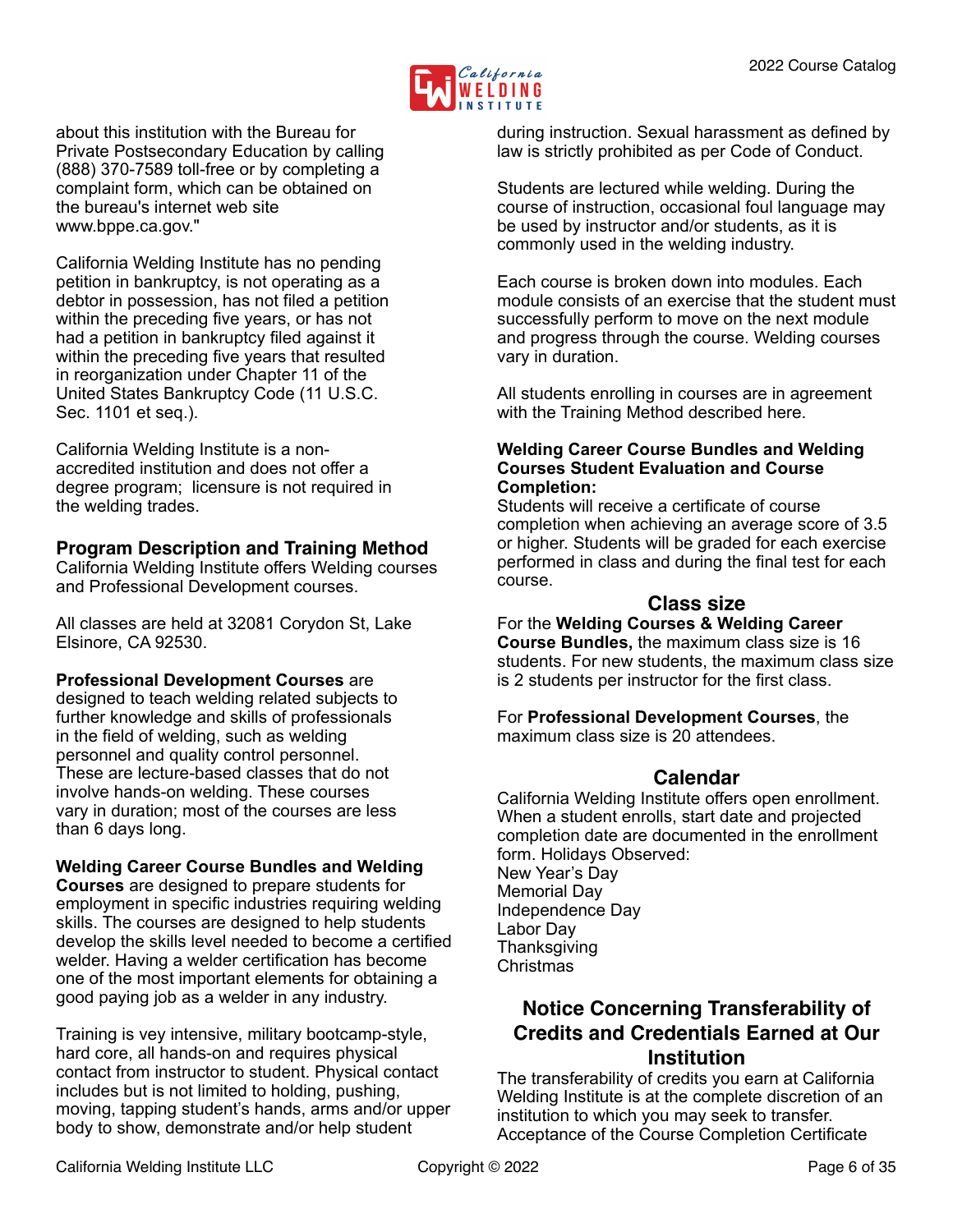

about this institution with the Bureau for Private Postsecondary Education by calling (888) 370-7589 toll-free or by completing a complaint form, which can be obtained on the bureau's internet web site www.bppe.ca.gov."

California Welding Institute has no pending petition in bankruptcy, is not operating as a debtor in possession, has not filed a petition within the preceding five years, or has not had a petition in bankruptcy filed against it within the preceding five years that resulted in reorganization under Chapter 11 of the United States Bankruptcy Code (11 U.S.C. Sec. 1101 et seq.).

California Welding Institute is a nonaccredited institution and does not offer a degree program; licensure is not required in the welding trades.

## <span id="page-5-0"></span>**Program Description and Training Method**

California Welding Institute offers Welding courses and Professional Development courses.

All classes are held at 32081 Corydon St, Lake Elsinore, CA 92530.

#### **Professional Development Courses** are

designed to teach welding related subjects to further knowledge and skills of professionals in the field of welding, such as welding personnel and quality control personnel. These are lecture-based classes that do not involve hands-on welding. These courses vary in duration; most of the courses are less than 6 days long.

#### **Welding Career Course Bundles and Welding**

**Courses** are designed to prepare students for employment in specific industries requiring welding skills. The courses are designed to help students develop the skills level needed to become a certified welder. Having a welder certification has become one of the most important elements for obtaining a good paying job as a welder in any industry.

Training is vey intensive, military bootcamp-style, hard core, all hands-on and requires physical contact from instructor to student. Physical contact includes but is not limited to holding, pushing, moving, tapping student's hands, arms and/or upper body to show, demonstrate and/or help student

during instruction. Sexual harassment as defined by law is strictly prohibited as per Code of Conduct.

Students are lectured while welding. During the course of instruction, occasional foul language may be used by instructor and/or students, as it is commonly used in the welding industry.

Each course is broken down into modules. Each module consists of an exercise that the student must successfully perform to move on the next module and progress through the course. Welding courses vary in duration.

All students enrolling in courses are in agreement with the Training Method described here.

#### **Welding Career Course Bundles and Welding Courses Student Evaluation and Course Completion:**

Students will receive a certificate of course completion when achieving an average score of 3.5 or higher. Students will be graded for each exercise performed in class and during the final test for each course.

## <span id="page-5-1"></span>**Class size**

For the **Welding Courses & Welding Career Course Bundles,** the maximum class size is 16 students. For new students, the maximum class size is 2 students per instructor for the first class.

For **Professional Development Courses**, the maximum class size is 20 attendees.

## <span id="page-5-2"></span>**Calendar**

California Welding Institute offers open enrollment. When a student enrolls, start date and projected completion date are documented in the enrollment form. Holidays Observed: New Year's Day Memorial Day Independence Day Labor Day **Thanksgiving** Christmas

## <span id="page-5-3"></span>**Notice Concerning Transferability of Credits and Credentials Earned at Our Institution**

The transferability of credits you earn at California Welding Institute is at the complete discretion of an institution to which you may seek to transfer. Acceptance of the Course Completion Certificate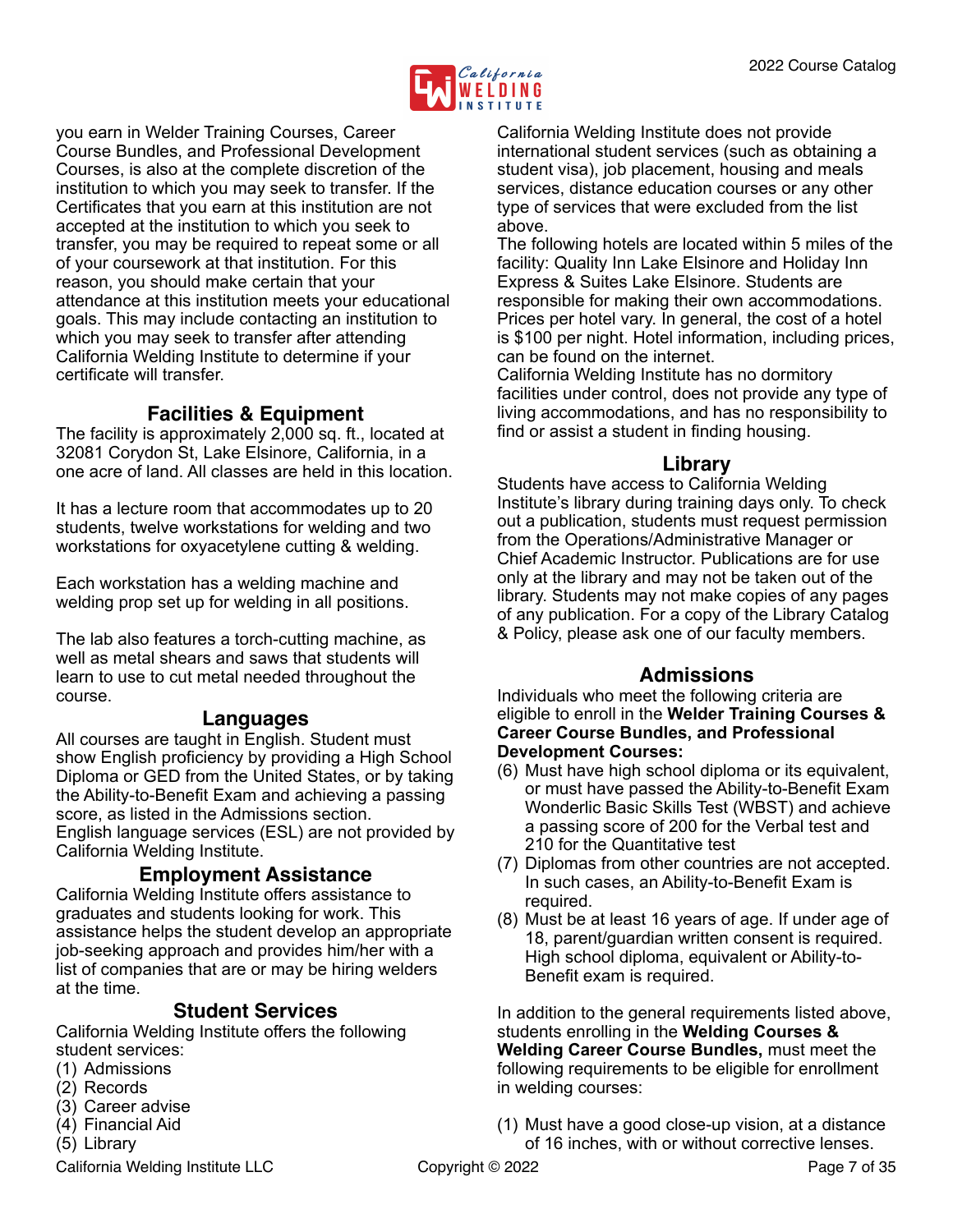

you earn in Welder Training Courses, Career Course Bundles, and Professional Development Courses, is also at the complete discretion of the institution to which you may seek to transfer. If the Certificates that you earn at this institution are not accepted at the institution to which you seek to transfer, you may be required to repeat some or all of your coursework at that institution. For this reason, you should make certain that your attendance at this institution meets your educational goals. This may include contacting an institution to which you may seek to transfer after attending California Welding Institute to determine if your certificate will transfer.

## <span id="page-6-0"></span>**Facilities & Equipment**

The facility is approximately 2,000 sq. ft., located at 32081 Corydon St, Lake Elsinore, California, in a one acre of land. All classes are held in this location.

It has a lecture room that accommodates up to 20 students, twelve workstations for welding and two workstations for oxyacetylene cutting & welding.

Each workstation has a welding machine and welding prop set up for welding in all positions.

The lab also features a torch-cutting machine, as well as metal shears and saws that students will learn to use to cut metal needed throughout the course.

## <span id="page-6-1"></span>**Languages**

All courses are taught in English. Student must show English proficiency by providing a High School Diploma or GED from the United States, or by taking the Ability-to-Benefit Exam and achieving a passing score, as listed in the Admissions section. English language services (ESL) are not provided by California Welding Institute.

## <span id="page-6-2"></span>**Employment Assistance**

California Welding Institute offers assistance to graduates and students looking for work. This assistance helps the student develop an appropriate job-seeking approach and provides him/her with a list of companies that are or may be hiring welders at the time.

## <span id="page-6-3"></span>**Student Services**

California Welding Institute offers the following student services:

- (1) Admissions
- (2) Records
- (3) Career advise
- (4) Financial Aid
- (5) Library

California Welding Institute LLC Copyright © 2022 Copyright Context Context Context Context Context Context Context Context Context Context Context Context Context Context Context Context Context Context Context Context Co

California Welding Institute does not provide international student services (such as obtaining a student visa), job placement, housing and meals services, distance education courses or any other type of services that were excluded from the list above.

The following hotels are located within 5 miles of the facility: Quality Inn Lake Elsinore and Holiday Inn Express & Suites Lake Elsinore. Students are responsible for making their own accommodations. Prices per hotel vary. In general, the cost of a hotel is \$100 per night. Hotel information, including prices, can be found on the internet.

California Welding Institute has no dormitory facilities under control, does not provide any type of living accommodations, and has no responsibility to find or assist a student in finding housing.

#### <span id="page-6-4"></span>**Library**

Students have access to California Welding Institute's library during training days only. To check out a publication, students must request permission from the Operations/Administrative Manager or Chief Academic Instructor. Publications are for use only at the library and may not be taken out of the library. Students may not make copies of any pages of any publication. For a copy of the Library Catalog & Policy, please ask one of our faculty members.

## <span id="page-6-5"></span>**Admissions**

Individuals who meet the following criteria are eligible to enroll in the **Welder Training Courses & Career Course Bundles, and Professional Development Courses:**

- (6) Must have high school diploma or its equivalent, or must have passed the Ability-to-Benefit Exam Wonderlic Basic Skills Test (WBST) and achieve a passing score of 200 for the Verbal test and 210 for the Quantitative test
- (7) Diplomas from other countries are not accepted. In such cases, an Ability-to-Benefit Exam is required.
- (8) Must be at least 16 years of age. If under age of 18, parent/guardian written consent is required. High school diploma, equivalent or Ability-to-Benefit exam is required.

In addition to the general requirements listed above, students enrolling in the **Welding Courses & Welding Career Course Bundles,** must meet the following requirements to be eligible for enrollment in welding courses:

(1) Must have a good close-up vision, at a distance of 16 inches, with or without corrective lenses.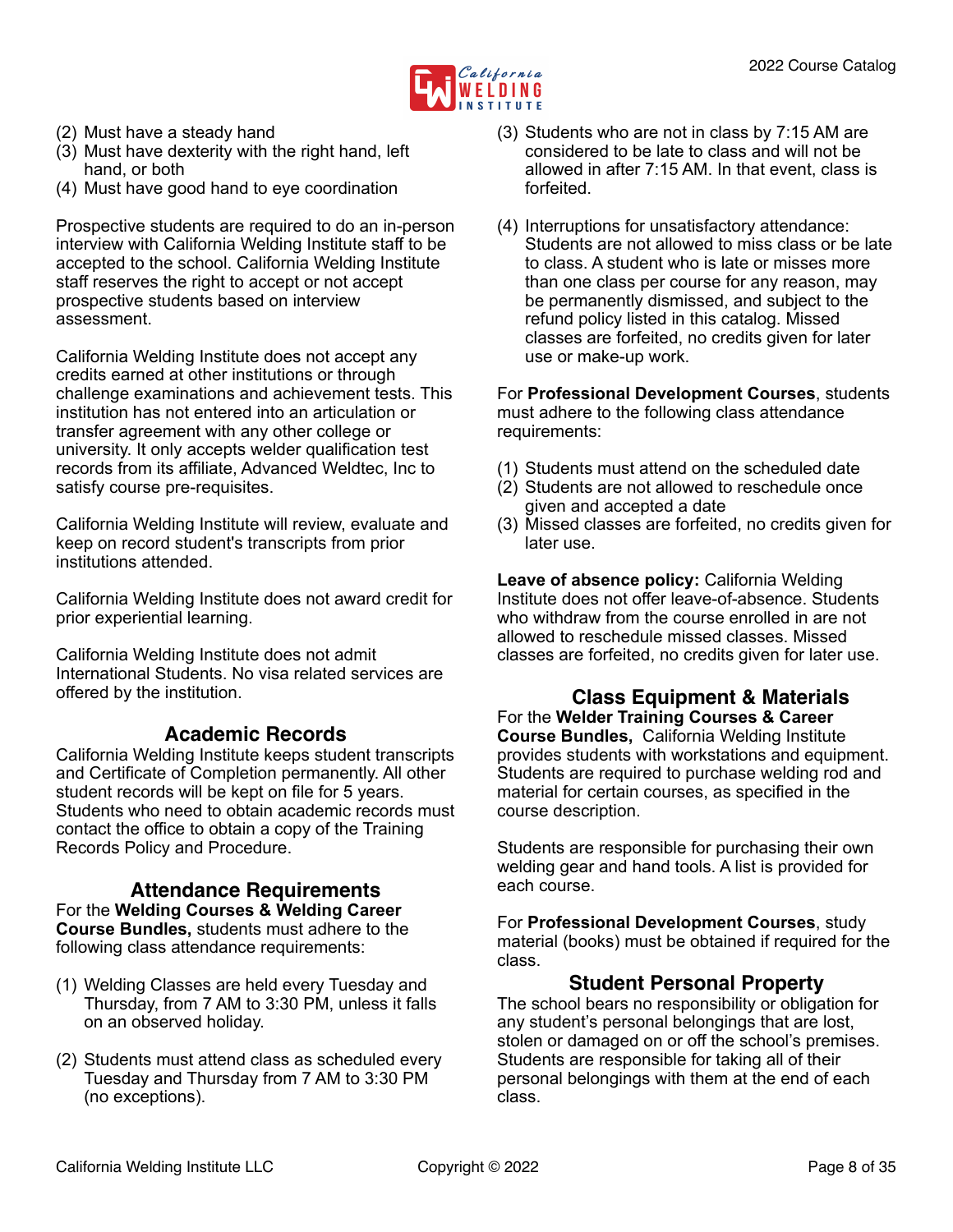

- (2) Must have a steady hand
- (3) Must have dexterity with the right hand, left hand, or both
- (4) Must have good hand to eye coordination

Prospective students are required to do an in-person interview with California Welding Institute staff to be accepted to the school. California Welding Institute staff reserves the right to accept or not accept prospective students based on interview assessment.

California Welding Institute does not accept any credits earned at other institutions or through challenge examinations and achievement tests. This institution has not entered into an articulation or transfer agreement with any other college or university. It only accepts welder qualification test records from its affiliate, Advanced Weldtec, Inc to satisfy course pre-requisites.

California Welding Institute will review, evaluate and keep on record student's transcripts from prior institutions attended.

California Welding Institute does not award credit for prior experiential learning.

California Welding Institute does not admit International Students. No visa related services are offered by the institution.

## <span id="page-7-0"></span>**Academic Records**

California Welding Institute keeps student transcripts and Certificate of Completion permanently. All other student records will be kept on file for 5 years. Students who need to obtain academic records must contact the office to obtain a copy of the Training Records Policy and Procedure.

#### <span id="page-7-1"></span>**Attendance Requirements** For the **Welding Courses & Welding Career Course Bundles,** students must adhere to the following class attendance requirements:

- (1) Welding Classes are held every Tuesday and Thursday, from 7 AM to 3:30 PM, unless it falls on an observed holiday.
- (2) Students must attend class as scheduled every Tuesday and Thursday from 7 AM to 3:30 PM (no exceptions).
- (3) Students who are not in class by 7:15 AM are considered to be late to class and will not be allowed in after 7:15 AM. In that event, class is forfeited.
- (4) Interruptions for unsatisfactory attendance: Students are not allowed to miss class or be late to class. A student who is late or misses more than one class per course for any reason, may be permanently dismissed, and subject to the refund policy listed in this catalog. Missed classes are forfeited, no credits given for later use or make-up work.

For **Professional Development Courses**, students must adhere to the following class attendance requirements:

- (1) Students must attend on the scheduled date
- (2) Students are not allowed to reschedule once given and accepted a date
- (3) Missed classes are forfeited, no credits given for later use.

**Leave of absence policy:** California Welding Institute does not offer leave-of-absence. Students who withdraw from the course enrolled in are not allowed to reschedule missed classes. Missed classes are forfeited, no credits given for later use.

#### <span id="page-7-2"></span>**Class Equipment & Materials** For the **Welder Training Courses & Career Course Bundles,** California Welding Institute provides students with workstations and equipment. Students are required to purchase welding rod and material for certain courses, as specified in the course description.

Students are responsible for purchasing their own welding gear and hand tools. A list is provided for each course.

For **Professional Development Courses**, study material (books) must be obtained if required for the class.

## <span id="page-7-3"></span>**Student Personal Property**

The school bears no responsibility or obligation for any student's personal belongings that are lost, stolen or damaged on or off the school's premises. Students are responsible for taking all of their personal belongings with them at the end of each class.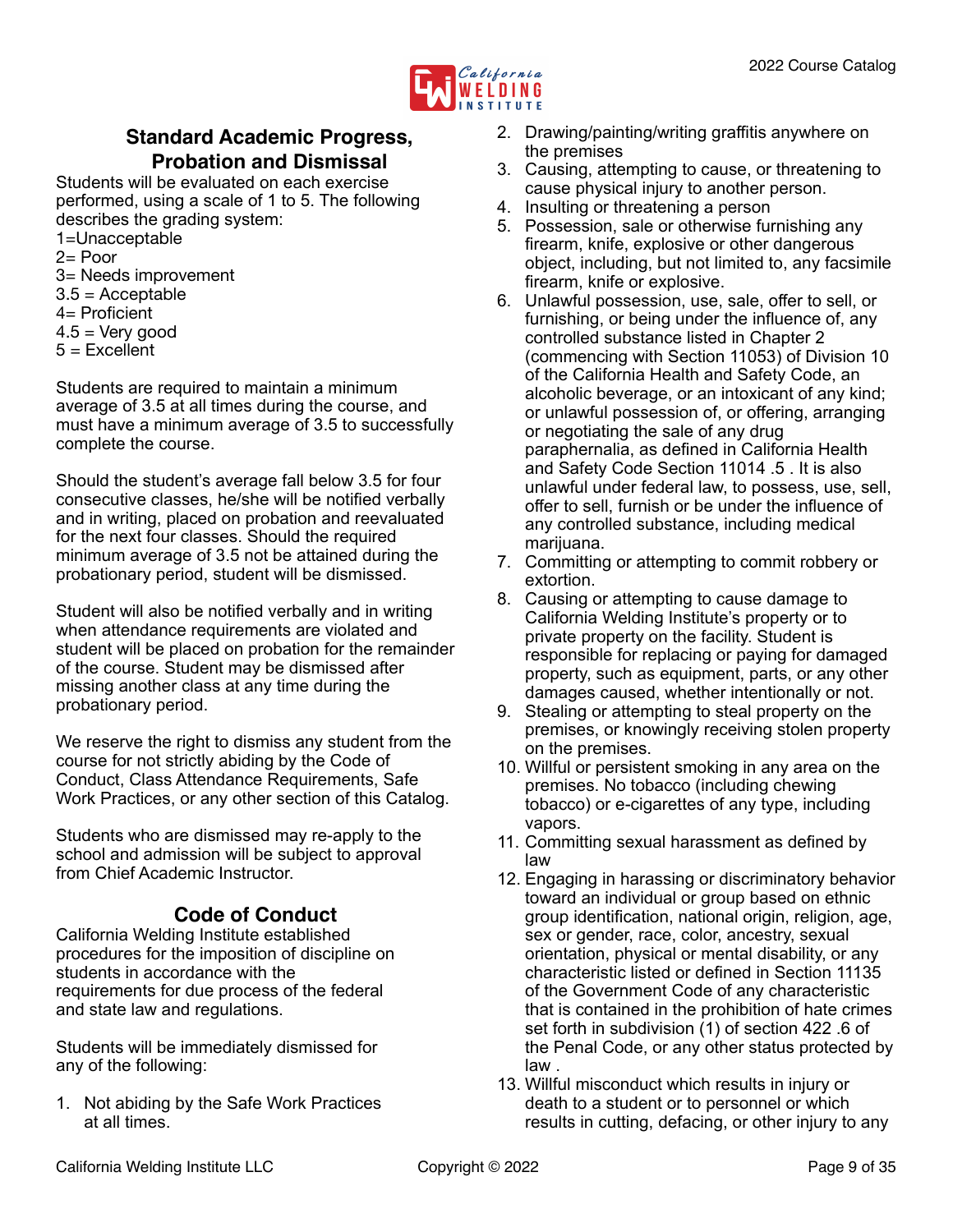

## <span id="page-8-0"></span>**Standard Academic Progress, Probation and Dismissal**

Students will be evaluated on each exercise performed, using a scale of 1 to 5. The following describes the grading system:

1=Unacceptable 

 $2=$  Poor

3= Needs improvement

- $3.5 =$  Acceptable
- 4= Proficient
- $4.5 =$  Very good
- $5 =$  Excellent

Students are required to maintain a minimum average of 3.5 at all times during the course, and must have a minimum average of 3.5 to successfully complete the course.

Should the student's average fall below 3.5 for four consecutive classes, he/she will be notified verbally and in writing, placed on probation and reevaluated for the next four classes. Should the required minimum average of 3.5 not be attained during the probationary period, student will be dismissed.

Student will also be notified verbally and in writing when attendance requirements are violated and student will be placed on probation for the remainder of the course. Student may be dismissed after missing another class at any time during the probationary period.

We reserve the right to dismiss any student from the course for not strictly abiding by the Code of Conduct, Class Attendance Requirements, Safe Work Practices, or any other section of this Catalog.

Students who are dismissed may re-apply to the school and admission will be subject to approval from Chief Academic Instructor.

## <span id="page-8-1"></span>**Code of Conduct**

California Welding Institute established procedures for the imposition of discipline on students in accordance with the requirements for due process of the federal and state law and regulations.

Students will be immediately dismissed for any of the following:

1. Not abiding by the Safe Work Practices at all times.

- 2. Drawing/painting/writing graffitis anywhere on the premises
- 3. Causing, attempting to cause, or threatening to cause physical injury to another person.
- 4. Insulting or threatening a person
- 5. Possession, sale or otherwise furnishing any firearm, knife, explosive or other dangerous object, including, but not limited to, any facsimile firearm, knife or explosive.
- 6. Unlawful possession, use, sale, offer to sell, or furnishing, or being under the influence of, any controlled substance listed in Chapter 2 (commencing with Section 11053) of Division 10 of the California Health and Safety Code, an alcoholic beverage, or an intoxicant of any kind; or unlawful possession of, or offering, arranging or negotiating the sale of any drug paraphernalia, as defined in California Health and Safety Code Section 11014 .5 . It is also unlawful under federal law, to possess, use, sell, offer to sell, furnish or be under the influence of any controlled substance, including medical marijuana.
- 7. Committing or attempting to commit robbery or extortion.
- 8. Causing or attempting to cause damage to California Welding Institute's property or to private property on the facility. Student is responsible for replacing or paying for damaged property, such as equipment, parts, or any other damages caused, whether intentionally or not.
- 9. Stealing or attempting to steal property on the premises, or knowingly receiving stolen property on the premises.
- 10. Willful or persistent smoking in any area on the premises. No tobacco (including chewing tobacco) or e-cigarettes of any type, including vapors.
- 11. Committing sexual harassment as defined by law
- 12. Engaging in harassing or discriminatory behavior toward an individual or group based on ethnic group identification, national origin, religion, age, sex or gender, race, color, ancestry, sexual orientation, physical or mental disability, or any characteristic listed or defined in Section 11135 of the Government Code of any characteristic that is contained in the prohibition of hate crimes set forth in subdivision (1) of section 422 .6 of the Penal Code, or any other status protected by law .
- 13. Willful misconduct which results in injury or death to a student or to personnel or which results in cutting, defacing, or other injury to any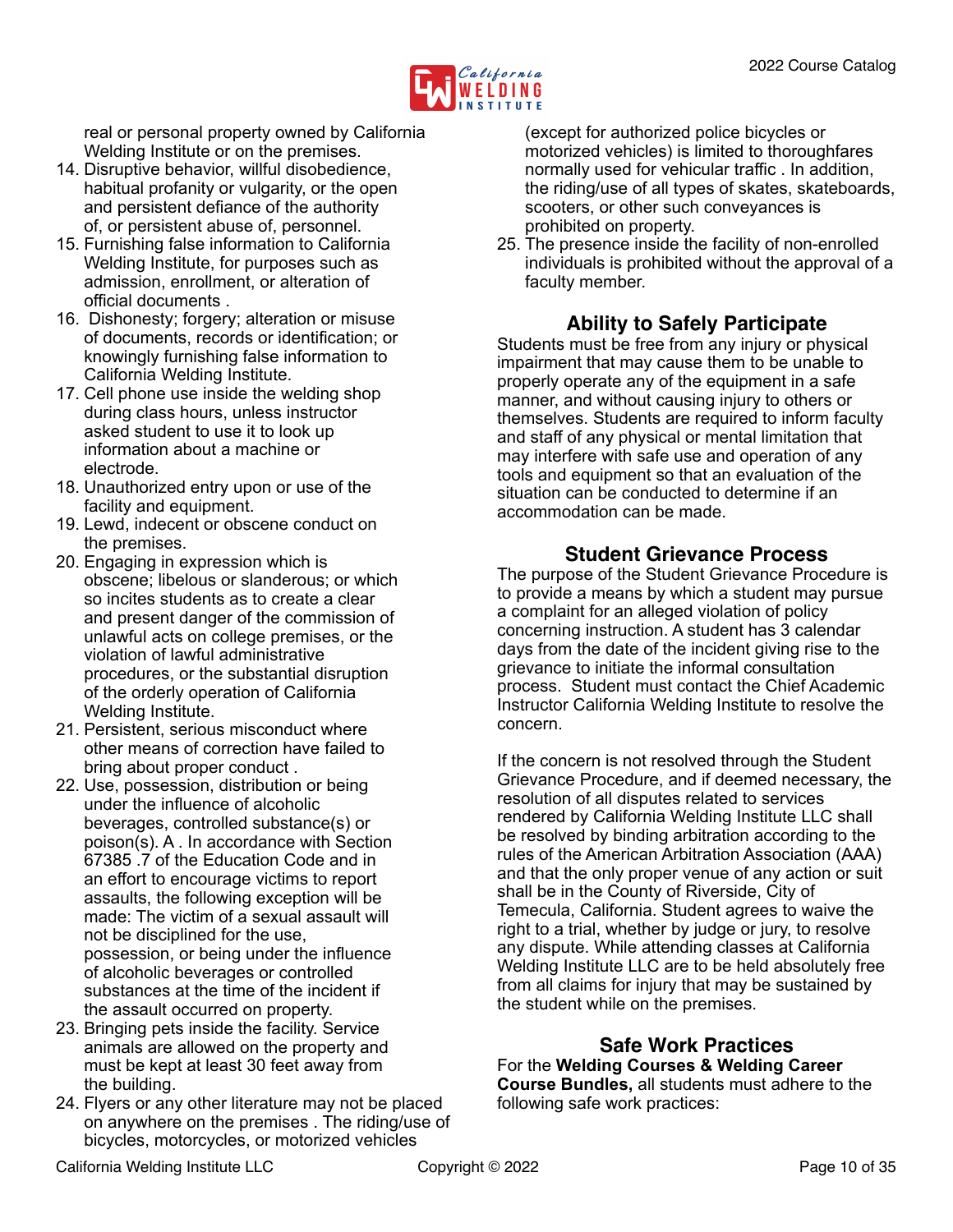

real or personal property owned by California Welding Institute or on the premises.

- 14. Disruptive behavior, willful disobedience, habitual profanity or vulgarity, or the open and persistent defiance of the authority of, or persistent abuse of, personnel.
- 15. Furnishing false information to California Welding Institute, for purposes such as admission, enrollment, or alteration of official documents .
- 16. Dishonesty; forgery; alteration or misuse of documents, records or identification; or knowingly furnishing false information to California Welding Institute.
- 17. Cell phone use inside the welding shop during class hours, unless instructor asked student to use it to look up information about a machine or electrode.
- 18. Unauthorized entry upon or use of the facility and equipment.
- 19. Lewd, indecent or obscene conduct on the premises.
- 20. Engaging in expression which is obscene; libelous or slanderous; or which so incites students as to create a clear and present danger of the commission of unlawful acts on college premises, or the violation of lawful administrative procedures, or the substantial disruption of the orderly operation of California Welding Institute.
- 21. Persistent, serious misconduct where other means of correction have failed to bring about proper conduct .
- 22. Use, possession, distribution or being under the influence of alcoholic beverages, controlled substance(s) or poison(s). A . In accordance with Section 67385 .7 of the Education Code and in an effort to encourage victims to report assaults, the following exception will be made: The victim of a sexual assault will not be disciplined for the use, possession, or being under the influence of alcoholic beverages or controlled substances at the time of the incident if the assault occurred on property.
- 23. Bringing pets inside the facility. Service animals are allowed on the property and must be kept at least 30 feet away from the building.
- 24. Flyers or any other literature may not be placed on anywhere on the premises . The riding/use of bicycles, motorcycles, or motorized vehicles

(except for authorized police bicycles or motorized vehicles) is limited to thoroughfares normally used for vehicular traffic . In addition, the riding/use of all types of skates, skateboards, scooters, or other such conveyances is prohibited on property.

25. The presence inside the facility of non-enrolled individuals is prohibited without the approval of a faculty member.

## <span id="page-9-0"></span>**Ability to Safely Participate**

Students must be free from any injury or physical impairment that may cause them to be unable to properly operate any of the equipment in a safe manner, and without causing injury to others or themselves. Students are required to inform faculty and staff of any physical or mental limitation that may interfere with safe use and operation of any tools and equipment so that an evaluation of the situation can be conducted to determine if an accommodation can be made.

## <span id="page-9-1"></span>**Student Grievance Process**

The purpose of the Student Grievance Procedure is to provide a means by which a student may pursue a complaint for an alleged violation of policy concerning instruction. A student has 3 calendar days from the date of the incident giving rise to the grievance to initiate the informal consultation process. Student must contact the Chief Academic Instructor California Welding Institute to resolve the concern.

If the concern is not resolved through the Student Grievance Procedure, and if deemed necessary, the resolution of all disputes related to services rendered by California Welding Institute LLC shall be resolved by binding arbitration according to the rules of the American Arbitration Association (AAA) and that the only proper venue of any action or suit shall be in the County of Riverside, City of Temecula, California. Student agrees to waive the right to a trial, whether by judge or jury, to resolve any dispute. While attending classes at California Welding Institute LLC are to be held absolutely free from all claims for injury that may be sustained by the student while on the premises.

## <span id="page-9-2"></span>**Safe Work Practices**

For the **Welding Courses & Welding Career Course Bundles,** all students must adhere to the following safe work practices: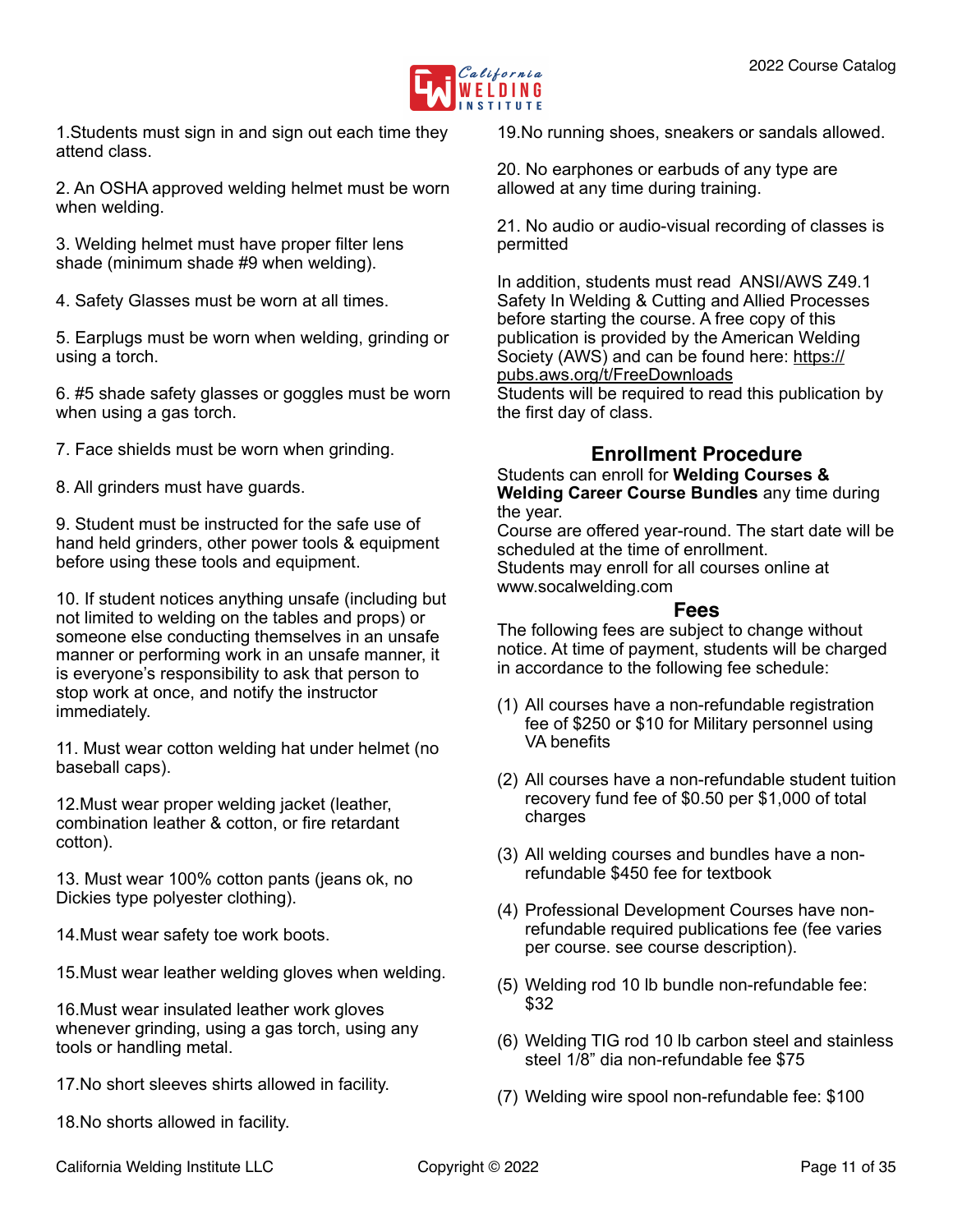

1.Students must sign in and sign out each time they attend class.

2. An OSHA approved welding helmet must be worn when welding.

3. Welding helmet must have proper filter lens shade (minimum shade #9 when welding).

4. Safety Glasses must be worn at all times.

5. Earplugs must be worn when welding, grinding or using a torch.

6. #5 shade safety glasses or goggles must be worn when using a gas torch.

7. Face shields must be worn when grinding.

8. All grinders must have guards.

9. Student must be instructed for the safe use of hand held grinders, other power tools & equipment before using these tools and equipment.

10. If student notices anything unsafe (including but not limited to welding on the tables and props) or someone else conducting themselves in an unsafe manner or performing work in an unsafe manner, it is everyone's responsibility to ask that person to stop work at once, and notify the instructor immediately.

11. Must wear cotton welding hat under helmet (no baseball caps).

12.Must wear proper welding jacket (leather, combination leather & cotton, or fire retardant cotton).

13. Must wear 100% cotton pants (jeans ok, no Dickies type polyester clothing).

14.Must wear safety toe work boots.

15.Must wear leather welding gloves when welding.

16.Must wear insulated leather work gloves whenever grinding, using a gas torch, using any tools or handling metal.

17.No short sleeves shirts allowed in facility.

18.No shorts allowed in facility.

19.No running shoes, sneakers or sandals allowed.

20. No earphones or earbuds of any type are allowed at any time during training.

21. No audio or audio-visual recording of classes is permitted

In addition, students must read ANSI/AWS Z49.1 Safety In Welding & Cutting and Allied Processes before starting the course. A free copy of this publication is provided by the American Welding Society (AWS) and can be found here: [https://](https://pubs.aws.org/t/FreeDownloads) [pubs.aws.org/t/FreeDownloads](https://pubs.aws.org/t/FreeDownloads) Students will be required to read this publication by the first day of class.

## <span id="page-10-0"></span>**Enrollment Procedure**

Students can enroll for **Welding Courses & Welding Career Course Bundles** any time during the year.

Course are offered year-round. The start date will be scheduled at the time of enrollment. Students may enroll for all courses online at

www.socalwelding.com

#### <span id="page-10-1"></span>**Fees**

The following fees are subject to change without notice. At time of payment, students will be charged in accordance to the following fee schedule:

- (1) All courses have a non-refundable registration fee of \$250 or \$10 for Military personnel using VA benefits
- (2) All courses have a non-refundable student tuition recovery fund fee of \$0.50 per \$1,000 of total charges
- (3) All welding courses and bundles have a nonrefundable \$450 fee for textbook
- (4) Professional Development Courses have nonrefundable required publications fee (fee varies per course. see course description).
- (5) Welding rod 10 lb bundle non-refundable fee: \$32
- (6) Welding TIG rod 10 lb carbon steel and stainless steel 1/8" dia non-refundable fee \$75
- (7) Welding wire spool non-refundable fee: \$100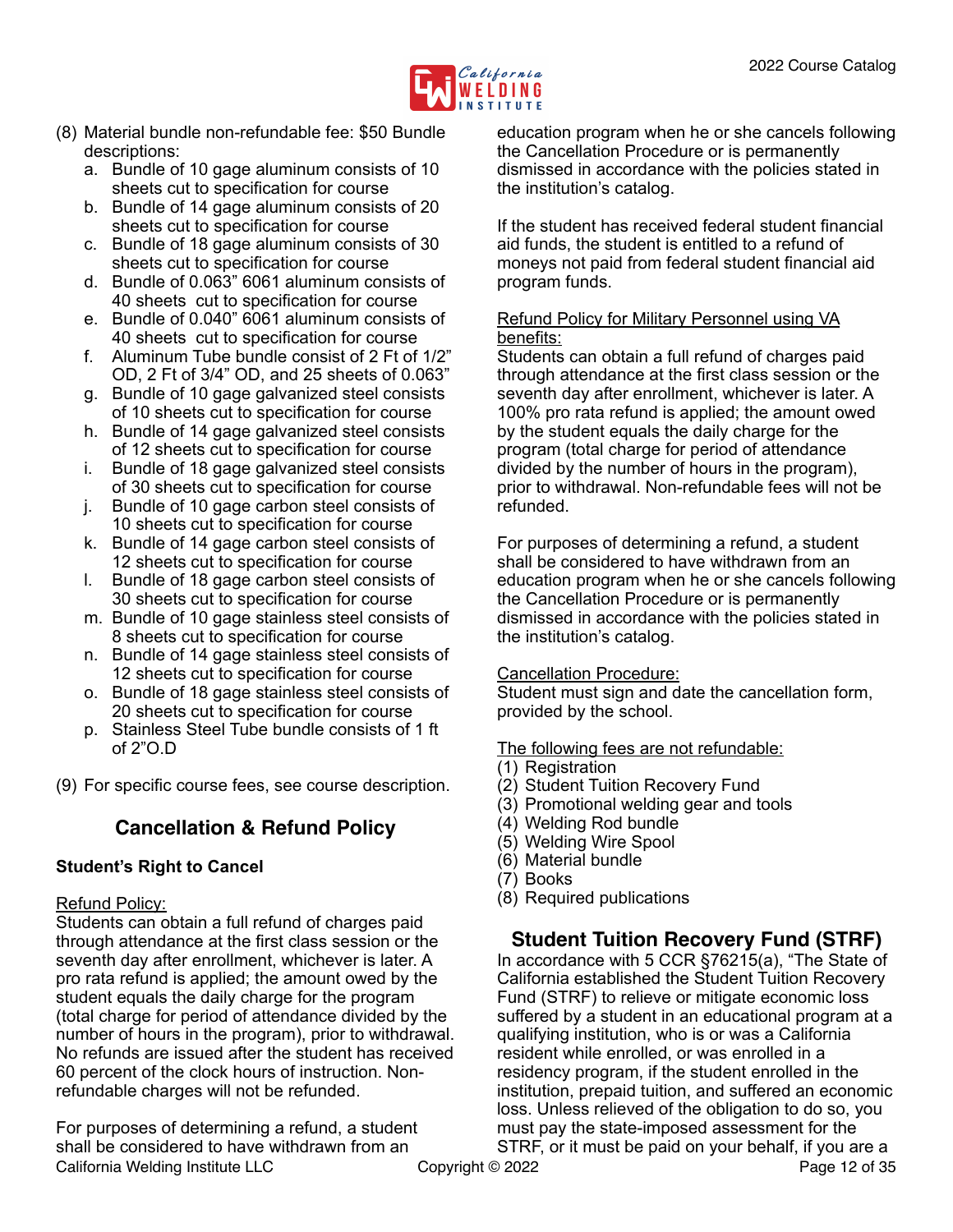

- (8) Material bundle non-refundable fee: \$50 Bundle descriptions:
	- a. Bundle of 10 gage aluminum consists of 10 sheets cut to specification for course
	- b. Bundle of 14 gage aluminum consists of 20 sheets cut to specification for course
	- c. Bundle of 18 gage aluminum consists of 30 sheets cut to specification for course
	- d. Bundle of 0.063" 6061 aluminum consists of 40 sheets cut to specification for course
	- e. Bundle of 0.040" 6061 aluminum consists of 40 sheets cut to specification for course
	- f. Aluminum Tube bundle consist of 2 Ft of 1/2" OD, 2 Ft of 3/4" OD, and 25 sheets of 0.063"
	- g. Bundle of 10 gage galvanized steel consists of 10 sheets cut to specification for course
	- h. Bundle of 14 gage galvanized steel consists of 12 sheets cut to specification for course
	- i. Bundle of 18 gage galvanized steel consists of 30 sheets cut to specification for course
	- j. Bundle of 10 gage carbon steel consists of 10 sheets cut to specification for course
	- k. Bundle of 14 gage carbon steel consists of 12 sheets cut to specification for course
	- l. Bundle of 18 gage carbon steel consists of 30 sheets cut to specification for course
	- m. Bundle of 10 gage stainless steel consists of 8 sheets cut to specification for course
	- n. Bundle of 14 gage stainless steel consists of 12 sheets cut to specification for course
	- o. Bundle of 18 gage stainless steel consists of 20 sheets cut to specification for course
	- p. Stainless Steel Tube bundle consists of 1 ft of 2"O.D

(9) For specific course fees, see course description.

## <span id="page-11-0"></span>**Cancellation & Refund Policy**

## **Student's Right to Cancel**

#### Refund Policy:

Students can obtain a full refund of charges paid through attendance at the first class session or the seventh day after enrollment, whichever is later. A pro rata refund is applied; the amount owed by the student equals the daily charge for the program (total charge for period of attendance divided by the number of hours in the program), prior to withdrawal. No refunds are issued after the student has received 60 percent of the clock hours of instruction. Nonrefundable charges will not be refunded.

For purposes of determining a refund, a student shall be considered to have withdrawn from an California Welding Institute LLC Copyright © 2022 Page 12 of 35

education program when he or she cancels following the Cancellation Procedure or is permanently dismissed in accordance with the policies stated in the institution's catalog.

If the student has received federal student financial aid funds, the student is entitled to a refund of moneys not paid from federal student financial aid program funds.

#### Refund Policy for Military Personnel using VA benefits:

Students can obtain a full refund of charges paid through attendance at the first class session or the seventh day after enrollment, whichever is later. A 100% pro rata refund is applied; the amount owed by the student equals the daily charge for the program (total charge for period of attendance divided by the number of hours in the program), prior to withdrawal. Non-refundable fees will not be refunded.

For purposes of determining a refund, a student shall be considered to have withdrawn from an education program when he or she cancels following the Cancellation Procedure or is permanently dismissed in accordance with the policies stated in the institution's catalog.

#### Cancellation Procedure:

Student must sign and date the cancellation form, provided by the school.

The following fees are not refundable:

- (1) Registration
- (2) Student Tuition Recovery Fund
- (3) Promotional welding gear and tools
- (4) Welding Rod bundle
- (5) Welding Wire Spool
- (6) Material bundle
- (7) Books
- (8) Required publications

## <span id="page-11-1"></span>**Student Tuition Recovery Fund (STRF)**

In accordance with 5 CCR §76215(a), "The State of California established the Student Tuition Recovery Fund (STRF) to relieve or mitigate economic loss suffered by a student in an educational program at a qualifying institution, who is or was a California resident while enrolled, or was enrolled in a residency program, if the student enrolled in the institution, prepaid tuition, and suffered an economic loss. Unless relieved of the obligation to do so, you must pay the state-imposed assessment for the STRF, or it must be paid on your behalf, if you are a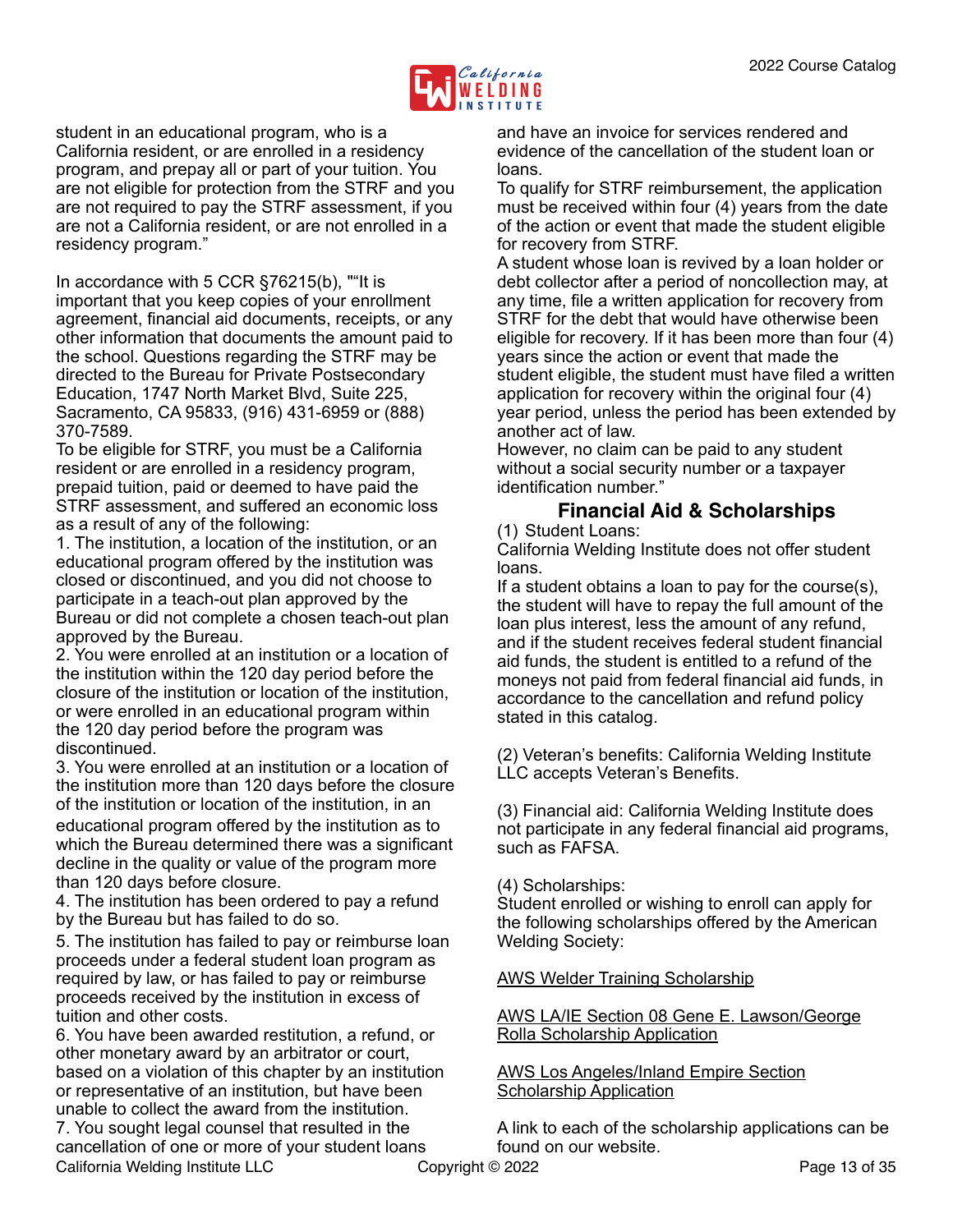

student in an educational program, who is a California resident, or are enrolled in a residency program, and prepay all or part of your tuition. You are not eligible for protection from the STRF and you are not required to pay the STRF assessment, if you are not a California resident, or are not enrolled in a residency program."

In accordance with 5 CCR §76215(b), ""It is important that you keep copies of your enrollment agreement, financial aid documents, receipts, or any other information that documents the amount paid to the school. Questions regarding the STRF may be directed to the Bureau for Private Postsecondary Education, 1747 North Market Blvd, Suite 225, Sacramento, CA 95833, (916) 431-6959 or (888) 370-7589.

To be eligible for STRF, you must be a California resident or are enrolled in a residency program, prepaid tuition, paid or deemed to have paid the STRF assessment, and suffered an economic loss as a result of any of the following:

1. The institution, a location of the institution, or an educational program offered by the institution was closed or discontinued, and you did not choose to participate in a teach-out plan approved by the Bureau or did not complete a chosen teach-out plan approved by the Bureau.

2. You were enrolled at an institution or a location of the institution within the 120 day period before the closure of the institution or location of the institution, or were enrolled in an educational program within the 120 day period before the program was discontinued.

3. You were enrolled at an institution or a location of the institution more than 120 days before the closure of the institution or location of the institution, in an educational program offered by the institution as to which the Bureau determined there was a significant decline in the quality or value of the program more than 120 days before closure.

4. The institution has been ordered to pay a refund by the Bureau but has failed to do so.

5. The institution has failed to pay or reimburse loan proceeds under a federal student loan program as required by law, or has failed to pay or reimburse proceeds received by the institution in excess of tuition and other costs.

6. You have been awarded restitution, a refund, or other monetary award by an arbitrator or court, based on a violation of this chapter by an institution or representative of an institution, but have been unable to collect the award from the institution. 7. You sought legal counsel that resulted in the

cancellation of one or more of your student loans California Welding Institute LLC Copyright © 2022 Page 13 of 35

and have an invoice for services rendered and evidence of the cancellation of the student loan or loans.

To qualify for STRF reimbursement, the application must be received within four (4) years from the date of the action or event that made the student eligible for recovery from STRF.

A student whose loan is revived by a loan holder or debt collector after a period of noncollection may, at any time, file a written application for recovery from STRF for the debt that would have otherwise been eligible for recovery. If it has been more than four (4) years since the action or event that made the student eligible, the student must have filed a written application for recovery within the original four (4) year period, unless the period has been extended by another act of law.

However, no claim can be paid to any student without a social security number or a taxpayer identification number."

## <span id="page-12-0"></span>**Financial Aid & Scholarships**

(1) Student Loans:

California Welding Institute does not offer student loans.

If a student obtains a loan to pay for the course(s), the student will have to repay the full amount of the loan plus interest, less the amount of any refund, and if the student receives federal student financial aid funds, the student is entitled to a refund of the moneys not paid from federal financial aid funds, in accordance to the cancellation and refund policy stated in this catalog.

(2) Veteran's benefits: California Welding Institute LLC accepts Veteran's Benefits.

(3) Financial aid: California Welding Institute does not participate in any federal financial aid programs, such as FAFSA.

(4) Scholarships:

Student enrolled or wishing to enroll can apply for the following scholarships offered by the American Welding Society:

## [AWS Welder Training Scholarship](http://www.aws.org/library/doclib/Welder-Training-Scholarship-Application-1.pdf)

#### [AWS LA/IE Section 08 Gene E. Lawson/George](https://1drv.ms/w/s!Aic7wlo82MjhjDlXz646MAqPj6XB)  [Rolla Scholarship Application](https://1drv.ms/w/s!Aic7wlo82MjhjDlXz646MAqPj6XB)

#### [AWS Los Angeles/Inland Empire Section](https://1drv.ms/w/s!Aic7wlo82MjhjDgM2SYb2G2RMxSS)  [Scholarship Application](https://1drv.ms/w/s!Aic7wlo82MjhjDgM2SYb2G2RMxSS)

A link to each of the scholarship applications can be found on our website.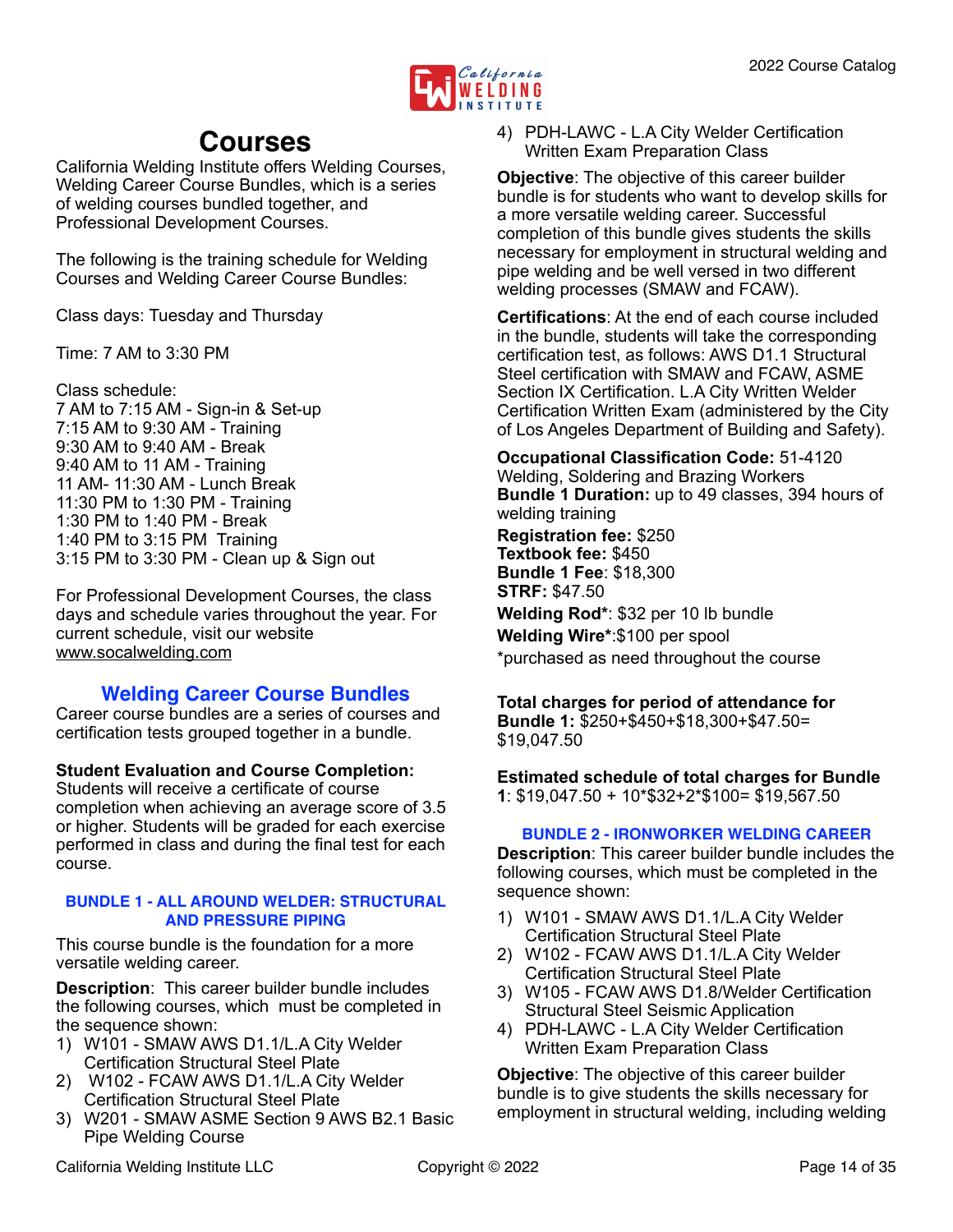

## <span id="page-13-0"></span>**Courses**

California Welding Institute offers Welding Courses, Welding Career Course Bundles, which is a series of welding courses bundled together, and Professional Development Courses.

The following is the training schedule for Welding Courses and Welding Career Course Bundles:

Class days: Tuesday and Thursday

Time: 7 AM to 3:30 PM

Class schedule: 7 AM to 7:15 AM - Sign-in & Set-up 7:15 AM to 9:30 AM - Training 9:30 AM to 9:40 AM - Break 9:40 AM to 11 AM - Training 11 AM- 11:30 AM - Lunch Break 11:30 PM to 1:30 PM - Training 1:30 PM to 1:40 PM - Break 1:40 PM to 3:15 PM Training 3:15 PM to 3:30 PM - Clean up & Sign out

For Professional Development Courses, the class days and schedule varies throughout the year. For current schedule, visit our website [www.socalwelding.com](http://www.socalwelding.com)

## <span id="page-13-1"></span>**Welding Career Course Bundles**

Career course bundles are a series of courses and certification tests grouped together in a bundle.

**Student Evaluation and Course Completion:**

Students will receive a certificate of course completion when achieving an average score of 3.5 or higher. Students will be graded for each exercise performed in class and during the final test for each course.

#### <span id="page-13-2"></span>**BUNDLE 1 - ALL AROUND WELDER: STRUCTURAL AND PRESSURE PIPING**

This course bundle is the foundation for a more versatile welding career.

**Description**: This career builder bundle includes the following courses, which must be completed in the sequence shown:

- 1) W101 SMAW AWS D1.1/L.A City Welder Certification Structural Steel Plate
- 2) W102 FCAW AWS D1.1/L.A City Welder Certification Structural Steel Plate
- 3) W201 SMAW ASME Section 9 AWS B2.1 Basic Pipe Welding Course

4) PDH-LAWC - L.A City Welder Certification Written Exam Preparation Class

**Objective**: The objective of this career builder bundle is for students who want to develop skills for a more versatile welding career. Successful completion of this bundle gives students the skills necessary for employment in structural welding and pipe welding and be well versed in two different welding processes (SMAW and FCAW).

**Certifications**: At the end of each course included in the bundle, students will take the corresponding certification test, as follows: AWS D1.1 Structural Steel certification with SMAW and FCAW, ASME Section IX Certification. L.A City Written Welder Certification Written Exam (administered by the City of Los Angeles Department of Building and Safety).

**Occupational Classification Code:** 51-4120 Welding, Soldering and Brazing Workers **Bundle 1 Duration:** up to 49 classes, 394 hours of welding training

**Registration fee:** \$250 **Textbook fee:** \$450 **Bundle 1 Fee**: \$18,300 **STRF:** \$47.50

**Welding Rod\***: \$32 per 10 lb bundle **Welding Wire\***:\$100 per spool

\*purchased as need throughout the course

#### **Total charges for period of attendance for Bundle 1:** \$250+\$450+\$18,300+\$47.50= \$19,047.50

**Estimated schedule of total charges for Bundle 1**: \$19,047.50 + 10\*\$32+2\*\$100= \$19,567.50

#### <span id="page-13-3"></span>**BUNDLE 2 - IRONWORKER WELDING CAREER**

**Description**: This career builder bundle includes the following courses, which must be completed in the sequence shown:

- 1) W101 SMAW AWS D1.1/L.A City Welder Certification Structural Steel Plate
- 2) W102 FCAW AWS D1.1/L.A City Welder Certification Structural Steel Plate
- 3) W105 FCAW AWS D1.8/Welder Certification Structural Steel Seismic Application
- 4) PDH-LAWC L.A City Welder Certification Written Exam Preparation Class

**Objective**: The objective of this career builder bundle is to give students the skills necessary for employment in structural welding, including welding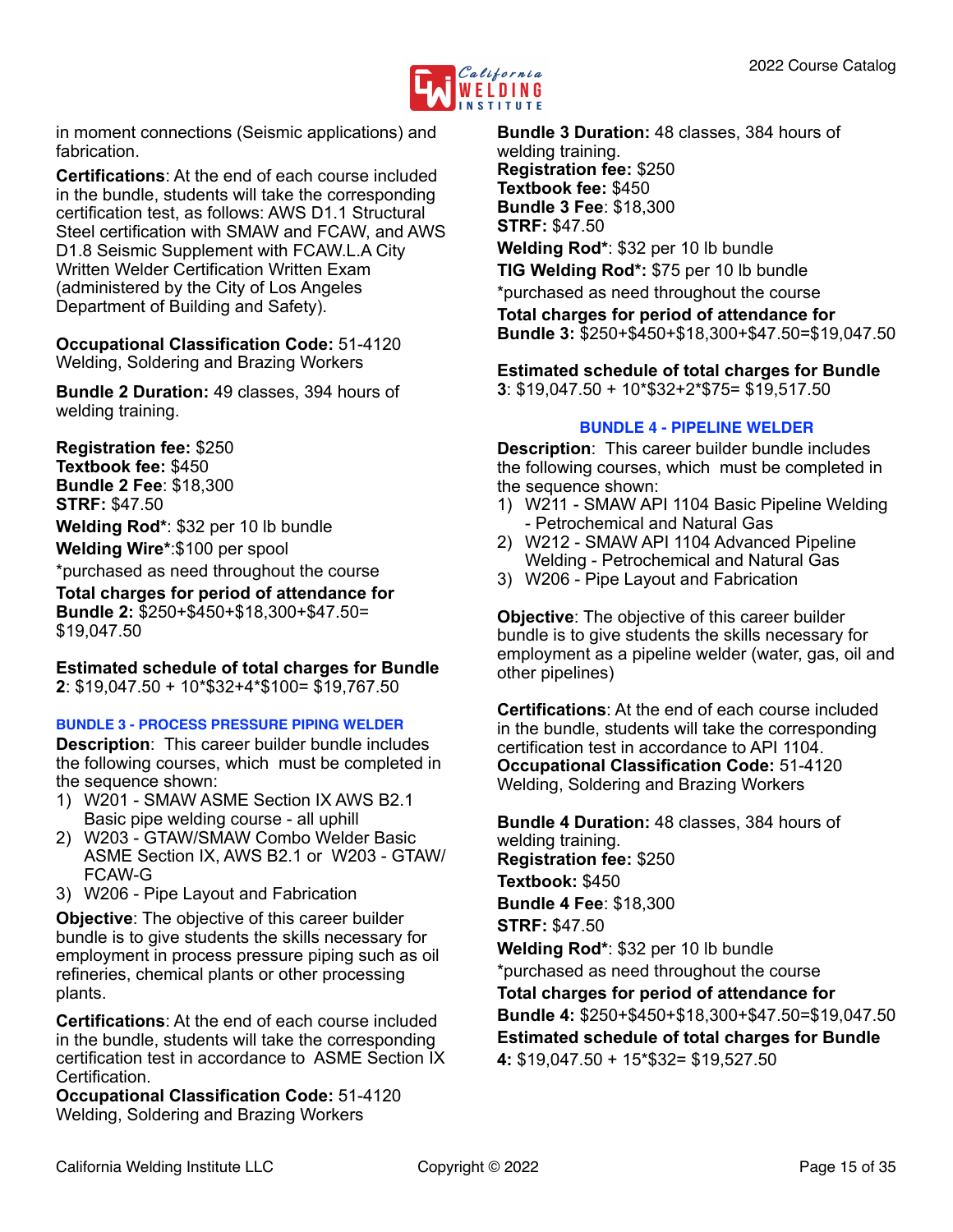

in moment connections (Seismic applications) and fabrication.

**Certifications**: At the end of each course included in the bundle, students will take the corresponding certification test, as follows: AWS D1.1 Structural Steel certification with SMAW and FCAW, and AWS D1.8 Seismic Supplement with FCAW.L.A City Written Welder Certification Written Exam (administered by the City of Los Angeles Department of Building and Safety).

**Occupational Classification Code:** 51-4120 Welding, Soldering and Brazing Workers

**Bundle 2 Duration:** 49 classes, 394 hours of welding training.

**Registration fee:** \$250 **Textbook fee:** \$450 **Bundle 2 Fee**: \$18,300 **STRF:** \$47.50

**Welding Rod\***: \$32 per 10 lb bundle

**Welding Wire\***:\$100 per spool

\*purchased as need throughout the course

**Total charges for period of attendance for Bundle 2:** \$250+\$450+\$18,300+\$47.50= \$19,047.50

**Estimated schedule of total charges for Bundle 2**: \$19,047.50 + 10\*\$32+4\*\$100= \$19,767.50

<span id="page-14-0"></span>**BUNDLE 3 - PROCESS PRESSURE PIPING WELDER**

**Description**: This career builder bundle includes the following courses, which must be completed in the sequence shown:

- 1) W201 SMAW ASME Section IX AWS B2.1 Basic pipe welding course - all uphill
- 2) W203 GTAW/SMAW Combo Welder Basic ASME Section IX, AWS B2.1 or W203 - GTAW/ FCAW-G
- 3) W206 Pipe Layout and Fabrication

**Objective**: The objective of this career builder bundle is to give students the skills necessary for employment in process pressure piping such as oil refineries, chemical plants or other processing plants.

**Certifications**: At the end of each course included in the bundle, students will take the corresponding certification test in accordance to ASME Section IX **Certification** 

**Occupational Classification Code:** 51-4120 Welding, Soldering and Brazing Workers

**Bundle 3 Duration:** 48 classes, 384 hours of welding training. **Registration fee:** \$250 **Textbook fee:** \$450 **Bundle 3 Fee**: \$18,300 **STRF:** \$47.50

**Welding Rod\***: \$32 per 10 lb bundle

**TIG Welding Rod\*:** \$75 per 10 lb bundle \*purchased as need throughout the course

**Total charges for period of attendance for Bundle 3:** \$250+\$450+\$18,300+\$47.50=\$19,047.50

**Estimated schedule of total charges for Bundle 3**: \$19,047.50 + 10\*\$32+2\*\$75= \$19,517.50

#### <span id="page-14-1"></span>**BUNDLE 4 - PIPELINE WELDER**

**Description**: This career builder bundle includes the following courses, which must be completed in the sequence shown:

- 1) W211 SMAW API 1104 Basic Pipeline Welding - Petrochemical and Natural Gas
- 2) W212 SMAW API 1104 Advanced Pipeline Welding - Petrochemical and Natural Gas
- 3) W206 Pipe Layout and Fabrication

**Objective**: The objective of this career builder bundle is to give students the skills necessary for employment as a pipeline welder (water, gas, oil and other pipelines)

**Certifications**: At the end of each course included in the bundle, students will take the corresponding certification test in accordance to API 1104. **Occupational Classification Code:** 51-4120 Welding, Soldering and Brazing Workers

**Bundle 4 Duration:** 48 classes, 384 hours of welding training. **Registration fee:** \$250 **Textbook:** \$450 **Bundle 4 Fee**: \$18,300 **STRF:** \$47.50 **Welding Rod\***: \$32 per 10 lb bundle \*purchased as need throughout the course **Total charges for period of attendance for Bundle 4:** \$250+\$450+\$18,300+\$47.50=\$19,047.50 **Estimated schedule of total charges for Bundle 4:** \$19,047.50 + 15\*\$32= \$19,527.50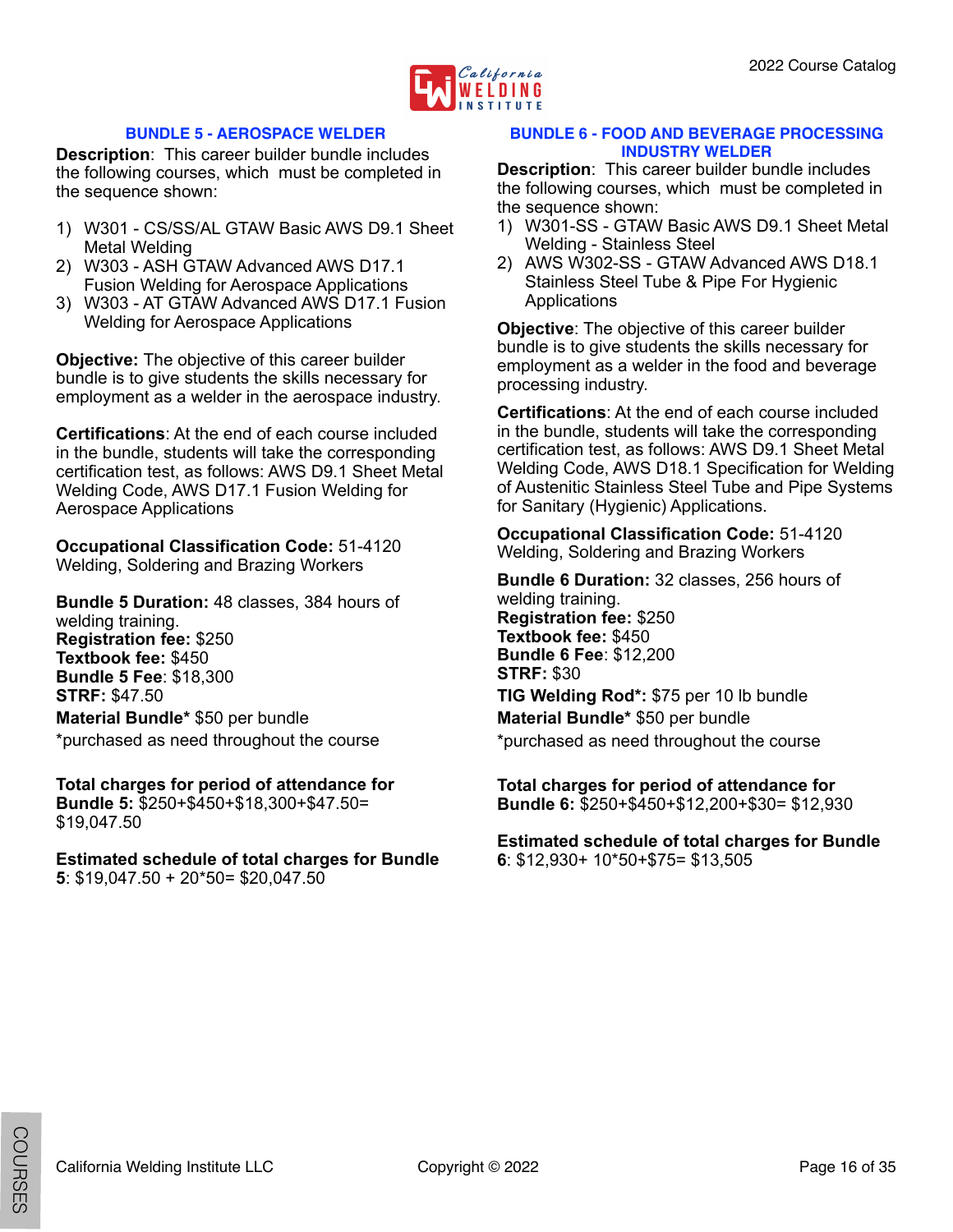

#### <span id="page-15-0"></span>**BUNDLE 5 - AEROSPACE WELDER**

**Description**: This career builder bundle includes the following courses, which must be completed in the sequence shown:

- 1) W301 CS/SS/AL GTAW Basic AWS D9.1 Sheet Metal Welding
- 2) W303 ASH GTAW Advanced AWS D17.1 Fusion Welding for Aerospace Applications
- 3) W303 AT GTAW Advanced AWS D17.1 Fusion Welding for Aerospace Applications

**Objective:** The objective of this career builder bundle is to give students the skills necessary for employment as a welder in the aerospace industry.

**Certifications**: At the end of each course included in the bundle, students will take the corresponding certification test, as follows: AWS D9.1 Sheet Metal Welding Code, AWS D17.1 Fusion Welding for Aerospace Applications

**Occupational Classification Code:** 51-4120 Welding, Soldering and Brazing Workers

**Bundle 5 Duration:** 48 classes, 384 hours of welding training. **Registration fee:** \$250 **Textbook fee:** \$450 **Bundle 5 Fee**: \$18,300 **STRF:** \$47.50

**Material Bundle\*** \$50 per bundle \*purchased as need throughout the course

**Total charges for period of attendance for Bundle 5:** \$250+\$450+\$18,300+\$47.50= \$19,047.50

**Estimated schedule of total charges for Bundle 5**: \$19,047.50 + 20\*50= \$20,047.50

#### <span id="page-15-1"></span>**BUNDLE 6 - FOOD AND BEVERAGE PROCESSING INDUSTRY WELDER**

**Description**: This career builder bundle includes the following courses, which must be completed in the sequence shown:

- 1) W301-SS GTAW Basic AWS D9.1 Sheet Metal Welding - Stainless Steel
- 2) AWS W302-SS GTAW Advanced AWS D18.1 Stainless Steel Tube & Pipe For Hygienic Applications

**Objective**: The objective of this career builder bundle is to give students the skills necessary for employment as a welder in the food and beverage processing industry.

**Certifications**: At the end of each course included in the bundle, students will take the corresponding certification test, as follows: AWS D9.1 Sheet Metal Welding Code, AWS D18.1 Specification for Welding of Austenitic Stainless Steel Tube and Pipe Systems for Sanitary (Hygienic) Applications.

**Occupational Classification Code:** 51-4120 Welding, Soldering and Brazing Workers

**Bundle 6 Duration:** 32 classes, 256 hours of welding training. **Registration fee:** \$250 **Textbook fee:** \$450 **Bundle 6 Fee**: \$12,200 **STRF:** \$30 **TIG Welding Rod\*:** \$75 per 10 lb bundle **Material Bundle\*** \$50 per bundle

\*purchased as need throughout the course

**Total charges for period of attendance for Bundle 6:** \$250+\$450+\$12,200+\$30= \$12,930

**Estimated schedule of total charges for Bundle 6**: \$12,930+ 10\*50+\$75= \$13,505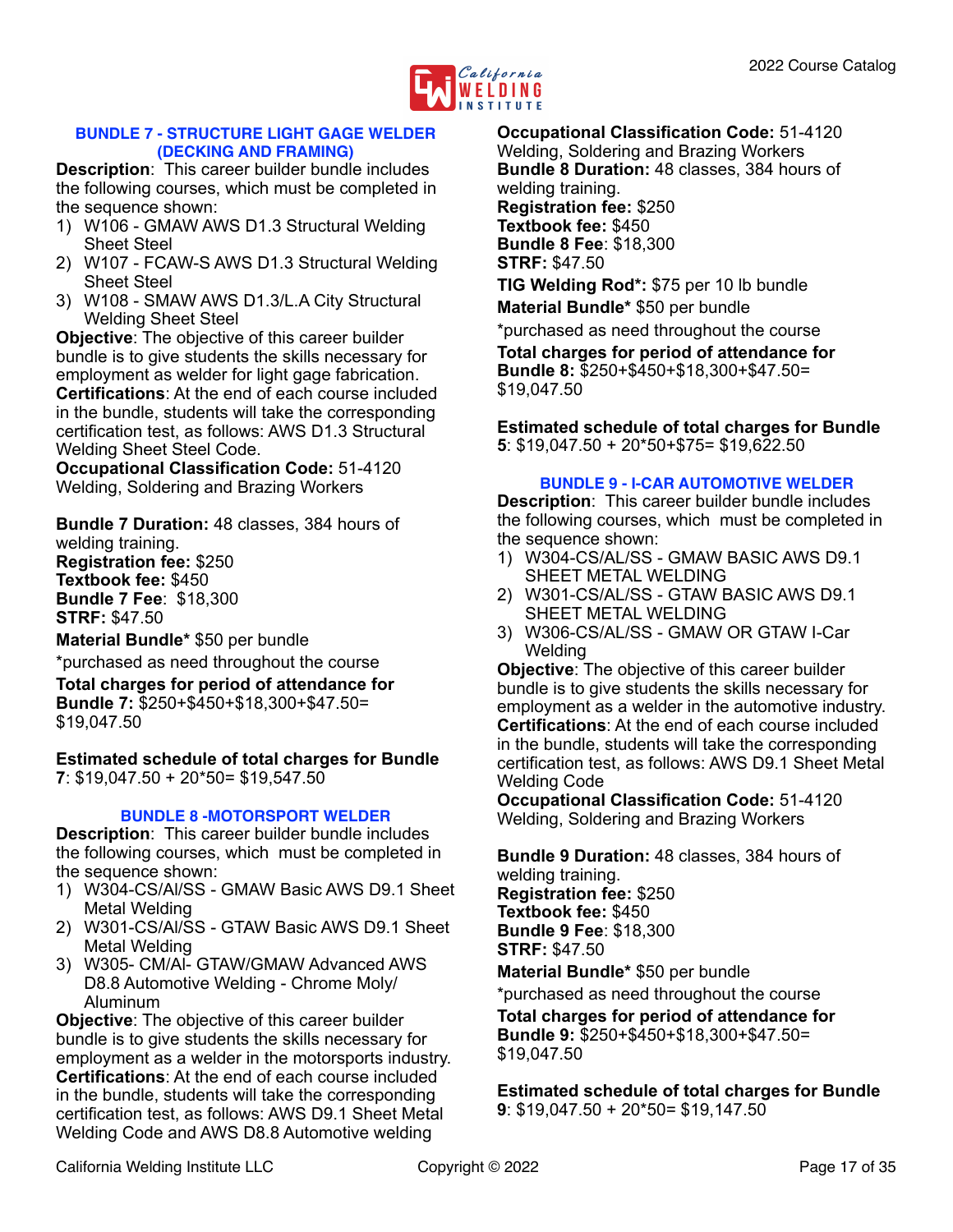

#### <span id="page-16-0"></span>**BUNDLE 7 - STRUCTURE LIGHT GAGE WELDER (DECKING AND FRAMING)**

**Description**: This career builder bundle includes the following courses, which must be completed in the sequence shown:

- 1) W106 GMAW AWS D1.3 Structural Welding Sheet Steel
- 2) W107 FCAW-S AWS D1.3 Structural Welding Sheet Steel
- 3) W108 SMAW AWS D1.3/L.A City Structural Welding Sheet Steel

**Objective**: The objective of this career builder bundle is to give students the skills necessary for employment as welder for light gage fabrication. **Certifications**: At the end of each course included in the bundle, students will take the corresponding certification test, as follows: AWS D1.3 Structural Welding Sheet Steel Code.

**Occupational Classification Code:** 51-4120 Welding, Soldering and Brazing Workers

**Bundle 7 Duration:** 48 classes, 384 hours of welding training.

**Registration fee:** \$250 **Textbook fee:** \$450 **Bundle 7 Fee**: \$18,300 **STRF:** \$47.50

**Material Bundle\*** \$50 per bundle

\*purchased as need throughout the course

**Total charges for period of attendance for Bundle 7:** \$250+\$450+\$18,300+\$47.50= \$19,047.50

**Estimated schedule of total charges for Bundle 7**: \$19,047.50 + 20\*50= \$19,547.50

#### <span id="page-16-1"></span>**BUNDLE 8 -MOTORSPORT WELDER**

**Description**: This career builder bundle includes the following courses, which must be completed in the sequence shown:

- 1) W304-CS/Al/SS GMAW Basic AWS D9.1 Sheet Metal Welding
- 2) W301-CS/Al/SS GTAW Basic AWS D9.1 Sheet Metal Welding
- 3) W305- CM/Al- GTAW/GMAW Advanced AWS D8.8 Automotive Welding - Chrome Moly/ Aluminum

**Objective**: The objective of this career builder bundle is to give students the skills necessary for employment as a welder in the motorsports industry. **Certifications**: At the end of each course included in the bundle, students will take the corresponding certification test, as follows: AWS D9.1 Sheet Metal Welding Code and AWS D8.8 Automotive welding

**Occupational Classification Code:** 51-4120 Welding, Soldering and Brazing Workers **Bundle 8 Duration:** 48 classes, 384 hours of welding training. **Registration fee:** \$250 **Textbook fee:** \$450 **Bundle 8 Fee**: \$18,300 **STRF:** \$47.50

**TIG Welding Rod\*:** \$75 per 10 lb bundle **Material Bundle\*** \$50 per bundle

\*purchased as need throughout the course

**Total charges for period of attendance for Bundle 8:** \$250+\$450+\$18,300+\$47.50= \$19,047.50

#### **Estimated schedule of total charges for Bundle 5**: \$19,047.50 + 20\*50+\$75= \$19,622.50

#### <span id="page-16-2"></span>**BUNDLE 9 - I-CAR AUTOMOTIVE WELDER**

**Description**: This career builder bundle includes the following courses, which must be completed in the sequence shown:

- 1) W304-CS/AL/SS GMAW BASIC AWS D9.1 SHEET METAL WELDING
- 2) W301-CS/AL/SS GTAW BASIC AWS D9.1 SHEET METAL WELDING
- 3) W306-CS/AL/SS GMAW OR GTAW I-Car **Welding**

**Objective**: The objective of this career builder bundle is to give students the skills necessary for employment as a welder in the automotive industry. **Certifications**: At the end of each course included in the bundle, students will take the corresponding certification test, as follows: AWS D9.1 Sheet Metal Welding Code

**Occupational Classification Code:** 51-4120 Welding, Soldering and Brazing Workers

**Bundle 9 Duration:** 48 classes, 384 hours of welding training. **Registration fee:** \$250 **Textbook fee:** \$450 **Bundle 9 Fee**: \$18,300 **STRF:** \$47.50 **Material Bundle\*** \$50 per bundle

\*purchased as need throughout the course

**Total charges for period of attendance for Bundle 9:** \$250+\$450+\$18,300+\$47.50= \$19,047.50

**Estimated schedule of total charges for Bundle 9**: \$19,047.50 + 20\*50= \$19,147.50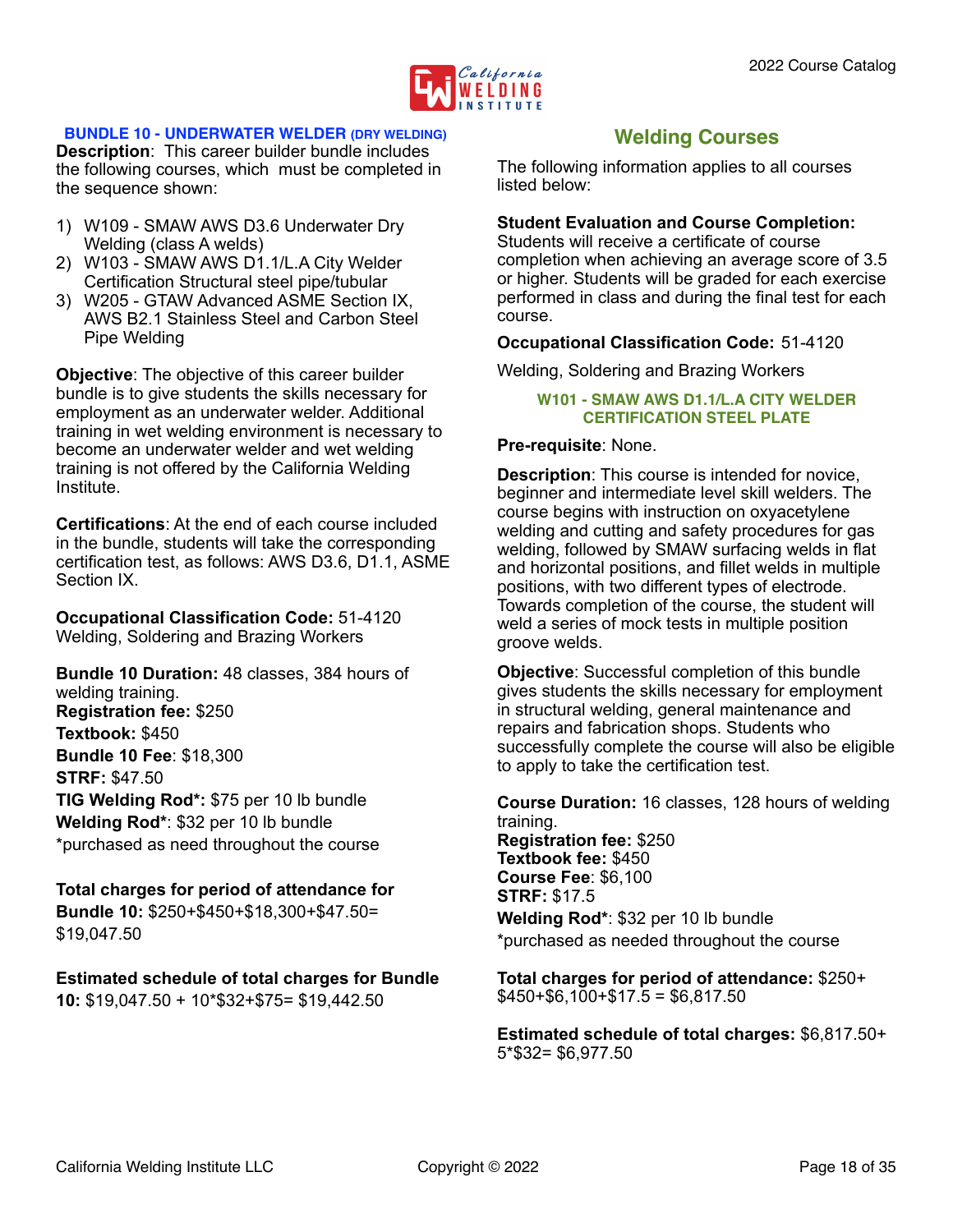

#### <span id="page-17-0"></span>**BUNDLE 10 - UNDERWATER WELDER (DRY WELDING)**

**Description**: This career builder bundle includes the following courses, which must be completed in the sequence shown:

- 1) W109 SMAW AWS D3.6 Underwater Dry Welding (class A welds)
- 2) W103 SMAW AWS D1.1/L.A City Welder Certification Structural steel pipe/tubular
- 3) W205 GTAW Advanced ASME Section IX, AWS B2.1 Stainless Steel and Carbon Steel Pipe Welding

**Objective**: The objective of this career builder bundle is to give students the skills necessary for employment as an underwater welder. Additional training in wet welding environment is necessary to become an underwater welder and wet welding training is not offered by the California Welding Institute.

**Certifications**: At the end of each course included in the bundle, students will take the corresponding certification test, as follows: AWS D3.6, D1.1, ASME Section IX.

**Occupational Classification Code:** 51-4120 Welding, Soldering and Brazing Workers

**Bundle 10 Duration:** 48 classes, 384 hours of welding training. **Registration fee:** \$250 **Textbook:** \$450 **Bundle 10 Fee**: \$18,300 **STRF:** \$47.50 **TIG Welding Rod\*:** \$75 per 10 lb bundle **Welding Rod\***: \$32 per 10 lb bundle \*purchased as need throughout the course

#### **Total charges for period of attendance for Bundle 10:** \$250+\$450+\$18,300+\$47.50= \$19,047.50

#### **Estimated schedule of total charges for Bundle 10:** \$19,047.50 + 10\*\$32+\$75= \$19,442.50

## <span id="page-17-1"></span>**Welding Courses**

The following information applies to all courses listed below:

#### **Student Evaluation and Course Completion:**

Students will receive a certificate of course completion when achieving an average score of 3.5 or higher. Students will be graded for each exercise performed in class and during the final test for each course.

#### **Occupational Classification Code:** 51-4120

Welding, Soldering and Brazing Workers

#### <span id="page-17-2"></span>**W101 - SMAW AWS D1.1/L.A CITY WELDER CERTIFICATION STEEL PLATE**

#### **Pre-requisite**: None.

**Description**: This course is intended for novice, beginner and intermediate level skill welders. The course begins with instruction on oxyacetylene welding and cutting and safety procedures for gas welding, followed by SMAW surfacing welds in flat and horizontal positions, and fillet welds in multiple positions, with two different types of electrode. Towards completion of the course, the student will weld a series of mock tests in multiple position groove welds.

**Objective**: Successful completion of this bundle gives students the skills necessary for employment in structural welding, general maintenance and repairs and fabrication shops. Students who successfully complete the course will also be eligible to apply to take the certification test.

**Course Duration:** 16 classes, 128 hours of welding training.

**Registration fee:** \$250 **Textbook fee:** \$450 **Course Fee**: \$6,100 **STRF:** \$17.5

**Welding Rod\***: \$32 per 10 lb bundle \*purchased as needed throughout the course

**Total charges for period of attendance:** \$250+  $$450+ $6,100+ $17.5 = $6,817.50$ 

**Estimated schedule of total charges:** \$6,817.50+ 5\*\$32= \$6,977.50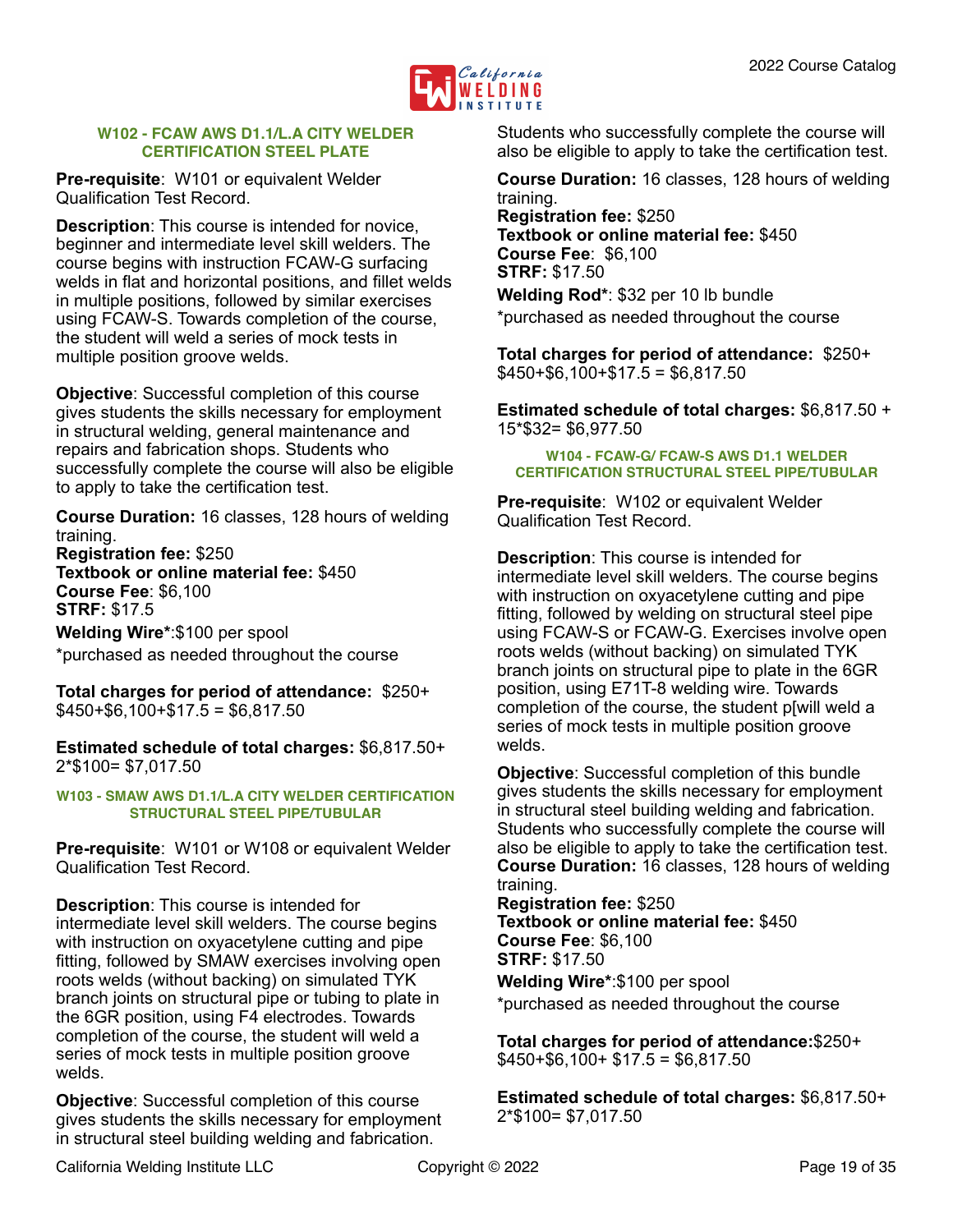

#### <span id="page-18-0"></span>**W102 - FCAW AWS D1.1/L.A CITY WELDER CERTIFICATION STEEL PLATE**

**Pre-requisite**: W101 or equivalent Welder Qualification Test Record.

**Description**: This course is intended for novice, beginner and intermediate level skill welders. The course begins with instruction FCAW-G surfacing welds in flat and horizontal positions, and fillet welds in multiple positions, followed by similar exercises using FCAW-S. Towards completion of the course, the student will weld a series of mock tests in multiple position groove welds.

**Objective**: Successful completion of this course gives students the skills necessary for employment in structural welding, general maintenance and repairs and fabrication shops. Students who successfully complete the course will also be eligible to apply to take the certification test.

**Course Duration:** 16 classes, 128 hours of welding training. **Registration fee:** \$250 **Textbook or online material fee:** \$450 **Course Fee**: \$6,100

**STRF:** \$17.5

**Welding Wire\***:\$100 per spool \*purchased as needed throughout the course

**Total charges for period of attendance:** \$250+  $$450+$6,100+$17.5 = $6,817.50$ 

**Estimated schedule of total charges:** \$6,817.50+ 2\*\$100= \$7,017.50

<span id="page-18-1"></span>**W103 - SMAW AWS D1.1/L.A CITY WELDER CERTIFICATION STRUCTURAL STEEL PIPE/TUBULAR**

**Pre-requisite**: W101 or W108 or equivalent Welder Qualification Test Record.

**Description**: This course is intended for intermediate level skill welders. The course begins with instruction on oxyacetylene cutting and pipe fitting, followed by SMAW exercises involving open roots welds (without backing) on simulated TYK branch joints on structural pipe or tubing to plate in the 6GR position, using F4 electrodes. Towards completion of the course, the student will weld a series of mock tests in multiple position groove welds.

**Objective**: Successful completion of this course gives students the skills necessary for employment in structural steel building welding and fabrication.

Students who successfully complete the course will also be eligible to apply to take the certification test.

**Course Duration:** 16 classes, 128 hours of welding training.

**Registration fee:** \$250 **Textbook or online material fee:** \$450 **Course Fee**: \$6,100 **STRF:** \$17.50 **Welding Rod\***: \$32 per 10 lb bundle

\*purchased as needed throughout the course

**Total charges for period of attendance:** \$250+  $$450+$6,100+$17.5 = $6,817.50$ 

**Estimated schedule of total charges:** \$6,817.50 + 15\*\$32= \$6,977.50

<span id="page-18-2"></span>**W104 - FCAW-G/ FCAW-S AWS D1.1 WELDER CERTIFICATION STRUCTURAL STEEL PIPE/TUBULAR**

**Pre-requisite**: W102 or equivalent Welder Qualification Test Record.

**Description**: This course is intended for intermediate level skill welders. The course begins with instruction on oxyacetylene cutting and pipe fitting, followed by welding on structural steel pipe using FCAW-S or FCAW-G. Exercises involve open roots welds (without backing) on simulated TYK branch joints on structural pipe to plate in the 6GR position, using E71T-8 welding wire. Towards completion of the course, the student p[will weld a series of mock tests in multiple position groove welds.

**Objective**: Successful completion of this bundle gives students the skills necessary for employment in structural steel building welding and fabrication. Students who successfully complete the course will also be eligible to apply to take the certification test. **Course Duration:** 16 classes, 128 hours of welding training.

**Registration fee:** \$250 **Textbook or online material fee:** \$450 **Course Fee**: \$6,100 **STRF:** \$17.50 **Welding Wire\***:\$100 per spool

\*purchased as needed throughout the course

**Total charges for period of attendance:**\$250+  $$450+ $6,100+ $17.5 = $6,817.50$ 

**Estimated schedule of total charges:** \$6,817.50+ 2\*\$100= \$7,017.50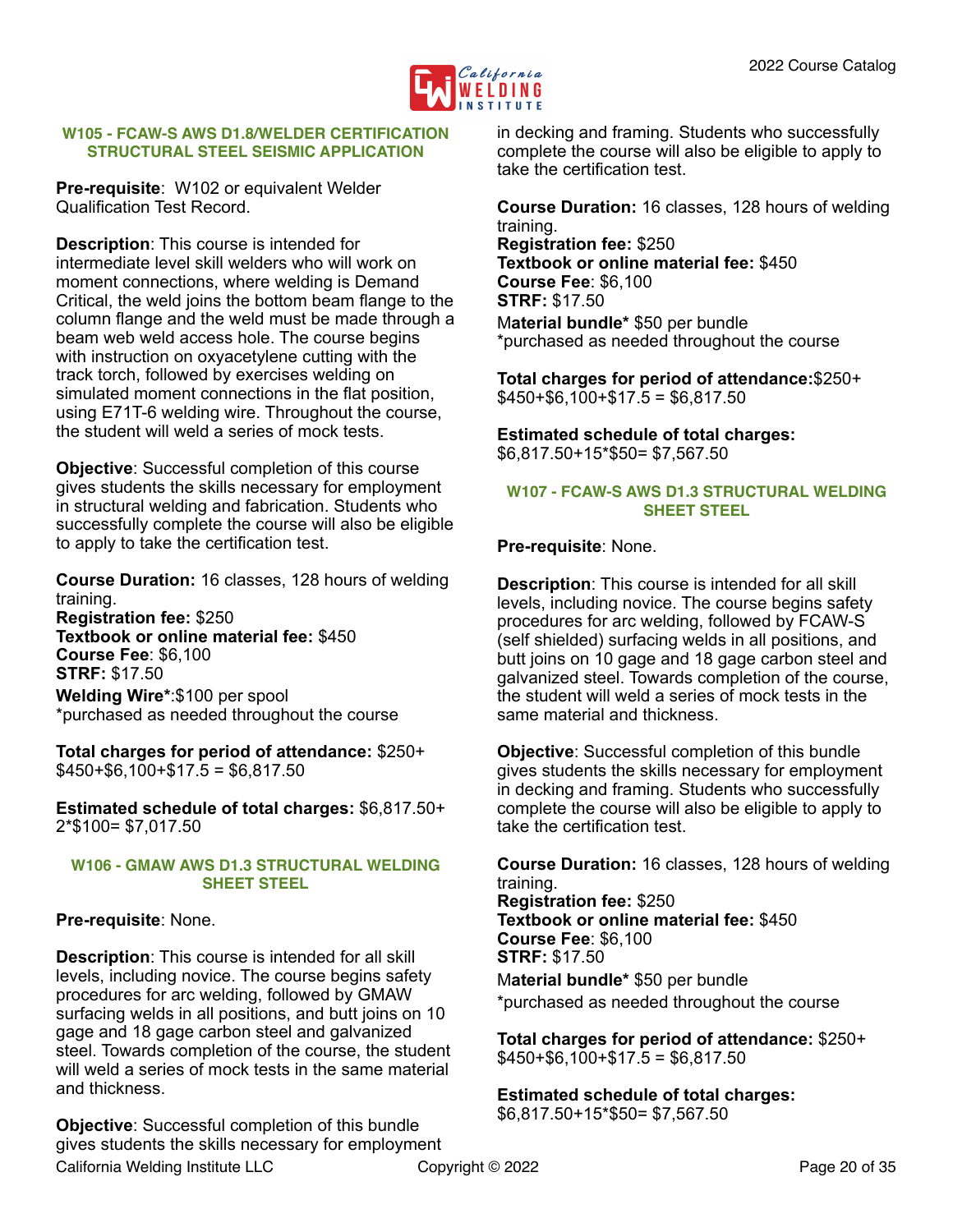

#### <span id="page-19-0"></span>**W105 - FCAW-S AWS D1.8/WELDER CERTIFICATION STRUCTURAL STEEL SEISMIC APPLICATION**

**Pre-requisite**: W102 or equivalent Welder Qualification Test Record.

**Description**: This course is intended for intermediate level skill welders who will work on moment connections, where welding is Demand Critical, the weld joins the bottom beam flange to the column flange and the weld must be made through a beam web weld access hole. The course begins with instruction on oxyacetylene cutting with the track torch, followed by exercises welding on simulated moment connections in the flat position, using E71T-6 welding wire. Throughout the course, the student will weld a series of mock tests.

**Objective**: Successful completion of this course gives students the skills necessary for employment in structural welding and fabrication. Students who successfully complete the course will also be eligible to apply to take the certification test.

**Course Duration:** 16 classes, 128 hours of welding training. **Registration fee:** \$250

**Textbook or online material fee:** \$450 **Course Fee**: \$6,100 **STRF:** \$17.50 **Welding Wire\***:\$100 per spool \*purchased as needed throughout the course

**Total charges for period of attendance:** \$250+  $$450+ $6,100+ $17.5 = $6,817.50$ 

**Estimated schedule of total charges:** \$6,817.50+ 2\*\$100= \$7,017.50

#### <span id="page-19-1"></span>**W106 - GMAW AWS D1.3 STRUCTURAL WELDING SHEET STEEL**

#### **Pre-requisite**: None.

**Description**: This course is intended for all skill levels, including novice. The course begins safety procedures for arc welding, followed by GMAW surfacing welds in all positions, and butt joins on 10 gage and 18 gage carbon steel and galvanized steel. Towards completion of the course, the student will weld a series of mock tests in the same material and thickness.

**Objective**: Successful completion of this bundle gives students the skills necessary for employment

in decking and framing. Students who successfully complete the course will also be eligible to apply to take the certification test.

**Course Duration:** 16 classes, 128 hours of welding training.

**Registration fee:** \$250 **Textbook or online material fee:** \$450 **Course Fee**: \$6,100 **STRF:** \$17.50 M**aterial bundle\*** \$50 per bundle \*purchased as needed throughout the course

**Total charges for period of attendance:**\$250+  $$450+ $6,100+ $17.5 = $6,817.50$ 

**Estimated schedule of total charges:**  \$6,817.50+15\*\$50= \$7,567.50

#### <span id="page-19-2"></span>**W107 - FCAW-S AWS D1.3 STRUCTURAL WELDING SHEET STEEL**

#### **Pre-requisite**: None.

**Description**: This course is intended for all skill levels, including novice. The course begins safety procedures for arc welding, followed by FCAW-S (self shielded) surfacing welds in all positions, and butt joins on 10 gage and 18 gage carbon steel and galvanized steel. Towards completion of the course, the student will weld a series of mock tests in the same material and thickness.

**Objective**: Successful completion of this bundle gives students the skills necessary for employment in decking and framing. Students who successfully complete the course will also be eligible to apply to take the certification test.

**Course Duration:** 16 classes, 128 hours of welding training.

**Registration fee:** \$250 **Textbook or online material fee:** \$450 **Course Fee**: \$6,100 **STRF:** \$17.50 M**aterial bundle\*** \$50 per bundle \*purchased as needed throughout the course

**Total charges for period of attendance:** \$250+  $$450+$6,100+$17.5 = $6,817.50$ 

**Estimated schedule of total charges:**  \$6,817.50+15\*\$50= \$7,567.50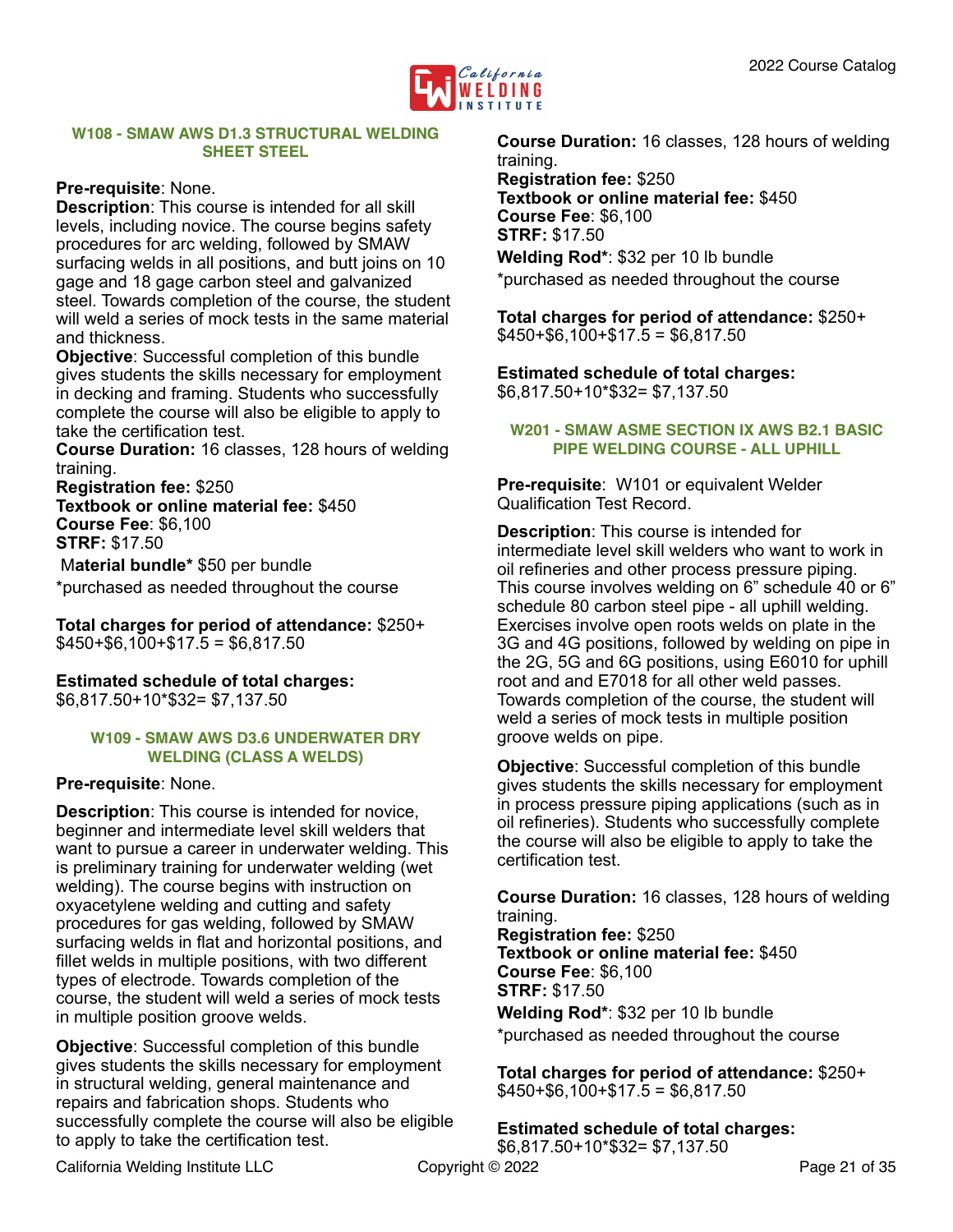

#### <span id="page-20-0"></span>**W108 - SMAW AWS D1.3 STRUCTURAL WELDING SHEET STEEL**

#### **Pre-requisite**: None.

**Description**: This course is intended for all skill levels, including novice. The course begins safety procedures for arc welding, followed by SMAW surfacing welds in all positions, and butt joins on 10 gage and 18 gage carbon steel and galvanized steel. Towards completion of the course, the student will weld a series of mock tests in the same material and thickness.

**Objective**: Successful completion of this bundle gives students the skills necessary for employment in decking and framing. Students who successfully complete the course will also be eligible to apply to take the certification test.

**Course Duration:** 16 classes, 128 hours of welding training.

**Registration fee:** \$250 **Textbook or online material fee:** \$450 **Course Fee**: \$6,100 **STRF:** \$17.50

 M**aterial bundle\*** \$50 per bundle \*purchased as needed throughout the course

**Total charges for period of attendance:** \$250+  $$450+$6.100+$17.5 = $6.817.50$ 

**Estimated schedule of total charges:**  \$6,817.50+10\*\$32= \$7,137.50

#### <span id="page-20-1"></span>**W109 - SMAW AWS D3.6 UNDERWATER DRY WELDING (CLASS A WELDS)**

#### **Pre-requisite**: None.

**Description**: This course is intended for novice, beginner and intermediate level skill welders that want to pursue a career in underwater welding. This is preliminary training for underwater welding (wet welding). The course begins with instruction on oxyacetylene welding and cutting and safety procedures for gas welding, followed by SMAW surfacing welds in flat and horizontal positions, and fillet welds in multiple positions, with two different types of electrode. Towards completion of the course, the student will weld a series of mock tests in multiple position groove welds.

**Objective:** Successful completion of this bundle gives students the skills necessary for employment in structural welding, general maintenance and repairs and fabrication shops. Students who successfully complete the course will also be eligible to apply to take the certification test.

**Course Duration:** 16 classes, 128 hours of welding training. **Registration fee:** \$250 **Textbook or online material fee:** \$450 **Course Fee**: \$6,100 **STRF:** \$17.50 **Welding Rod\***: \$32 per 10 lb bundle

\*purchased as needed throughout the course

**Total charges for period of attendance:** \$250+  $$450+ $6,100+ $17.5 = $6,817.50$ 

**Estimated schedule of total charges:** \$6,817.50+10\*\$32= \$7,137.50

#### <span id="page-20-2"></span>**W201 - SMAW ASME SECTION IX AWS B2.1 BASIC PIPE WELDING COURSE - ALL UPHILL**

**Pre-requisite**: W101 or equivalent Welder Qualification Test Record.

**Description**: This course is intended for intermediate level skill welders who want to work in oil refineries and other process pressure piping. This course involves welding on 6" schedule 40 or 6" schedule 80 carbon steel pipe - all uphill welding. Exercises involve open roots welds on plate in the 3G and 4G positions, followed by welding on pipe in the 2G, 5G and 6G positions, using E6010 for uphill root and and E7018 for all other weld passes. Towards completion of the course, the student will weld a series of mock tests in multiple position groove welds on pipe.

**Objective**: Successful completion of this bundle gives students the skills necessary for employment in process pressure piping applications (such as in oil refineries). Students who successfully complete the course will also be eligible to apply to take the certification test.

**Course Duration:** 16 classes, 128 hours of welding training.

**Registration fee:** \$250 **Textbook or online material fee:** \$450 **Course Fee**: \$6,100 **STRF:** \$17.50 **Welding Rod\***: \$32 per 10 lb bundle

\*purchased as needed throughout the course

**Total charges for period of attendance:** \$250+  $$450+$6,100+$17.5 = $6,817.50$ 

**Estimated schedule of total charges:** \$6,817.50+10\*\$32= \$7,137.50

California Welding Institute LLC Copyright © 2022 Page 21 of 35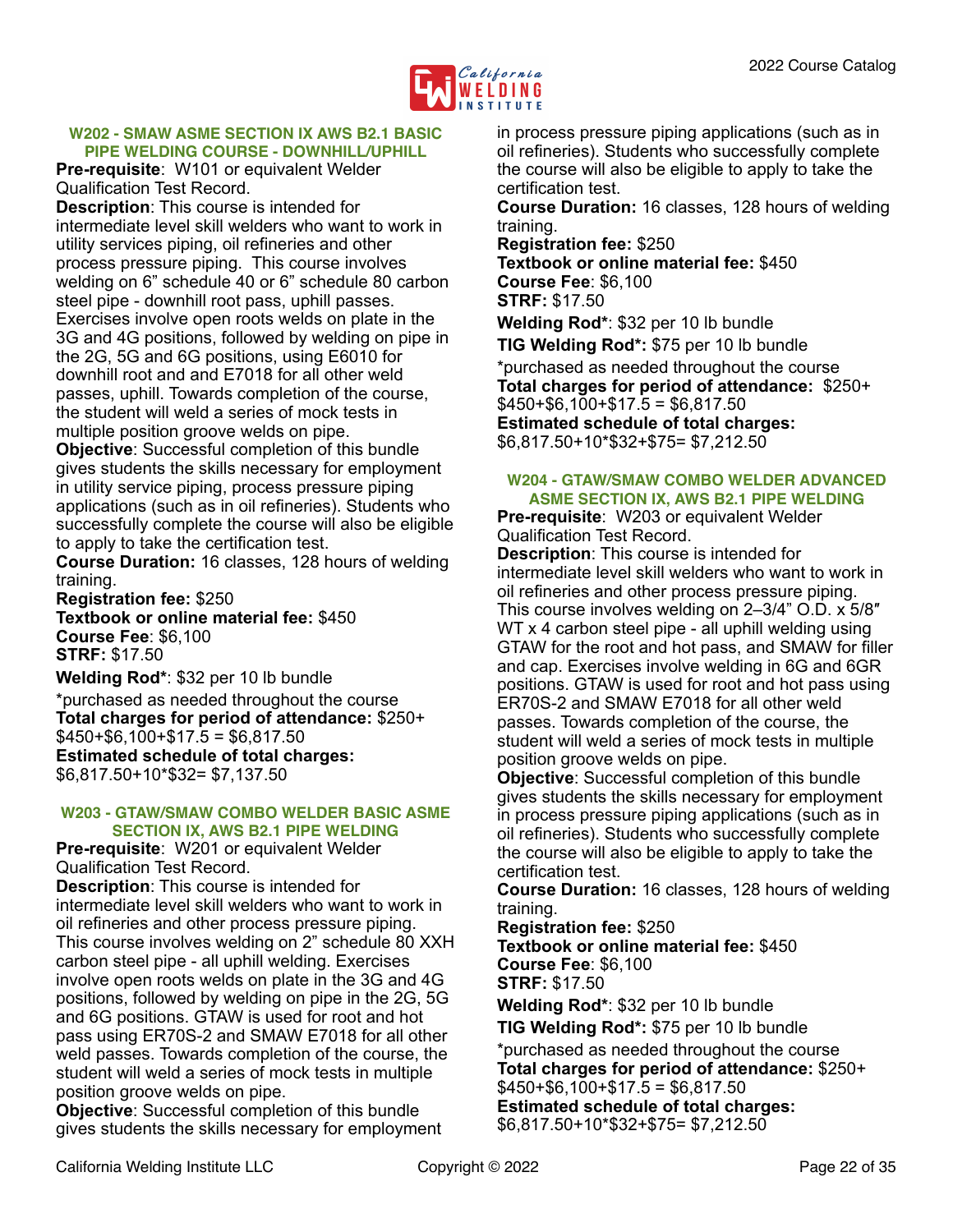

#### <span id="page-21-0"></span>**W202 - SMAW ASME SECTION IX AWS B2.1 BASIC PIPE WELDING COURSE - DOWNHILL/UPHILL**

**Pre-requisite**: W101 or equivalent Welder Qualification Test Record.

**Description**: This course is intended for intermediate level skill welders who want to work in utility services piping, oil refineries and other process pressure piping. This course involves welding on 6" schedule 40 or 6" schedule 80 carbon steel pipe - downhill root pass, uphill passes. Exercises involve open roots welds on plate in the 3G and 4G positions, followed by welding on pipe in the 2G, 5G and 6G positions, using E6010 for downhill root and and E7018 for all other weld passes, uphill. Towards completion of the course, the student will weld a series of mock tests in multiple position groove welds on pipe.

**Objective**: Successful completion of this bundle gives students the skills necessary for employment in utility service piping, process pressure piping applications (such as in oil refineries). Students who successfully complete the course will also be eligible to apply to take the certification test.

**Course Duration:** 16 classes, 128 hours of welding training.

**Registration fee:** \$250 **Textbook or online material fee:** \$450 **Course Fee**: \$6,100 **STRF:** \$17.50

**Welding Rod\***: \$32 per 10 lb bundle

\*purchased as needed throughout the course **Total charges for period of attendance:** \$250+  $$450+$6,100+$17.5 = $6,817.50$ **Estimated schedule of total charges:** \$6,817.50+10\*\$32= \$7,137.50

#### <span id="page-21-1"></span>**W203 - GTAW/SMAW COMBO WELDER BASIC ASME SECTION IX, AWS B2.1 PIPE WELDING**

**Pre-requisite**: W201 or equivalent Welder Qualification Test Record. **Description**: This course is intended for intermediate level skill welders who want to work in oil refineries and other process pressure piping. This course involves welding on 2" schedule 80 XXH carbon steel pipe - all uphill welding. Exercises involve open roots welds on plate in the 3G and 4G positions, followed by welding on pipe in the 2G, 5G and 6G positions. GTAW is used for root and hot pass using ER70S-2 and SMAW E7018 for all other weld passes. Towards completion of the course, the student will weld a series of mock tests in multiple position groove welds on pipe.

**Objective**: Successful completion of this bundle gives students the skills necessary for employment

in process pressure piping applications (such as in oil refineries). Students who successfully complete the course will also be eligible to apply to take the certification test.

**Course Duration:** 16 classes, 128 hours of welding training.

**Registration fee:** \$250 **Textbook or online material fee:** \$450 **Course Fee**: \$6,100 **STRF:** \$17.50

**Welding Rod\***: \$32 per 10 lb bundle **TIG Welding Rod\*:** \$75 per 10 lb bundle \*purchased as needed throughout the course **Total charges for period of attendance:** \$250+  $$450+ $6,100+ $17.5 = $6,817.50$ **Estimated schedule of total charges:** \$6,817.50+10\*\$32+\$75= \$7,212.50

#### <span id="page-21-2"></span>**W204 - GTAW/SMAW COMBO WELDER ADVANCED ASME SECTION IX, AWS B2.1 PIPE WELDING**

**Pre-requisite**: W203 or equivalent Welder Qualification Test Record.

**Description**: This course is intended for intermediate level skill welders who want to work in oil refineries and other process pressure piping. This course involves welding on 2–3/4" O.D. x 5/8″ WT x 4 carbon steel pipe - all uphill welding using GTAW for the root and hot pass, and SMAW for filler and cap. Exercises involve welding in 6G and 6GR positions. GTAW is used for root and hot pass using ER70S-2 and SMAW E7018 for all other weld passes. Towards completion of the course, the student will weld a series of mock tests in multiple position groove welds on pipe.

**Objective**: Successful completion of this bundle gives students the skills necessary for employment in process pressure piping applications (such as in oil refineries). Students who successfully complete the course will also be eligible to apply to take the certification test.

**Course Duration:** 16 classes, 128 hours of welding training.

**Registration fee:** \$250

**Textbook or online material fee:** \$450 **Course Fee**: \$6,100 **STRF:** \$17.50

**Welding Rod\***: \$32 per 10 lb bundle

**TIG Welding Rod\*:** \$75 per 10 lb bundle

\*purchased as needed throughout the course **Total charges for period of attendance:** \$250+  $$450+$6,100+$17.5 = $6,817.50$ **Estimated schedule of total charges:** \$6,817.50+10\*\$32+\$75= \$7,212.50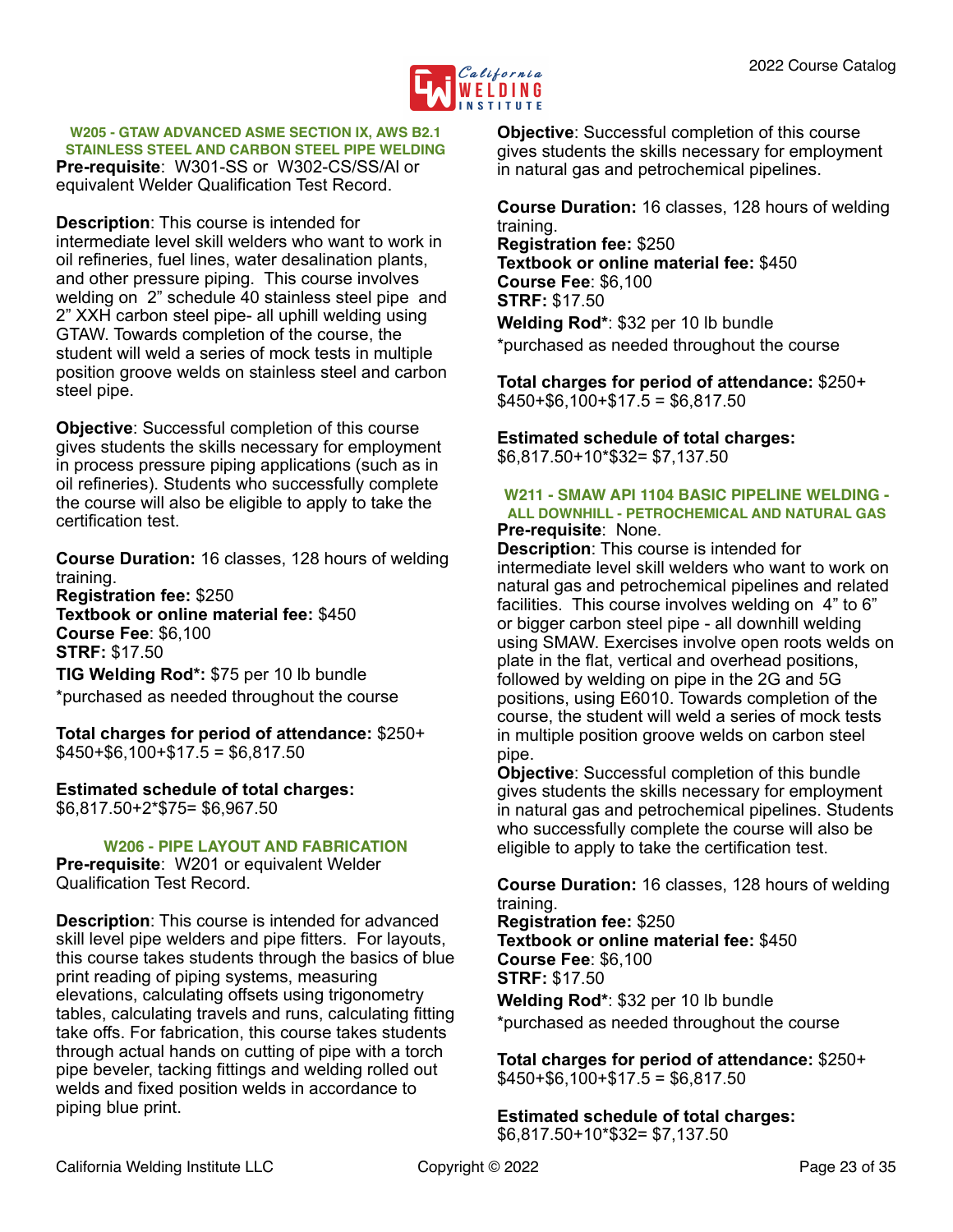

<span id="page-22-0"></span>**W205 - GTAW ADVANCED ASME SECTION IX, AWS B2.1** 

**STAINLESS STEEL AND CARBON STEEL PIPE WELDING Pre-requisite**: W301-SS or W302-CS/SS/Al or equivalent Welder Qualification Test Record.

**Description**: This course is intended for intermediate level skill welders who want to work in oil refineries, fuel lines, water desalination plants, and other pressure piping. This course involves welding on 2" schedule 40 stainless steel pipe and 2" XXH carbon steel pipe- all uphill welding using GTAW. Towards completion of the course, the student will weld a series of mock tests in multiple position groove welds on stainless steel and carbon steel pipe.

**Objective**: Successful completion of this course gives students the skills necessary for employment in process pressure piping applications (such as in oil refineries). Students who successfully complete the course will also be eligible to apply to take the certification test.

**Course Duration:** 16 classes, 128 hours of welding training.

**Registration fee:** \$250 **Textbook or online material fee:** \$450 **Course Fee**: \$6,100 **STRF:** \$17.50

**TIG Welding Rod\*:** \$75 per 10 lb bundle \*purchased as needed throughout the course

**Total charges for period of attendance:** \$250+  $$450+ $6,100+ $17.5 = $6,817.50$ 

**Estimated schedule of total charges:** \$6,817.50+2\*\$75= \$6,967.50

<span id="page-22-1"></span>**W206 - PIPE LAYOUT AND FABRICATION**

**Pre-requisite**: W201 or equivalent Welder Qualification Test Record.

**Description**: This course is intended for advanced skill level pipe welders and pipe fitters. For layouts, this course takes students through the basics of blue print reading of piping systems, measuring elevations, calculating offsets using trigonometry tables, calculating travels and runs, calculating fitting take offs. For fabrication, this course takes students through actual hands on cutting of pipe with a torch pipe beveler, tacking fittings and welding rolled out welds and fixed position welds in accordance to piping blue print.

**Objective**: Successful completion of this course gives students the skills necessary for employment in natural gas and petrochemical pipelines.

**Course Duration:** 16 classes, 128 hours of welding training.

**Registration fee:** \$250 **Textbook or online material fee:** \$450 **Course Fee**: \$6,100 **STRF:** \$17.50 **Welding Rod\***: \$32 per 10 lb bundle \*purchased as needed throughout the course

**Total charges for period of attendance:** \$250+  $$450+$6,100+$17.5 = $6,817.50$ 

**Estimated schedule of total charges:** \$6,817.50+10\*\$32= \$7,137.50

#### <span id="page-22-2"></span>**W211 - SMAW API 1104 BASIC PIPELINE WELDING - ALL DOWNHILL - PETROCHEMICAL AND NATURAL GAS Pre-requisite**: None.

**Description**: This course is intended for intermediate level skill welders who want to work on natural gas and petrochemical pipelines and related facilities. This course involves welding on 4" to 6" or bigger carbon steel pipe - all downhill welding using SMAW. Exercises involve open roots welds on plate in the flat, vertical and overhead positions, followed by welding on pipe in the 2G and 5G positions, using E6010. Towards completion of the course, the student will weld a series of mock tests in multiple position groove welds on carbon steel pipe.

**Objective**: Successful completion of this bundle gives students the skills necessary for employment in natural gas and petrochemical pipelines. Students who successfully complete the course will also be eligible to apply to take the certification test.

**Course Duration:** 16 classes, 128 hours of welding training.

**Registration fee:** \$250 **Textbook or online material fee:** \$450 **Course Fee**: \$6,100 **STRF:** \$17.50 **Welding Rod\***: \$32 per 10 lb bundle \*purchased as needed throughout the course

**Total charges for period of attendance:** \$250+  $$450+ $6,100+ $17.5 = $6,817.50$ 

**Estimated schedule of total charges:** \$6,817.50+10\*\$32= \$7,137.50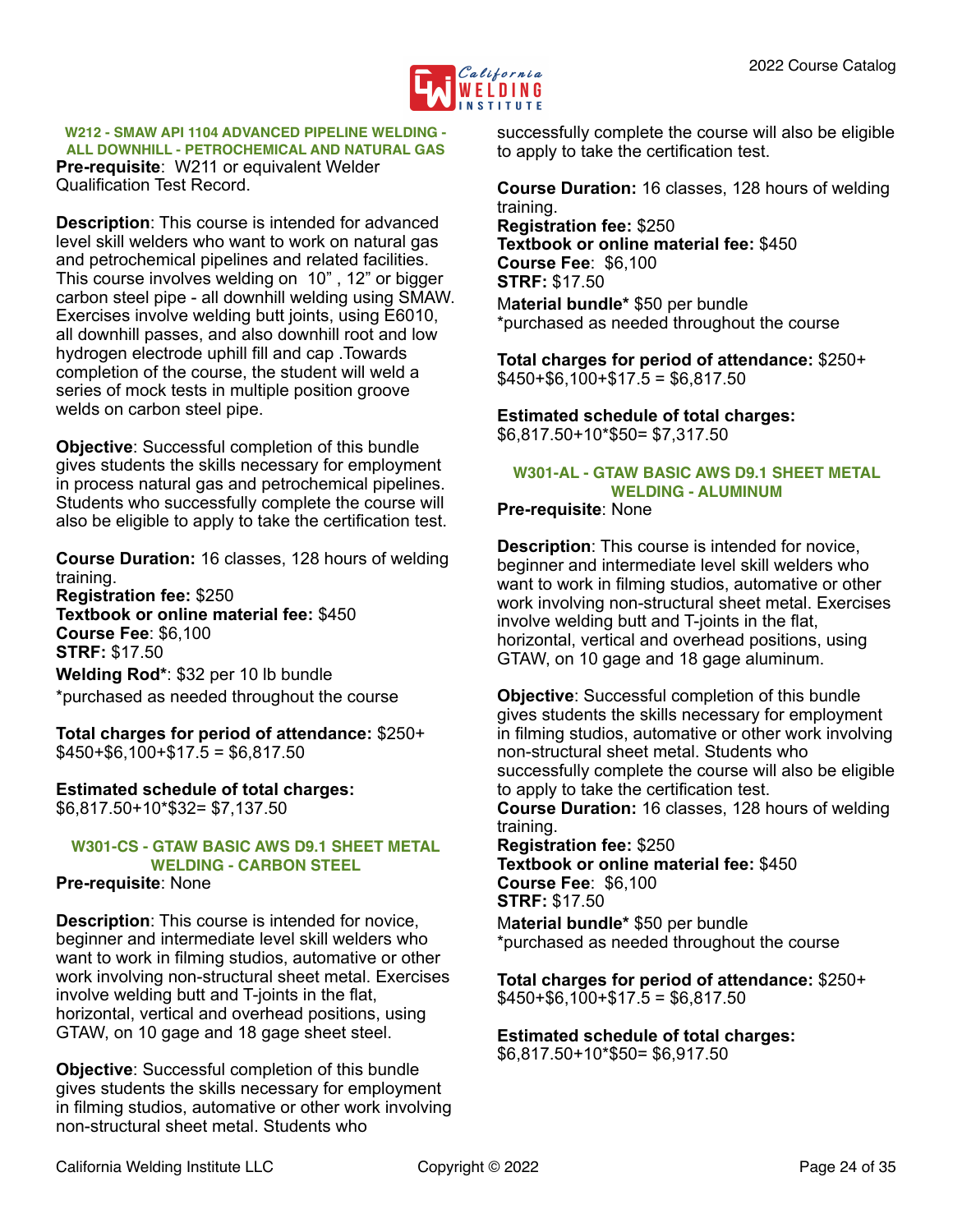

<span id="page-23-0"></span>**W212 - SMAW API 1104 ADVANCED PIPELINE WELDING - ALL DOWNHILL - PETROCHEMICAL AND NATURAL GAS Pre-requisite**: W211 or equivalent Welder Qualification Test Record.

**Description**: This course is intended for advanced level skill welders who want to work on natural gas and petrochemical pipelines and related facilities. This course involves welding on 10" , 12" or bigger carbon steel pipe - all downhill welding using SMAW. Exercises involve welding butt joints, using E6010, all downhill passes, and also downhill root and low hydrogen electrode uphill fill and cap .Towards completion of the course, the student will weld a series of mock tests in multiple position groove welds on carbon steel pipe.

**Objective:** Successful completion of this bundle gives students the skills necessary for employment in process natural gas and petrochemical pipelines. Students who successfully complete the course will also be eligible to apply to take the certification test.

**Course Duration:** 16 classes, 128 hours of welding training.

**Registration fee:** \$250 **Textbook or online material fee:** \$450 **Course Fee**: \$6,100 **STRF:** \$17.50 **Welding Rod\***: \$32 per 10 lb bundle

\*purchased as needed throughout the course

**Total charges for period of attendance:** \$250+  $$450+ $6,100+ $17.5 = $6,817.50$ 

**Estimated schedule of total charges:** \$6,817.50+10\*\$32= \$7,137.50

#### <span id="page-23-1"></span>**W301-CS - GTAW BASIC AWS D9.1 SHEET METAL WELDING - CARBON STEEL**

**Pre-requisite**: None

**Description**: This course is intended for novice, beginner and intermediate level skill welders who want to work in filming studios, automative or other work involving non-structural sheet metal. Exercises involve welding butt and T-joints in the flat, horizontal, vertical and overhead positions, using GTAW, on 10 gage and 18 gage sheet steel.

**Objective**: Successful completion of this bundle gives students the skills necessary for employment in filming studios, automative or other work involving non-structural sheet metal. Students who

successfully complete the course will also be eligible to apply to take the certification test.

**Course Duration:** 16 classes, 128 hours of welding training.

**Registration fee:** \$250 **Textbook or online material fee:** \$450 **Course Fee**: \$6,100 **STRF:** \$17.50 M**aterial bundle\*** \$50 per bundle \*purchased as needed throughout the course

**Total charges for period of attendance:** \$250+  $$450+$6,100+$17.5 = $6,817.50$ 

**Estimated schedule of total charges:**  \$6,817.50+10\*\$50= \$7,317.50

## <span id="page-23-2"></span>**W301-AL - GTAW BASIC AWS D9.1 SHEET METAL WELDING - ALUMINUM**

**Pre-requisite**: None

**Description**: This course is intended for novice, beginner and intermediate level skill welders who want to work in filming studios, automative or other work involving non-structural sheet metal. Exercises involve welding butt and T-joints in the flat, horizontal, vertical and overhead positions, using GTAW, on 10 gage and 18 gage aluminum.

**Objective**: Successful completion of this bundle gives students the skills necessary for employment in filming studios, automative or other work involving non-structural sheet metal. Students who successfully complete the course will also be eligible to apply to take the certification test. **Course Duration:** 16 classes, 128 hours of welding training. **Registration fee:** \$250

**Textbook or online material fee:** \$450 **Course Fee**: \$6,100 **STRF:** \$17.50

M**aterial bundle\*** \$50 per bundle \*purchased as needed throughout the course

**Total charges for period of attendance:** \$250+  $$450+$6,100+$17.5 = $6,817.50$ 

**Estimated schedule of total charges:**  \$6,817.50+10\*\$50= \$6,917.50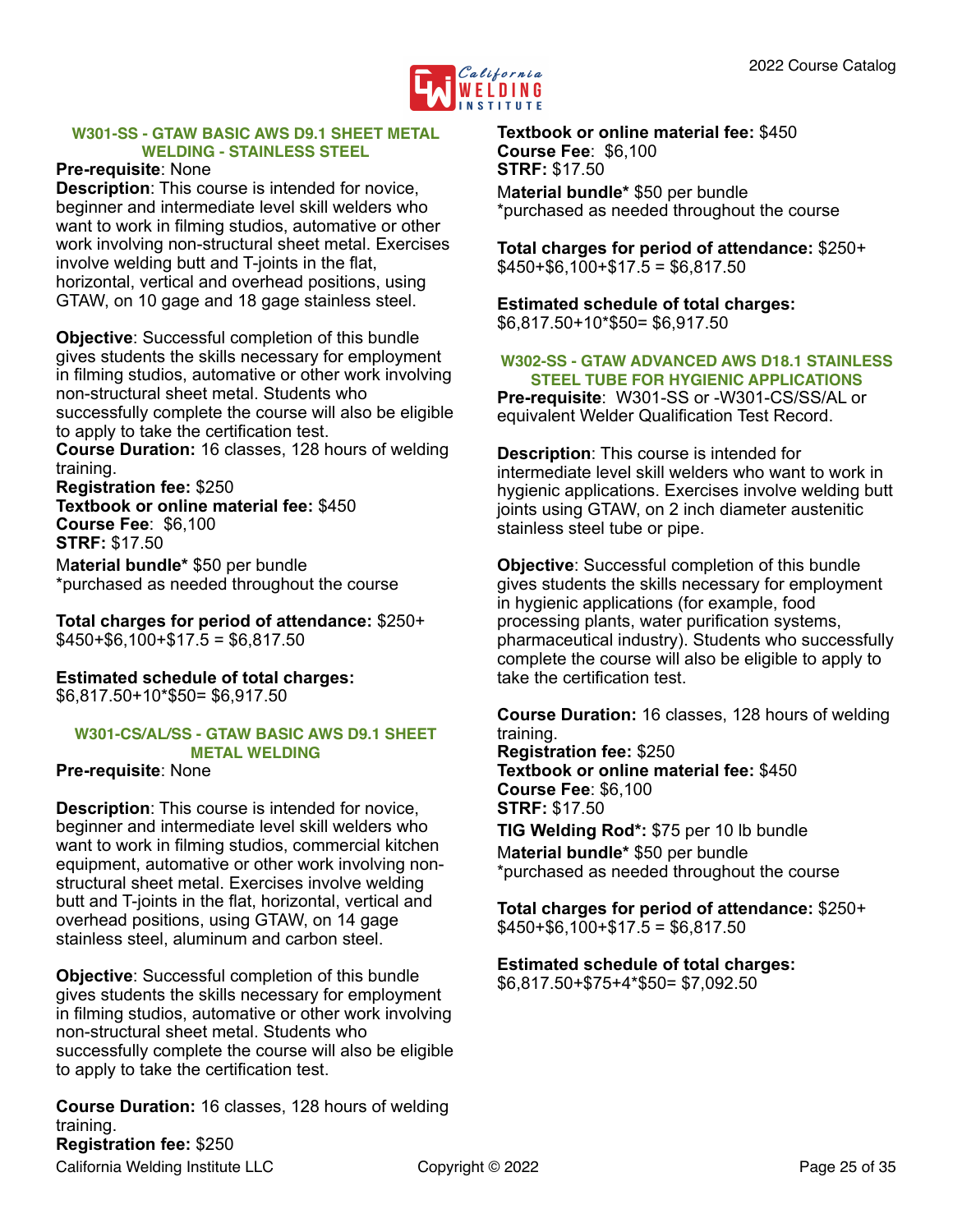

#### <span id="page-24-0"></span>**W301-SS - GTAW BASIC AWS D9.1 SHEET METAL WELDING - STAINLESS STEEL**

#### **Pre-requisite**: None

**Description**: This course is intended for novice, beginner and intermediate level skill welders who want to work in filming studios, automative or other work involving non-structural sheet metal. Exercises involve welding butt and T-joints in the flat, horizontal, vertical and overhead positions, using GTAW, on 10 gage and 18 gage stainless steel.

**Objective**: Successful completion of this bundle gives students the skills necessary for employment in filming studios, automative or other work involving non-structural sheet metal. Students who successfully complete the course will also be eligible to apply to take the certification test.

**Course Duration:** 16 classes, 128 hours of welding training.

**Registration fee:** \$250 **Textbook or online material fee:** \$450 **Course Fee**: \$6,100 **STRF:** \$17.50 M**aterial bundle\*** \$50 per bundle

\*purchased as needed throughout the course

**Total charges for period of attendance:** \$250+  $$450+$6,100+$17.5 = $6,817.50$ 

**Estimated schedule of total charges:**  \$6,817.50+10\*\$50= \$6,917.50

#### <span id="page-24-1"></span>**W301-CS/AL/SS - GTAW BASIC AWS D9.1 SHEET METAL WELDING**

#### **Pre-requisite**: None

**Description**: This course is intended for novice, beginner and intermediate level skill welders who want to work in filming studios, commercial kitchen equipment, automative or other work involving nonstructural sheet metal. Exercises involve welding butt and T-joints in the flat, horizontal, vertical and overhead positions, using GTAW, on 14 gage stainless steel, aluminum and carbon steel.

**Objective**: Successful completion of this bundle gives students the skills necessary for employment in filming studios, automative or other work involving non-structural sheet metal. Students who successfully complete the course will also be eligible to apply to take the certification test.

**Course Duration:** 16 classes, 128 hours of welding training. **Registration fee:** \$250

**Textbook or online material fee:** \$450 **Course Fee**: \$6,100 **STRF:** \$17.50 M**aterial bundle\*** \$50 per bundle \*purchased as needed throughout the course

**Total charges for period of attendance:** \$250+  $$450+$6,100+$17.5 = $6,817.50$ 

**Estimated schedule of total charges:**  \$6,817.50+10\*\$50= \$6,917.50

#### <span id="page-24-2"></span>**W302-SS - GTAW ADVANCED AWS D18.1 STAINLESS STEEL TUBE FOR HYGIENIC APPLICATIONS**

**Pre-requisite**: W301-SS or -W301-CS/SS/AL or equivalent Welder Qualification Test Record.

**Description**: This course is intended for intermediate level skill welders who want to work in hygienic applications. Exercises involve welding butt joints using GTAW, on 2 inch diameter austenitic stainless steel tube or pipe.

**Objective**: Successful completion of this bundle gives students the skills necessary for employment in hygienic applications (for example, food processing plants, water purification systems, pharmaceutical industry). Students who successfully complete the course will also be eligible to apply to take the certification test.

**Course Duration:** 16 classes, 128 hours of welding training. **Registration fee:** \$250 **Textbook or online material fee:** \$450 **Course Fee**: \$6,100 **STRF:** \$17.50 **TIG Welding Rod\*:** \$75 per 10 lb bundle M**aterial bundle\*** \$50 per bundle \*purchased as needed throughout the course

**Total charges for period of attendance:** \$250+  $$450+$6,100+$17.5 = $6,817.50$ 

**Estimated schedule of total charges:** \$6,817.50+\$75+4\*\$50= \$7,092.50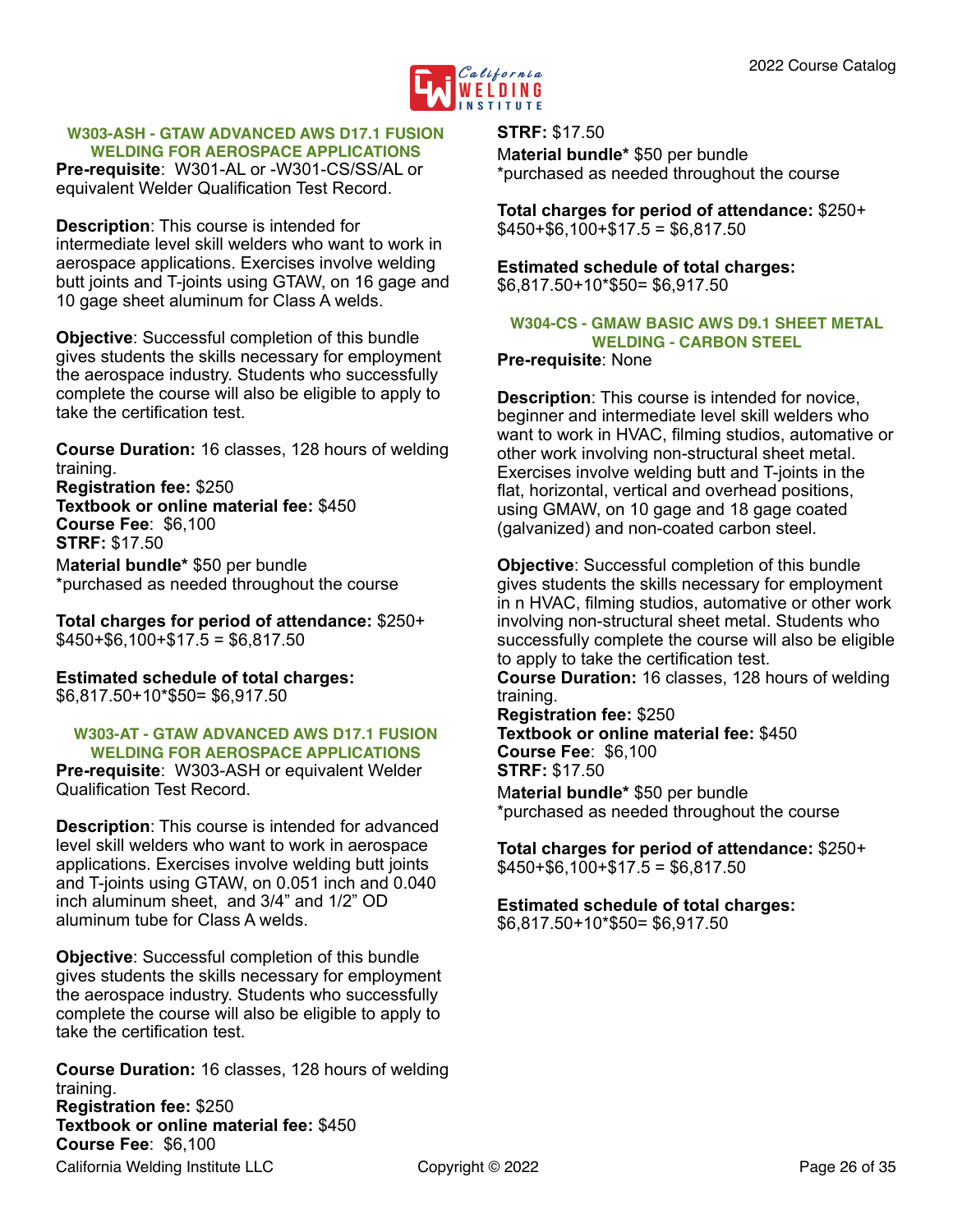

#### <span id="page-25-0"></span>**W303-ASH - GTAW ADVANCED AWS D17.1 FUSION WELDING FOR AEROSPACE APPLICATIONS**

**Pre-requisite**: W301-AL or -W301-CS/SS/AL or equivalent Welder Qualification Test Record.

**Description**: This course is intended for intermediate level skill welders who want to work in aerospace applications. Exercises involve welding butt joints and T-joints using GTAW, on 16 gage and 10 gage sheet aluminum for Class A welds.

**Objective**: Successful completion of this bundle gives students the skills necessary for employment the aerospace industry. Students who successfully complete the course will also be eligible to apply to take the certification test.

**Course Duration:** 16 classes, 128 hours of welding training.

**Registration fee:** \$250 **Textbook or online material fee:** \$450 **Course Fee**: \$6,100 **STRF:** \$17.50 M**aterial bundle\*** \$50 per bundle \*purchased as needed throughout the course

**Total charges for period of attendance:** \$250+  $$450+$6,100+$17.5 = $6,817.50$ 

**Estimated schedule of total charges:**  \$6,817.50+10\*\$50= \$6,917.50

#### <span id="page-25-1"></span>**W303-AT - GTAW ADVANCED AWS D17.1 FUSION WELDING FOR AEROSPACE APPLICATIONS**

**Pre-requisite**: W303-ASH or equivalent Welder Qualification Test Record.

**Description**: This course is intended for advanced level skill welders who want to work in aerospace applications. Exercises involve welding butt joints and T-joints using GTAW, on 0.051 inch and 0.040 inch aluminum sheet, and 3/4" and 1/2" OD aluminum tube for Class A welds.

**Objective**: Successful completion of this bundle gives students the skills necessary for employment the aerospace industry. Students who successfully complete the course will also be eligible to apply to take the certification test.

**Course Duration:** 16 classes, 128 hours of welding training. **Registration fee:** \$250 **Textbook or online material fee:** \$450 **Course Fee**: \$6,100 California Welding Institute LLC Copyright © 2022 Page 26 of 35

**STRF:** \$17.50 M**aterial bundle\*** \$50 per bundle \*purchased as needed throughout the course

**Total charges for period of attendance:** \$250+  $$450+$6,100+$17.5 = $6,817.50$ 

**Estimated schedule of total charges:**  \$6,817.50+10\*\$50= \$6,917.50

#### <span id="page-25-2"></span>**W304-CS - GMAW BASIC AWS D9.1 SHEET METAL WELDING - CARBON STEEL**

#### **Pre-requisite**: None

**Description**: This course is intended for novice, beginner and intermediate level skill welders who want to work in HVAC, filming studios, automative or other work involving non-structural sheet metal. Exercises involve welding butt and T-joints in the flat, horizontal, vertical and overhead positions, using GMAW, on 10 gage and 18 gage coated (galvanized) and non-coated carbon steel.

**Objective**: Successful completion of this bundle gives students the skills necessary for employment in n HVAC, filming studios, automative or other work involving non-structural sheet metal. Students who successfully complete the course will also be eligible to apply to take the certification test.

**Course Duration:** 16 classes, 128 hours of welding training.

**Registration fee:** \$250 **Textbook or online material fee:** \$450 **Course Fee**: \$6,100

**STRF:** \$17.50

M**aterial bundle\*** \$50 per bundle \*purchased as needed throughout the course

**Total charges for period of attendance:** \$250+  $$450+$6,100+$17.5 = $6,817.50$ 

**Estimated schedule of total charges:**  \$6,817.50+10\*\$50= \$6,917.50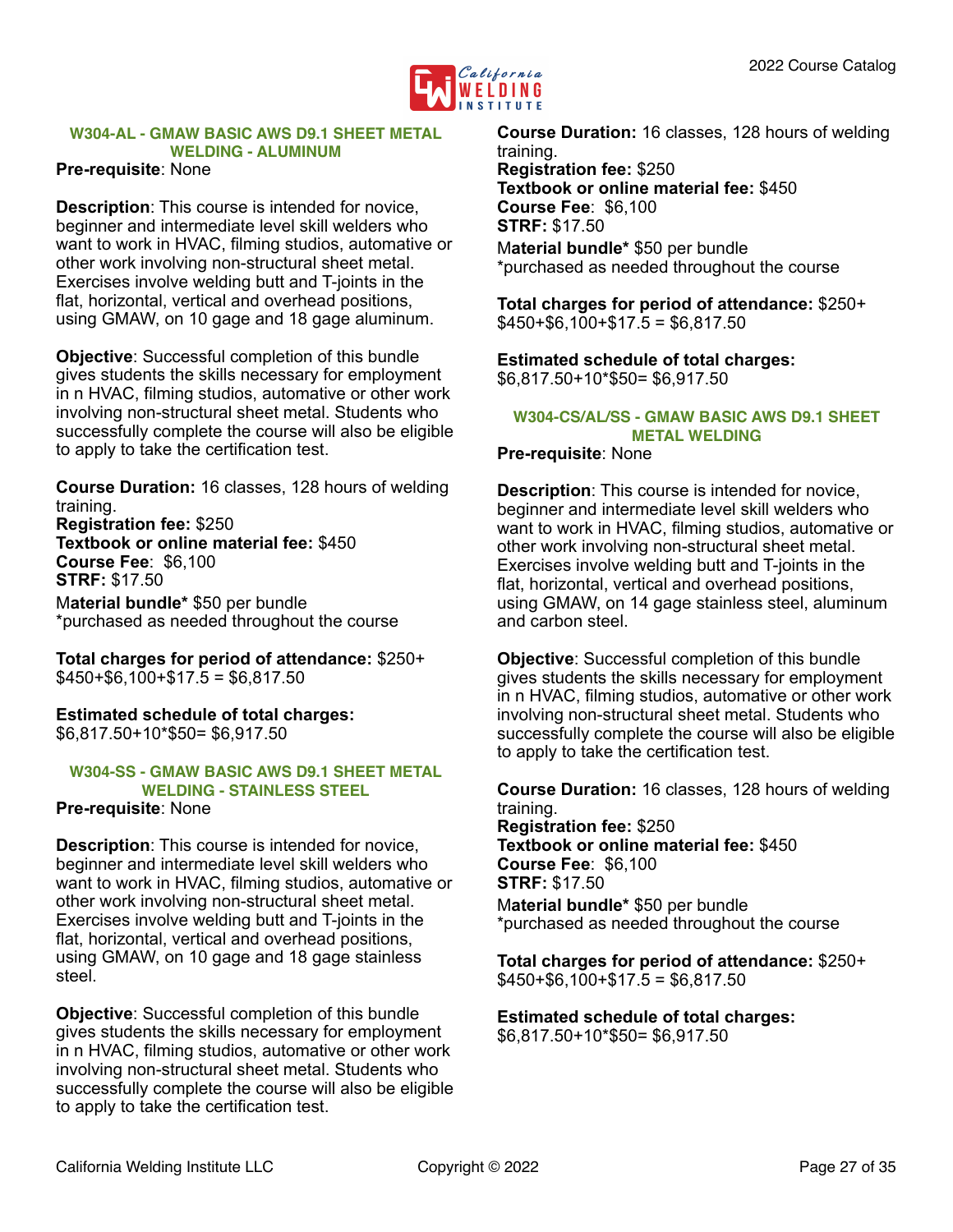

## <span id="page-26-0"></span>**W304-AL - GMAW BASIC AWS D9.1 SHEET METAL WELDING - ALUMINUM**

#### **Pre-requisite**: None

**Description**: This course is intended for novice, beginner and intermediate level skill welders who want to work in HVAC, filming studios, automative or other work involving non-structural sheet metal. Exercises involve welding butt and T-joints in the flat, horizontal, vertical and overhead positions, using GMAW, on 10 gage and 18 gage aluminum.

**Objective**: Successful completion of this bundle gives students the skills necessary for employment in n HVAC, filming studios, automative or other work involving non-structural sheet metal. Students who successfully complete the course will also be eligible to apply to take the certification test.

**Course Duration:** 16 classes, 128 hours of welding training. **Registration fee:** \$250 **Textbook or online material fee:** \$450 **Course Fee**: \$6,100 **STRF:** \$17.50 M**aterial bundle\*** \$50 per bundle

\*purchased as needed throughout the course

**Total charges for period of attendance:** \$250+  $$450+$6,100+$17.5 = $6,817.50$ 

**Estimated schedule of total charges:**  \$6,817.50+10\*\$50= \$6,917.50

#### <span id="page-26-1"></span>**W304-SS - GMAW BASIC AWS D9.1 SHEET METAL WELDING - STAINLESS STEEL**

#### **Pre-requisite**: None

**Description**: This course is intended for novice, beginner and intermediate level skill welders who want to work in HVAC, filming studios, automative or other work involving non-structural sheet metal. Exercises involve welding butt and T-joints in the flat, horizontal, vertical and overhead positions, using GMAW, on 10 gage and 18 gage stainless steel.

**Objective**: Successful completion of this bundle gives students the skills necessary for employment in n HVAC, filming studios, automative or other work involving non-structural sheet metal. Students who successfully complete the course will also be eligible to apply to take the certification test.

**Course Duration:** 16 classes, 128 hours of welding training. **Registration fee:** \$250 **Textbook or online material fee:** \$450 **Course Fee**: \$6,100 **STRF:** \$17.50 M**aterial bundle\*** \$50 per bundle \*purchased as needed throughout the course

**Total charges for period of attendance:** \$250+  $$450+ $6,100+ $17.5 = $6,817.50$ 

**Estimated schedule of total charges:**  \$6,817.50+10\*\$50= \$6,917.50

#### <span id="page-26-2"></span>**W304-CS/AL/SS - GMAW BASIC AWS D9.1 SHEET METAL WELDING**

**Pre-requisite**: None

**Description**: This course is intended for novice, beginner and intermediate level skill welders who want to work in HVAC, filming studios, automative or other work involving non-structural sheet metal. Exercises involve welding butt and T-joints in the flat, horizontal, vertical and overhead positions, using GMAW, on 14 gage stainless steel, aluminum and carbon steel.

**Objective**: Successful completion of this bundle gives students the skills necessary for employment in n HVAC, filming studios, automative or other work involving non-structural sheet metal. Students who successfully complete the course will also be eligible to apply to take the certification test.

**Course Duration:** 16 classes, 128 hours of welding training. **Registration fee:** \$250 **Textbook or online material fee:** \$450 **Course Fee**: \$6,100 **STRF:** \$17.50 M**aterial bundle\*** \$50 per bundle

\*purchased as needed throughout the course

**Total charges for period of attendance:** \$250+  $$450+$6,100+$17.5 = $6,817.50$ 

**Estimated schedule of total charges:**  \$6,817.50+10\*\$50= \$6,917.50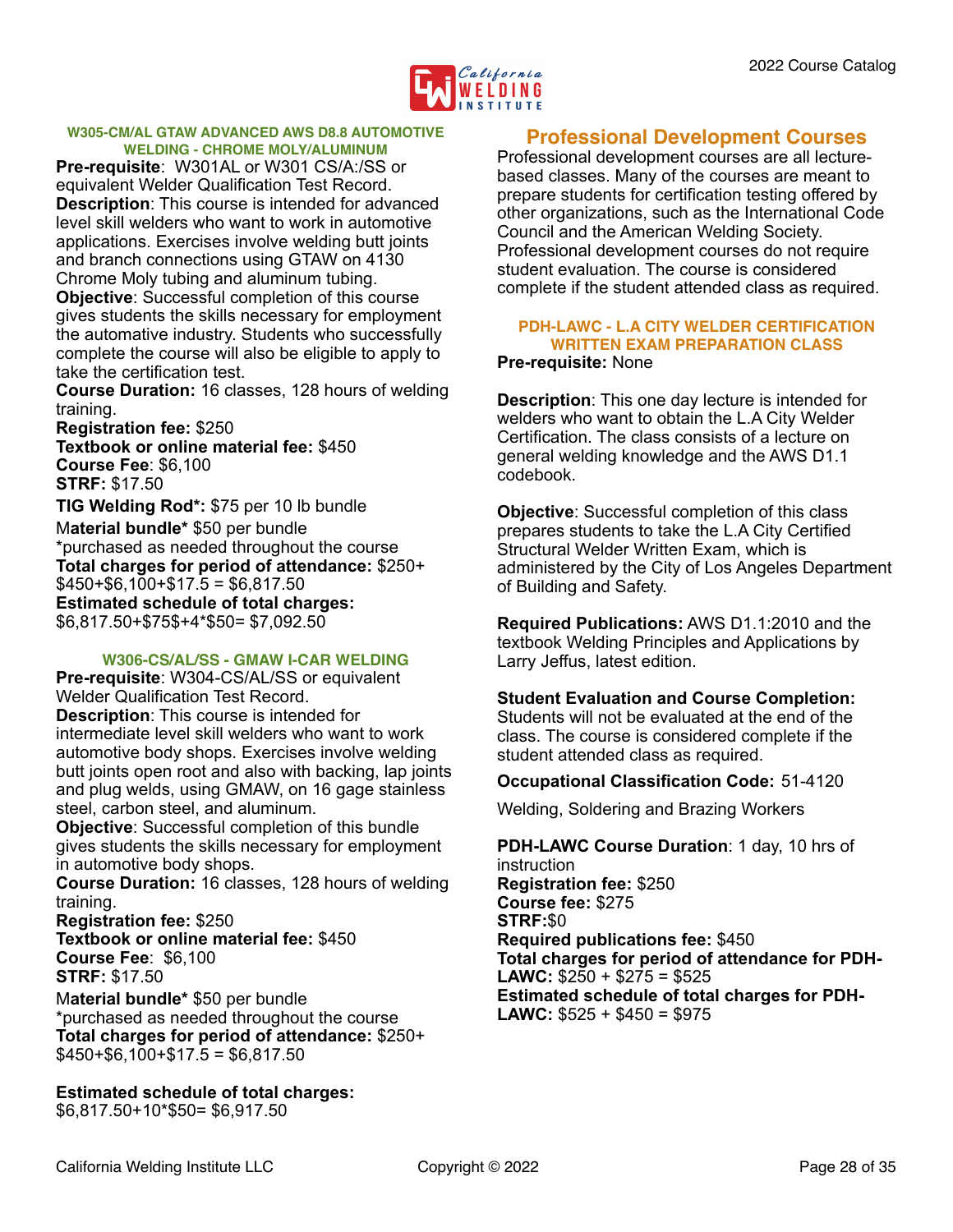

#### <span id="page-27-0"></span>**W305-CM/AL GTAW ADVANCED AWS D8.8 AUTOMOTIVE WELDING - CHROME MOLY/ALUMINUM**

**Pre-requisite**: W301AL or W301 CS/A:/SS or equivalent Welder Qualification Test Record. **Description**: This course is intended for advanced level skill welders who want to work in automotive applications. Exercises involve welding butt joints and branch connections using GTAW on 4130 Chrome Moly tubing and aluminum tubing. **Objective**: Successful completion of this course gives students the skills necessary for employment the automative industry. Students who successfully complete the course will also be eligible to apply to take the certification test.

**Course Duration:** 16 classes, 128 hours of welding training.

**Registration fee:** \$250 **Textbook or online material fee:** \$450 **Course Fee**: \$6,100 **STRF:** \$17.50

**TIG Welding Rod\*:** \$75 per 10 lb bundle M**aterial bundle\*** \$50 per bundle \*purchased as needed throughout the course **Total charges for period of attendance:** \$250+  $$450+$6,100+$17.5 = $6,817.50$ **Estimated schedule of total charges:** \$6,817.50+\$75\$+4\*\$50= \$7,092.50

#### <span id="page-27-1"></span>**W306-CS/AL/SS - GMAW I-CAR WELDING**

**Pre-requisite**: W304-CS/AL/SS or equivalent Welder Qualification Test Record. **Description**: This course is intended for intermediate level skill welders who want to work automotive body shops. Exercises involve welding butt joints open root and also with backing, lap joints and plug welds, using GMAW, on 16 gage stainless steel, carbon steel, and aluminum.

**Objective**: Successful completion of this bundle gives students the skills necessary for employment in automotive body shops.

**Course Duration:** 16 classes, 128 hours of welding training.

**Registration fee:** \$250 **Textbook or online material fee:** \$450 **Course Fee**: \$6,100 **STRF:** \$17.50

M**aterial bundle\*** \$50 per bundle \*purchased as needed throughout the course **Total charges for period of attendance:** \$250+  $$450+$6,100+$17.5 = $6,817.50$ 

**Estimated schedule of total charges:**  \$6,817.50+10\*\$50= \$6,917.50

## <span id="page-27-2"></span>**Professional Development Courses**

Professional development courses are all lecturebased classes. Many of the courses are meant to prepare students for certification testing offered by other organizations, such as the International Code Council and the American Welding Society. Professional development courses do not require student evaluation. The course is considered complete if the student attended class as required.

## <span id="page-27-3"></span>**PDH-LAWC - L.A CITY WELDER CERTIFICATION WRITTEN EXAM PREPARATION CLASS**

#### **Pre-requisite:** None

**Description**: This one day lecture is intended for welders who want to obtain the L.A City Welder Certification. The class consists of a lecture on general welding knowledge and the AWS D1.1 codebook.

**Objective**: Successful completion of this class prepares students to take the L.A City Certified Structural Welder Written Exam, which is administered by the City of Los Angeles Department of Building and Safety.

**Required Publications:** AWS D1.1:2010 and the textbook Welding Principles and Applications by Larry Jeffus, latest edition.

#### **Student Evaluation and Course Completion:**

Students will not be evaluated at the end of the class. The course is considered complete if the student attended class as required.

#### **Occupational Classification Code:** 51-4120

Welding, Soldering and Brazing Workers

**PDH-LAWC Course Duration**: 1 day, 10 hrs of instruction **Registration fee:** \$250 **Course fee:** \$275 **STRF:**\$0 **Required publications fee:** \$450 **Total charges for period of attendance for PDH-LAWC:** \$250 + \$275 = \$525 **Estimated schedule of total charges for PDH-LAWC:** \$525 + \$450 = \$975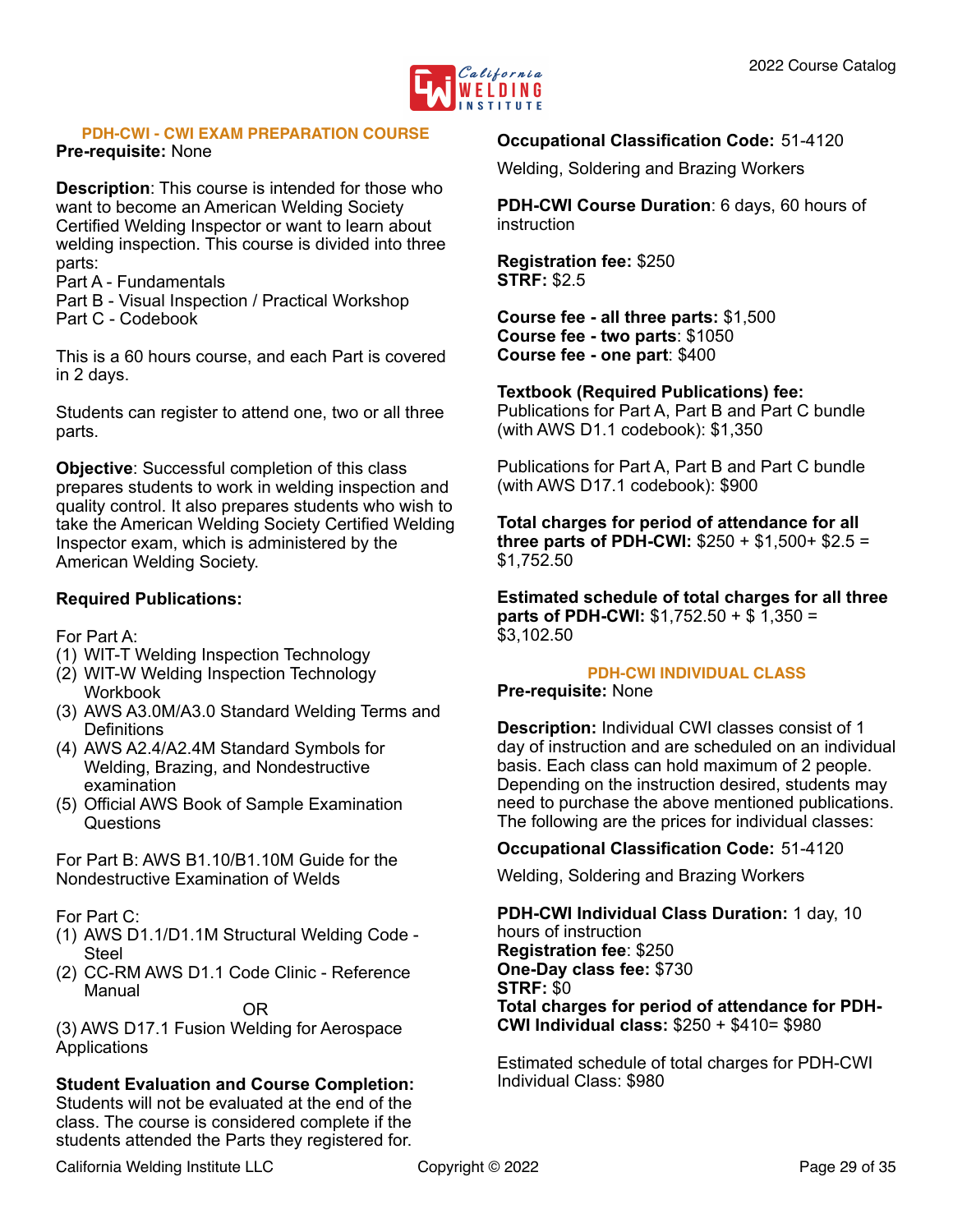

#### <span id="page-28-0"></span>**PDH-CWI - CWI EXAM PREPARATION COURSE**

#### **Pre-requisite:** None

**Description**: This course is intended for those who want to become an American Welding Society Certified Welding Inspector or want to learn about welding inspection. This course is divided into three parts:

- Part A Fundamentals
- Part B Visual Inspection / Practical Workshop
- Part C Codebook

This is a 60 hours course, and each Part is covered in 2 days.

Students can register to attend one, two or all three parts.

**Objective**: Successful completion of this class prepares students to work in welding inspection and quality control. It also prepares students who wish to take the American Welding Society Certified Welding Inspector exam, which is administered by the American Welding Society.

#### **Required Publications:**

For Part A:

- (1) WIT-T Welding Inspection Technology
- (2) WIT-W Welding Inspection Technology Workbook
- (3) AWS A3.0M/A3.0 Standard Welding Terms and Definitions
- (4) AWS A2.4/A2.4M Standard Symbols for Welding, Brazing, and Nondestructive examination
- (5) Official AWS Book of Sample Examination Questions

For Part B: AWS B1.10/B1.10M Guide for the Nondestructive Examination of Welds

For Part C:

- (1) AWS D1.1/D1.1M Structural Welding Code Steel
- (2) CC-RM AWS D1.1 Code Clinic Reference Manual

#### OR

(3) AWS D17.1 Fusion Welding for Aerospace Applications

#### **Student Evaluation and Course Completion:**

Students will not be evaluated at the end of the class. The course is considered complete if the students attended the Parts they registered for.

#### **Occupational Classification Code:** 51-4120

Welding, Soldering and Brazing Workers

**PDH-CWI Course Duration**: 6 days, 60 hours of **instruction** 

**Registration fee:** \$250 **STRF:** \$2.5

**Course fee - all three parts:** \$1,500 **Course fee - two parts**: \$1050 **Course fee - one part**: \$400

#### **Textbook (Required Publications) fee:**

Publications for Part A, Part B and Part C bundle (with AWS D1.1 codebook): \$1,350

Publications for Part A, Part B and Part C bundle (with AWS D17.1 codebook): \$900

**Total charges for period of attendance for all three parts of PDH-CWI:** \$250 + \$1,500+ \$2.5 = \$1,752.50

**Estimated schedule of total charges for all three parts of PDH-CWI:** \$1,752.50 + \$ 1,350 = \$3,102.50

#### <span id="page-28-1"></span>**PDH-CWI INDIVIDUAL CLASS**

#### **Pre-requisite:** None

**Description:** Individual CWI classes consist of 1 day of instruction and are scheduled on an individual basis. Each class can hold maximum of 2 people. Depending on the instruction desired, students may need to purchase the above mentioned publications. The following are the prices for individual classes:

#### **Occupational Classification Code:** 51-4120

Welding, Soldering and Brazing Workers

**PDH-CWI Individual Class Duration:** 1 day, 10 hours of instruction **Registration fee**: \$250 **One-Day class fee:** \$730 **STRF:** \$0 **Total charges for period of attendance for PDH-CWI Individual class:** \$250 + \$410= \$980

Estimated schedule of total charges for PDH-CWI Individual Class: \$980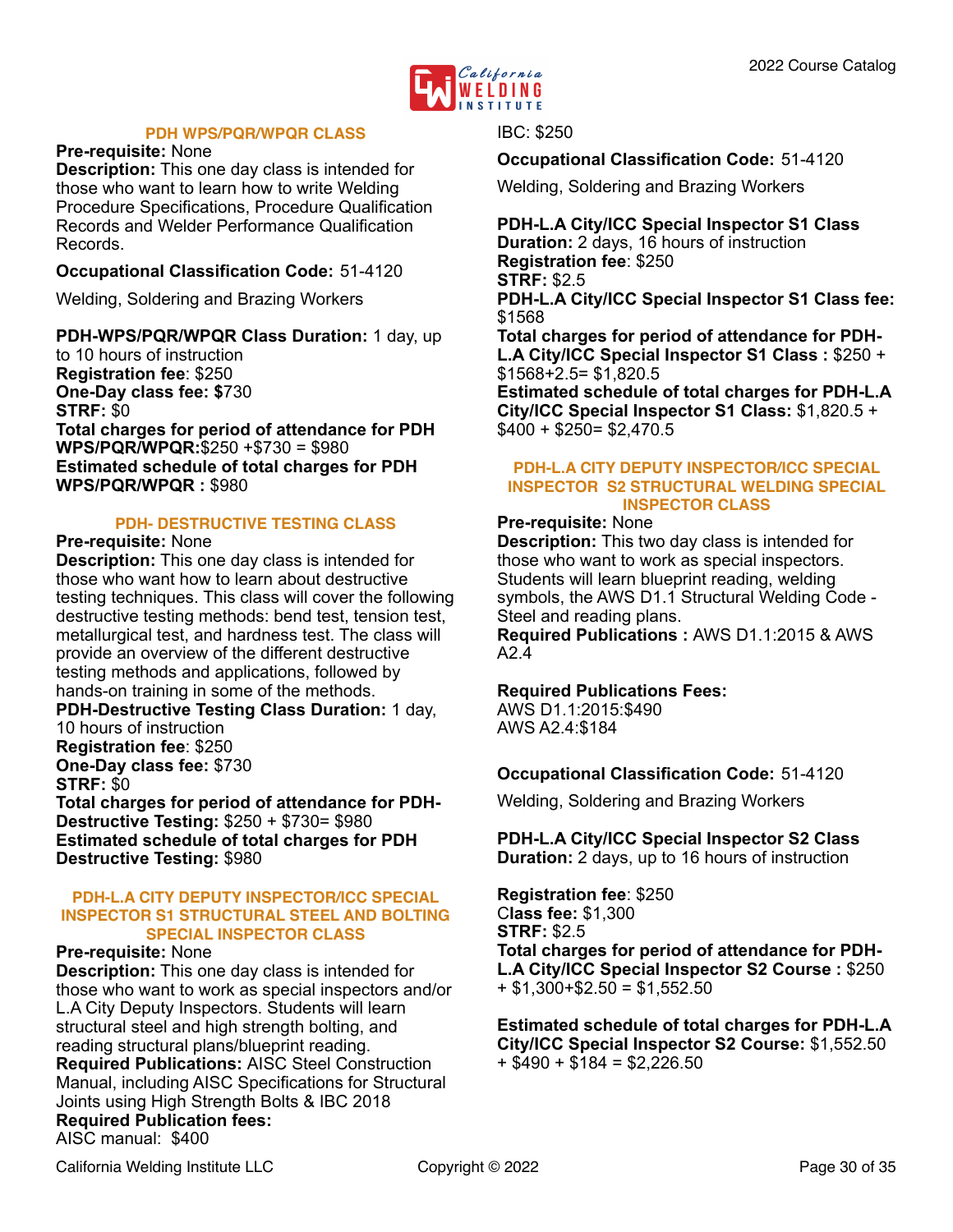

#### <span id="page-29-0"></span>**PDH WPS/PQR/WPQR CLASS**

#### **Pre-requisite:** None

**Description:** This one day class is intended for those who want to learn how to write Welding Procedure Specifications, Procedure Qualification Records and Welder Performance Qualification Records.

#### **Occupational Classification Code:** 51-4120

Welding, Soldering and Brazing Workers

**PDH-WPS/PQR/WPQR Class Duration:** 1 day, up to 10 hours of instruction **Registration fee**: \$250 **One-Day class fee: \$**730 **STRF:** \$0 **Total charges for period of attendance for PDH WPS/PQR/WPQR:**\$250 +\$730 = \$980 **Estimated schedule of total charges for PDH WPS/PQR/WPQR :** \$980

#### <span id="page-29-1"></span>**PDH- DESTRUCTIVE TESTING CLASS**

#### **Pre-requisite:** None

**Description:** This one day class is intended for those who want how to learn about destructive testing techniques. This class will cover the following destructive testing methods: bend test, tension test, metallurgical test, and hardness test. The class will provide an overview of the different destructive testing methods and applications, followed by hands-on training in some of the methods. **PDH-Destructive Testing Class Duration:** 1 day,

10 hours of instruction **Registration fee**: \$250 **One-Day class fee:** \$730 **STRF:** \$0 **Total charges for period of attendance for PDH-Destructive Testing:** \$250 + \$730= \$980 **Estimated schedule of total charges for PDH** 

#### <span id="page-29-2"></span>**PDH-L.A CITY DEPUTY INSPECTOR/ICC SPECIAL INSPECTOR S1 STRUCTURAL STEEL AND BOLTING SPECIAL INSPECTOR CLASS**

#### **Pre-requisite:** None

**Destructive Testing:** \$980

**Description:** This one day class is intended for those who want to work as special inspectors and/or L.A City Deputy Inspectors. Students will learn structural steel and high strength bolting, and reading structural plans/blueprint reading. **Required Publications:** AISC Steel Construction Manual, including AISC Specifications for Structural Joints using High Strength Bolts & IBC 2018 **Required Publication fees:** AISC manual: \$400

IBC: \$250

**Occupational Classification Code:** 51-4120

Welding, Soldering and Brazing Workers

**PDH-L.A City/ICC Special Inspector S1 Class Duration:** 2 days, 16 hours of instruction **Registration fee**: \$250 **STRF:** \$2.5 **PDH-L.A City/ICC Special Inspector S1 Class fee:**  \$1568

**Total charges for period of attendance for PDH-L.A City/ICC Special Inspector S1 Class :** \$250 + \$1568+2.5= \$1,820.5

**Estimated schedule of total charges for PDH-L.A City/ICC Special Inspector S1 Class:** \$1,820.5 + \$400 + \$250= \$2,470.5

#### <span id="page-29-3"></span>**PDH-L.A CITY DEPUTY INSPECTOR/ICC SPECIAL INSPECTOR S2 STRUCTURAL WELDING SPECIAL INSPECTOR CLASS**

#### **Pre-requisite:** None

**Description:** This two day class is intended for those who want to work as special inspectors. Students will learn blueprint reading, welding symbols, the AWS D1.1 Structural Welding Code - Steel and reading plans.

**Required Publications :** AWS D1.1:2015 & AWS  $A24$ 

#### **Required Publications Fees:**

AWS D1.1:2015:\$490 AWS A2.4:\$184

#### **Occupational Classification Code:** 51-4120

Welding, Soldering and Brazing Workers

**PDH-L.A City/ICC Special Inspector S2 Class Duration:** 2 days, up to 16 hours of instruction

**Registration fee**: \$250 C**lass fee:** \$1,300 **STRF:** \$2.5 **Total charges for period of attendance for PDH-L.A City/ICC Special Inspector S2 Course :** \$250  $+$  \$1,300+\$2.50 = \$1,552.50

**Estimated schedule of total charges for PDH-L.A City/ICC Special Inspector S2 Course:** \$1,552.50  $+$  \$490 + \$184 = \$2,226,50

California Welding Institute LLC Copyright © 2022 Page 30 of 35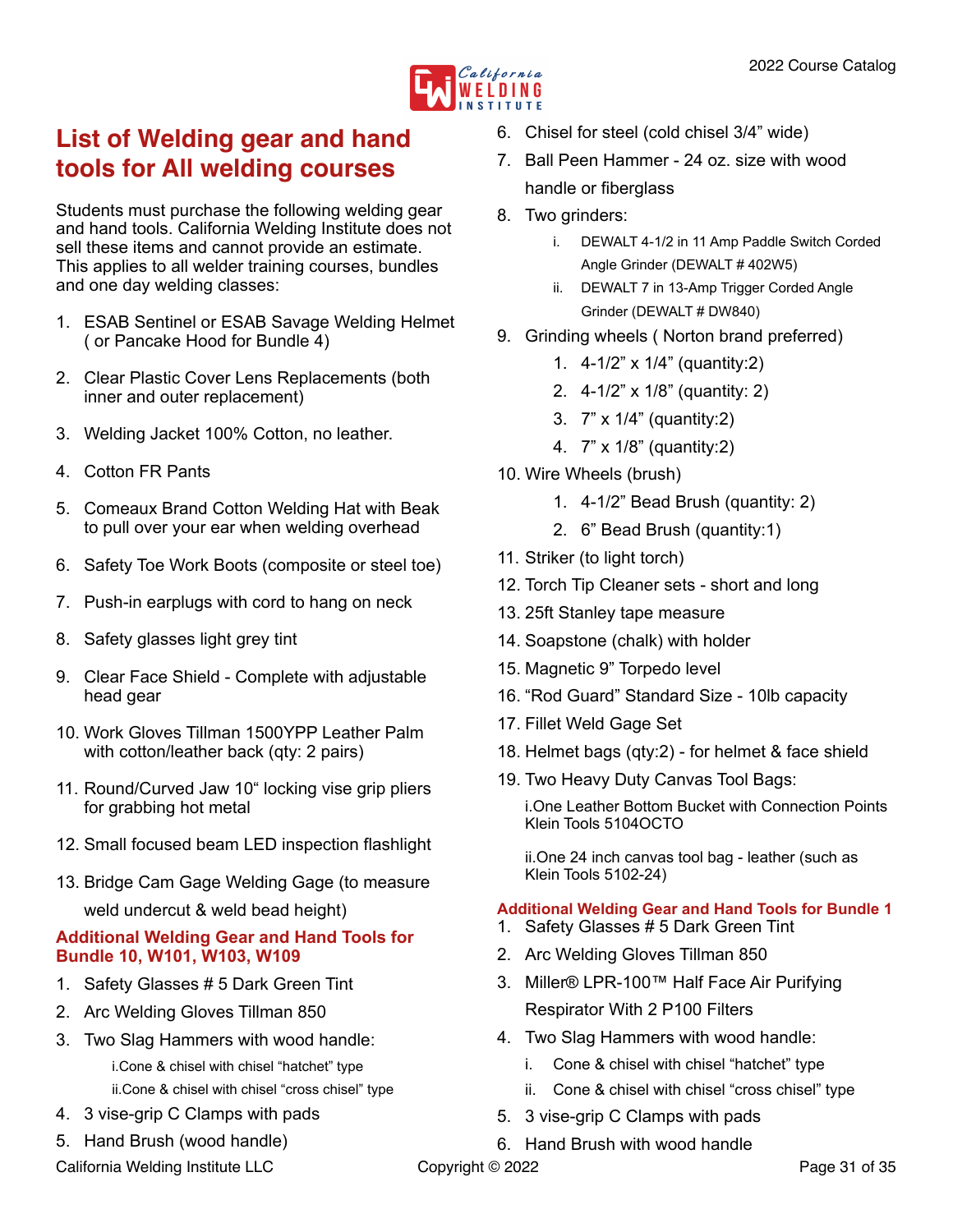

## <span id="page-30-0"></span>**List of Welding gear and hand tools for All welding courses**

Students must purchase the following welding gear and hand tools. California Welding Institute does not sell these items and cannot provide an estimate. This applies to all welder training courses, bundles and one day welding classes:

- 1. ESAB Sentinel or ESAB Savage Welding Helmet ( or Pancake Hood for Bundle 4)
- 2. Clear Plastic Cover Lens Replacements (both inner and outer replacement)
- 3. Welding Jacket 100% Cotton, no leather.
- 4. Cotton FR Pants
- 5. Comeaux Brand Cotton Welding Hat with Beak to pull over your ear when welding overhead
- 6. Safety Toe Work Boots (composite or steel toe)
- 7. Push-in earplugs with cord to hang on neck
- 8. Safety glasses light grey tint
- 9. Clear Face Shield Complete with adjustable head gear
- 10. Work Gloves Tillman 1500YPP Leather Palm with cotton/leather back (qty: 2 pairs)
- 11. Round/Curved Jaw 10" locking vise grip pliers for grabbing hot metal
- 12. Small focused beam LED inspection flashlight
- 13. Bridge Cam Gage Welding Gage (to measure weld undercut & weld bead height)

#### **Additional Welding Gear and Hand Tools for Bundle 10, W101, W103, W109**

- 1. Safety Glasses # 5 Dark Green Tint
- 2. Arc Welding Gloves Tillman 850
- 3. Two Slag Hammers with wood handle:
	- i.Cone & chisel with chisel "hatchet" type ii.Cone & chisel with chisel "cross chisel" type
- 4. 3 vise-grip C Clamps with pads
- 5. Hand Brush (wood handle)

California Welding Institute LLC Copyright © 2022 Copyright Context Context Context Context Context Context Context Context Context Context Context Context Context Context Context Context Context Context Context Context Co

- 6. Chisel for steel (cold chisel 3/4" wide)
- 7. Ball Peen Hammer 24 oz. size with wood handle or fiberglass
- 8. Two grinders:
	- i. DEWALT 4-1/2 in 11 Amp Paddle Switch Corded Angle Grinder (DEWALT # 402W5)
	- ii. DEWALT 7 in 13-Amp Trigger Corded Angle Grinder (DEWALT # DW840)
- 9. Grinding wheels ( Norton brand preferred)
	- 1. 4-1/2" x 1/4" (quantity:2)
	- 2. 4-1/2" x 1/8" (quantity: 2)
	- 3. 7" x 1/4" (quantity:2)
	- 4. 7" x 1/8" (quantity:2)
- 10. Wire Wheels (brush)
	- 1. 4-1/2" Bead Brush (quantity: 2)
	- 2. 6" Bead Brush (quantity:1)
- 11. Striker (to light torch)
- 12. Torch Tip Cleaner sets short and long
- 13. 25ft Stanley tape measure
- 14. Soapstone (chalk) with holder
- 15. Magnetic 9" Torpedo level
- 16. "Rod Guard" Standard Size 10lb capacity
- 17. Fillet Weld Gage Set
- 18. Helmet bags (qty:2) for helmet & face shield
- 19. Two Heavy Duty Canvas Tool Bags:

i.One Leather Bottom Bucket with Connection Points Klein Tools 5104OCTO

ii.One 24 inch canvas tool bag - leather (such as Klein Tools 5102-24)

#### **Additional Welding Gear and Hand Tools for Bundle 1**

- 1. Safety Glasses # 5 Dark Green Tint
- 2. Arc Welding Gloves Tillman 850
- 3. Miller® LPR-100™ Half Face Air Purifying Respirator With 2 P100 Filters
- 4. Two Slag Hammers with wood handle:
	- i. Cone & chisel with chisel "hatchet" type
	- ii. Cone & chisel with chisel "cross chisel" type
- 5. 3 vise-grip C Clamps with pads
- 6. Hand Brush with wood handle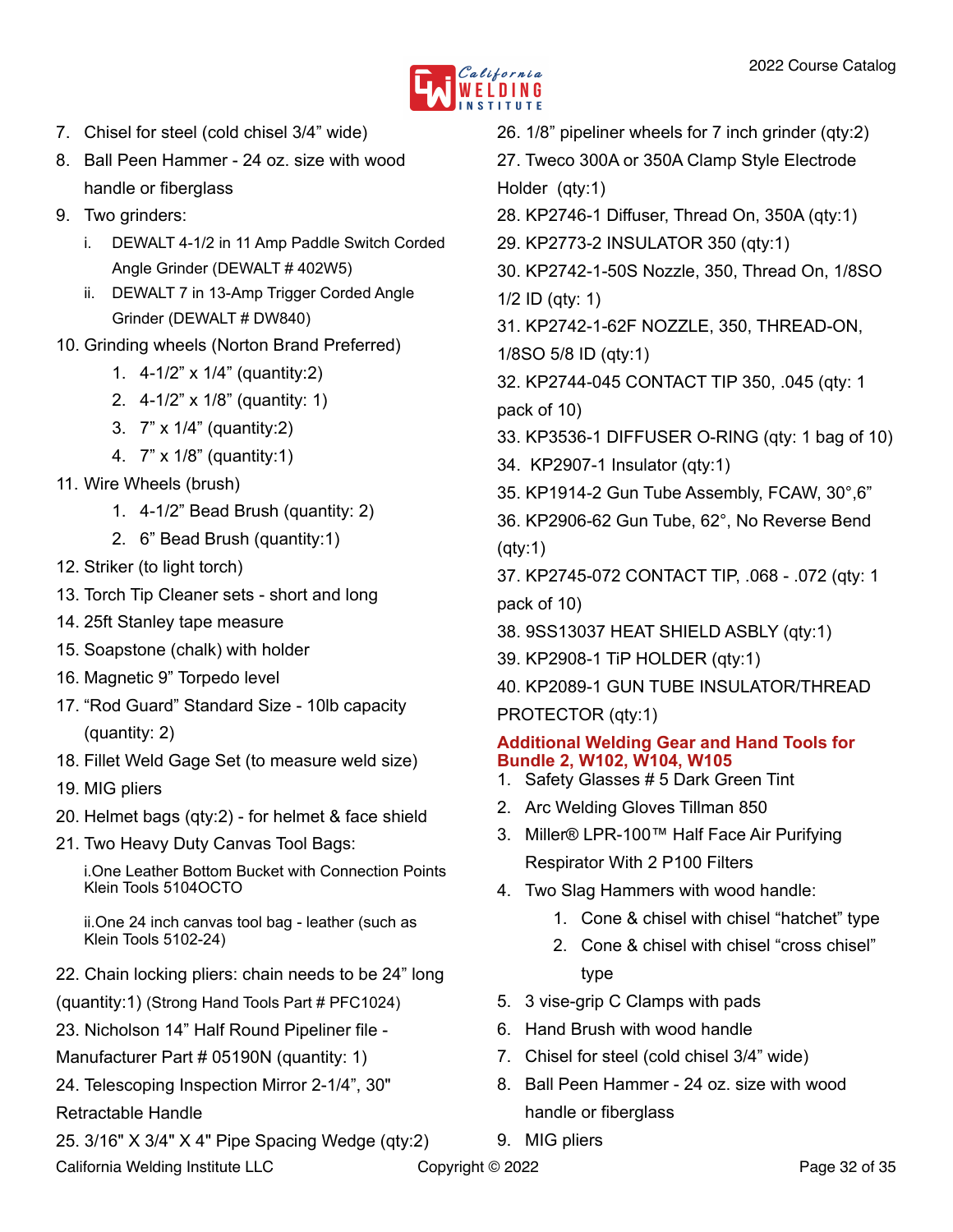

- 7. Chisel for steel (cold chisel 3/4" wide)
- 8. Ball Peen Hammer 24 oz. size with wood handle or fiberglass
- 9. Two grinders:
	- i. DEWALT 4-1/2 in 11 Amp Paddle Switch Corded Angle Grinder (DEWALT # 402W5)
	- ii. DEWALT 7 in 13-Amp Trigger Corded Angle Grinder (DEWALT # DW840)
- 10. Grinding wheels (Norton Brand Preferred)
	- 1. 4-1/2" x 1/4" (quantity:2)
	- 2. 4-1/2" x 1/8" (quantity: 1)
	- 3. 7" x 1/4" (quantity:2)
	- 4. 7" x 1/8" (quantity:1)
- 11. Wire Wheels (brush)
	- 1. 4-1/2" Bead Brush (quantity: 2)
	- 2. 6" Bead Brush (quantity:1)
- 12. Striker (to light torch)
- 13. Torch Tip Cleaner sets short and long
- 14. 25ft Stanley tape measure
- 15. Soapstone (chalk) with holder
- 16. Magnetic 9" Torpedo level
- 17. "Rod Guard" Standard Size 10lb capacity (quantity: 2)
- 18. Fillet Weld Gage Set (to measure weld size)
- 19. MIG pliers
- 20. Helmet bags (qty:2) for helmet & face shield
- 21. Two Heavy Duty Canvas Tool Bags:

i.One Leather Bottom Bucket with Connection Points Klein Tools 5104OCTO

ii.One 24 inch canvas tool bag - leather (such as Klein Tools 5102-24)

- 22. Chain locking pliers: chain needs to be 24" long
- (quantity:1) (Strong Hand Tools Part # PFC1024)
- 23. Nicholson 14" Half Round Pipeliner file -
- Manufacturer Part # 05190N (quantity: 1)
- 24. Telescoping Inspection Mirror 2-1/4", 30"
- Retractable Handle
- 25. 3/16" X 3/4" X 4" Pipe Spacing Wedge (qty:2)
- 26. 1/8" pipeliner wheels for 7 inch grinder (qty:2)
- 27. Tweco 300A or 350A Clamp Style Electrode Holder (qty:1)
- 28. KP2746-1 Diffuser, Thread On, 350A (qty:1)
- 29. KP2773-2 INSULATOR 350 (qty:1)
- 30. KP2742-1-50S Nozzle, 350, Thread On, 1/8SO 1/2 ID (qty: 1)
- 31. KP2742-1-62F NOZZLE, 350, THREAD-ON,
- 1/8SO 5/8 ID (qty:1)
- 32. KP2744-045 CONTACT TIP 350, .045 (qty: 1 pack of 10)
- 33. KP3536-1 DIFFUSER O-RING (qty: 1 bag of 10)
- 34. KP2907-1 Insulator (qty:1)
- 35. KP1914-2 Gun Tube Assembly, FCAW, 30°,6"
- 36. KP2906-62 Gun Tube, 62°, No Reverse Bend (qty:1)
- 37. KP2745-072 CONTACT TIP, .068 .072 (qty: 1 pack of 10)
- 38. 9SS13037 HEAT SHIELD ASBLY (qty:1)
- 39. KP2908-1 TiP HOLDER (qty:1)
- 40. KP2089-1 GUN TUBE INSULATOR/THREAD
- PROTECTOR (qty:1)

## **Additional Welding Gear and Hand Tools for Bundle 2, W102, W104, W105**

- 1. Safety Glasses # 5 Dark Green Tint
- 2. Arc Welding Gloves Tillman 850
- 3. Miller® LPR-100™ Half Face Air Purifying Respirator With 2 P100 Filters
- 4. Two Slag Hammers with wood handle:
	- 1. Cone & chisel with chisel "hatchet" type
	- 2. Cone & chisel with chisel "cross chisel" type
- 5. 3 vise-grip C Clamps with pads
- 6. Hand Brush with wood handle
- 7. Chisel for steel (cold chisel 3/4" wide)
- 8. Ball Peen Hammer 24 oz. size with wood handle or fiberglass
- 9. MIG pliers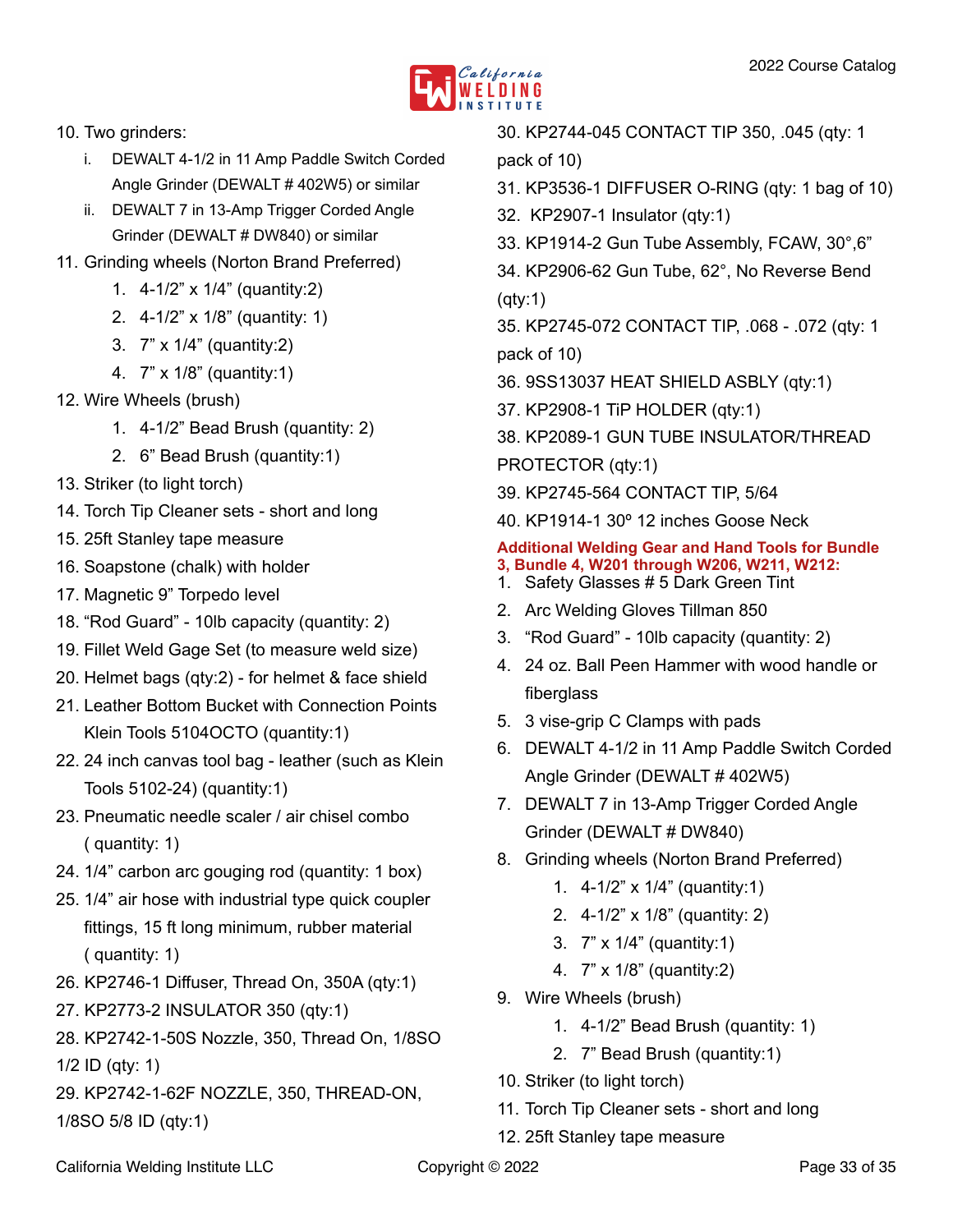

- 10. Two grinders:
	- i. DEWALT 4-1/2 in 11 Amp Paddle Switch Corded Angle Grinder (DEWALT # 402W5) or similar
	- ii. DEWALT 7 in 13-Amp Trigger Corded Angle Grinder (DEWALT # DW840) or similar
- 11. Grinding wheels (Norton Brand Preferred)
	- 1. 4-1/2" x 1/4" (quantity:2)
	- 2. 4-1/2" x 1/8" (quantity: 1)
	- 3. 7" x 1/4" (quantity:2)
	- 4. 7" x 1/8" (quantity:1)
- 12. Wire Wheels (brush)
	- 1. 4-1/2" Bead Brush (quantity: 2)
	- 2. 6" Bead Brush (quantity:1)
- 13. Striker (to light torch)
- 14. Torch Tip Cleaner sets short and long
- 15. 25ft Stanley tape measure
- 16. Soapstone (chalk) with holder
- 17. Magnetic 9" Torpedo level
- 18. "Rod Guard" 10lb capacity (quantity: 2)
- 19. Fillet Weld Gage Set (to measure weld size)
- 20. Helmet bags (qty:2) for helmet & face shield
- 21. Leather Bottom Bucket with Connection Points Klein Tools 5104OCTO (quantity:1)
- 22. 24 inch canvas tool bag leather (such as Klein Tools 5102-24) (quantity:1)
- 23. Pneumatic needle scaler / air chisel combo ( quantity: 1)
- 24. 1/4" carbon arc gouging rod (quantity: 1 box)
- 25. 1/4" air hose with industrial type quick coupler fittings, 15 ft long minimum, rubber material ( quantity: 1)
- 26. KP2746-1 Diffuser, Thread On, 350A (qty:1)
- 27. KP2773-2 INSULATOR 350 (qty:1)
- 28. KP2742-1-50S Nozzle, 350, Thread On, 1/8SO
- 1/2 ID (qty: 1)
- 29. KP2742-1-62F NOZZLE, 350, THREAD-ON, 1/8SO 5/8 ID (qty:1)

30. KP2744-045 CONTACT TIP 350, .045 (qty: 1 pack of 10)

- 31. KP3536-1 DIFFUSER O-RING (qty: 1 bag of 10)
- 32. KP2907-1 Insulator (qty:1)
- 33. KP1914-2 Gun Tube Assembly, FCAW, 30°,6"
- 34. KP2906-62 Gun Tube, 62°, No Reverse Bend (qty:1)
- 35. KP2745-072 CONTACT TIP, .068 .072 (qty: 1 pack of 10)
- 36. 9SS13037 HEAT SHIELD ASBLY (qty:1)
- 37. KP2908-1 TiP HOLDER (qty:1)
- 38. KP2089-1 GUN TUBE INSULATOR/THREAD
- PROTECTOR (qty:1)
- 39. KP2745-564 CONTACT TIP, 5/64
- 40. KP1914-1 30º 12 inches Goose Neck

#### **Additional Welding Gear and Hand Tools for Bundle 3, Bundle 4, W201 through W206, W211, W212:**

- 1. Safety Glasses # 5 Dark Green Tint
- 2. Arc Welding Gloves Tillman 850
- 3. "Rod Guard" 10lb capacity (quantity: 2)
- 4. 24 oz. Ball Peen Hammer with wood handle or fiberglass
- 5. 3 vise-grip C Clamps with pads
- 6. DEWALT 4-1/2 in 11 Amp Paddle Switch Corded Angle Grinder (DEWALT # 402W5)
- 7. DEWALT 7 in 13-Amp Trigger Corded Angle Grinder (DEWALT # DW840)
- 8. Grinding wheels (Norton Brand Preferred)
	- 1. 4-1/2" x 1/4" (quantity:1)
	- 2. 4-1/2" x 1/8" (quantity: 2)
	- 3. 7" x 1/4" (quantity:1)
	- 4. 7" x 1/8" (quantity:2)
- 9. Wire Wheels (brush)
	- 1. 4-1/2" Bead Brush (quantity: 1)
	- 2. 7" Bead Brush (quantity:1)
- 10. Striker (to light torch)
- 11. Torch Tip Cleaner sets short and long
- 12. 25ft Stanley tape measure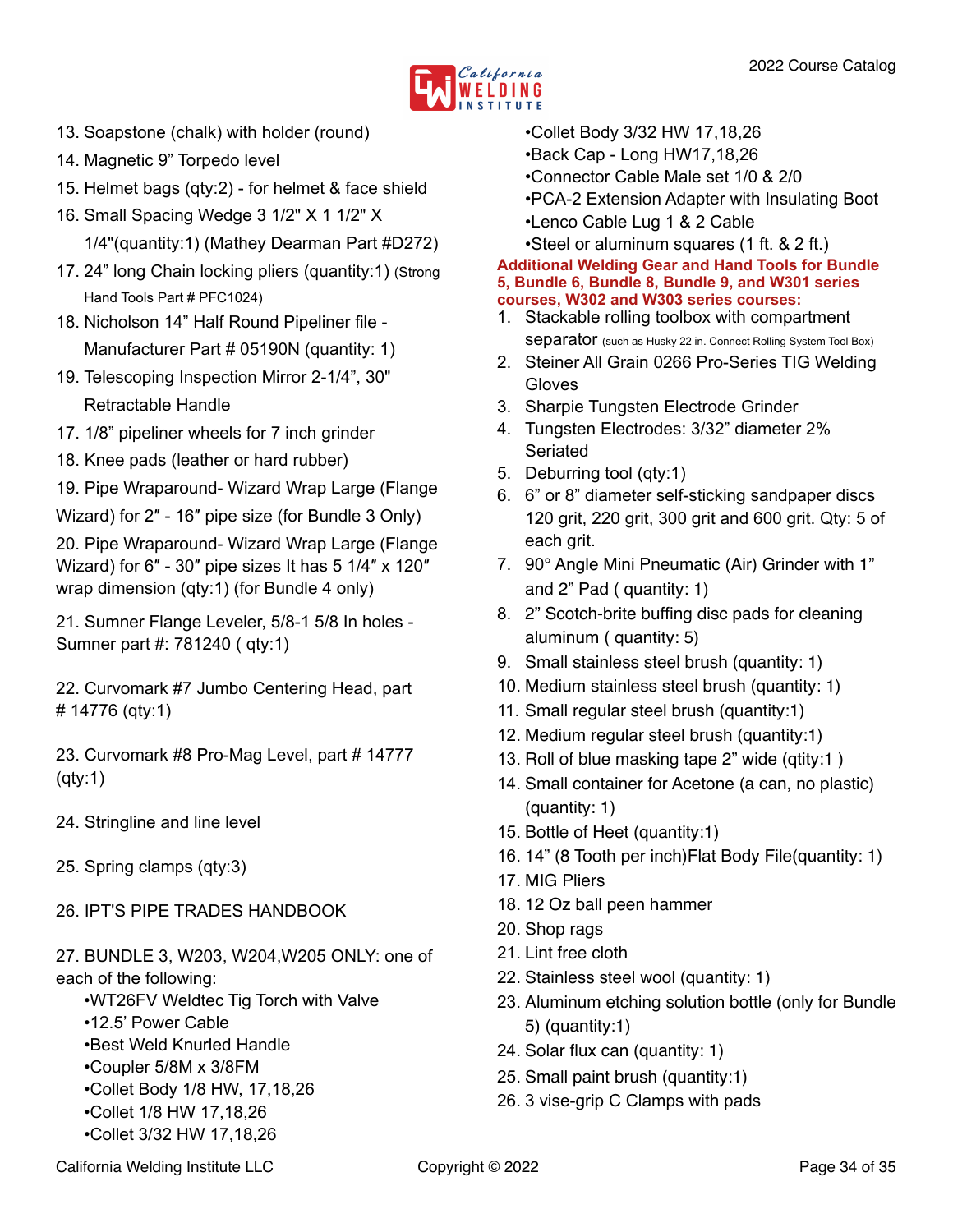

- 13. Soapstone (chalk) with holder (round)
- 14. Magnetic 9" Torpedo level
- 15. Helmet bags (qty:2) for helmet & face shield
- 16. Small Spacing Wedge 3 1/2" X 1 1/2" X 1/4"(quantity:1) (Mathey Dearman Part #D272)
- 17. 24" long Chain locking pliers (quantity:1) (Strong Hand Tools Part # PFC1024)
- 18. Nicholson 14" Half Round Pipeliner file Manufacturer Part # 05190N (quantity: 1)
- 19. Telescoping Inspection Mirror 2-1/4", 30" Retractable Handle
- 17. 1/8" pipeliner wheels for 7 inch grinder
- 18. Knee pads (leather or hard rubber)
- 19. Pipe Wraparound- Wizard Wrap Large (Flange
- Wizard) for 2″ 16″ pipe size (for Bundle 3 Only)

20. Pipe Wraparound- Wizard Wrap Large (Flange Wizard) for 6″ - 30″ pipe sizes It has 5 1/4″ x 120″ wrap dimension (qty:1) (for Bundle 4 only)

21. Sumner Flange Leveler, 5/8-1 5/8 In holes - Sumner part #: 781240 ( qty:1)

22. Curvomark #7 Jumbo Centering Head, part # 14776 (qty:1)

23. Curvomark #8 Pro-Mag Level, part # 14777 (qty:1)

- 24. Stringline and line level
- 25. Spring clamps (qty:3)
- 26. IPT'S PIPE TRADES HANDBOOK

27. BUNDLE 3, W203, W204,W205 ONLY: one of each of the following:

- •WT26FV Weldtec Tig Torch with Valve
- •12.5' Power Cable
- •Best Weld Knurled Handle
- •Coupler 5/8M x 3/8FM
- •Collet Body 1/8 HW, 17,18,26
- •Collet 1/8 HW 17,18,26
- •Collet 3/32 HW 17,18,26
- •Collet Body 3/32 HW 17,18,26
- •Back Cap Long HW17,18,26
- •Connector Cable Male set 1/0 & 2/0
- •PCA-2 Extension Adapter with Insulating Boot
- •Lenco Cable Lug 1 & 2 Cable

•Steel or aluminum squares (1 ft. & 2 ft.)

#### **Additional Welding Gear and Hand Tools for Bundle 5, Bundle 6, Bundle 8, Bundle 9, and W301 series courses, W302 and W303 series courses:**

- 1. Stackable rolling toolbox with compartment Separator (such as Husky 22 in. Connect Rolling System Tool Box)
- 2. Steiner All Grain 0266 Pro-Series TIG Welding Gloves
- 3. Sharpie Tungsten Electrode Grinder
- 4. Tungsten Electrodes: 3/32" diameter 2% Seriated
- 5. Deburring tool (qty:1)
- 6. 6" or 8" diameter self-sticking sandpaper discs 120 grit, 220 grit, 300 grit and 600 grit. Qty: 5 of each grit.
- 7. 90° Angle Mini Pneumatic (Air) Grinder with 1" and 2" Pad ( quantity: 1)
- 8. 2" Scotch-brite buffing disc pads for cleaning aluminum ( quantity: 5)
- 9. Small stainless steel brush (quantity: 1)
- 10. Medium stainless steel brush (quantity: 1)
- 11. Small regular steel brush (quantity:1)
- 12. Medium regular steel brush (quantity:1)
- 13. Roll of blue masking tape 2" wide (qtity:1 )
- 14. Small container for Acetone (a can, no plastic) (quantity: 1)
- 15. Bottle of Heet (quantity:1)
- 16. 14" (8 Tooth per inch)Flat Body File(quantity: 1)
- 17. MIG Pliers
- 18. 12 Oz ball peen hammer
- 20. Shop rags
- 21. Lint free cloth
- 22. Stainless steel wool (quantity: 1)
- 23. Aluminum etching solution bottle (only for Bundle 5) (quantity:1)
- 24. Solar flux can (quantity: 1)
- 25. Small paint brush (quantity:1)
- 26. 3 vise-grip C Clamps with pads